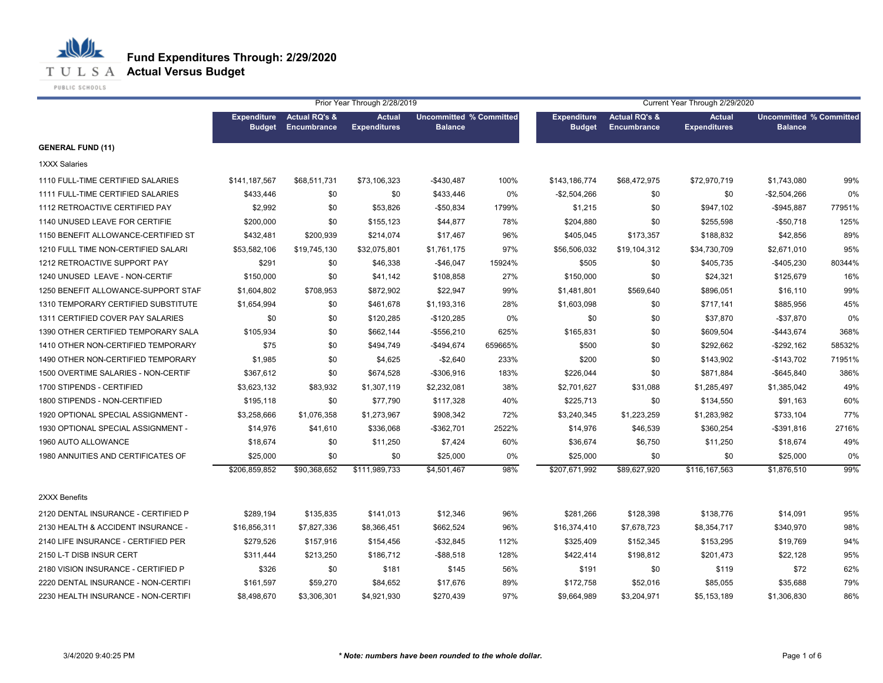

**T U L S A Actual Versus Budget** 

PUBLIC SCHOOLS

|                                     |                                     |                                                | Prior Year Through 2/28/2019         |                                                  |         |                                     | Current Year Through 2/29/2020<br><b>Actual</b><br><b>Uncommitted % Committed</b> |                     |                |        |  |
|-------------------------------------|-------------------------------------|------------------------------------------------|--------------------------------------|--------------------------------------------------|---------|-------------------------------------|-----------------------------------------------------------------------------------|---------------------|----------------|--------|--|
|                                     | <b>Expenditure</b><br><b>Budget</b> | <b>Actual RQ's &amp;</b><br><b>Encumbrance</b> | <b>Actual</b><br><b>Expenditures</b> | <b>Uncommitted % Committed</b><br><b>Balance</b> |         | <b>Expenditure</b><br><b>Budget</b> | <b>Actual RQ's &amp;</b><br><b>Encumbrance</b>                                    | <b>Expenditures</b> | <b>Balance</b> |        |  |
| <b>GENERAL FUND (11)</b>            |                                     |                                                |                                      |                                                  |         |                                     |                                                                                   |                     |                |        |  |
| <b>1XXX Salaries</b>                |                                     |                                                |                                      |                                                  |         |                                     |                                                                                   |                     |                |        |  |
| 1110 FULL-TIME CERTIFIED SALARIES   | \$141,187,567                       | \$68,511,731                                   | \$73,106,323                         | $-$430,487$                                      | 100%    | \$143,186,774                       | \$68,472,975                                                                      | \$72,970,719        | \$1,743,080    | 99%    |  |
| 1111 FULL-TIME CERTIFIED SALARIES   | \$433,446                           | \$0                                            | \$0                                  | \$433,446                                        | $0\%$   | $-$2,504,266$                       | \$0                                                                               | \$0                 | $-$2,504,266$  | 0%     |  |
| 1112 RETROACTIVE CERTIFIED PAY      | \$2,992                             | \$0                                            | \$53,826                             | -\$50,834                                        | 1799%   | \$1,215                             | \$0                                                                               | \$947,102           | $-$945,887$    | 77951% |  |
| 1140 UNUSED LEAVE FOR CERTIFIE      | \$200,000                           | \$0                                            | \$155,123                            | \$44,877                                         | 78%     | \$204,880                           | \$0                                                                               | \$255,598           | $-$50,718$     | 125%   |  |
| 1150 BENEFIT ALLOWANCE-CERTIFIED ST | \$432,481                           | \$200,939                                      | \$214,074                            | \$17,467                                         | 96%     | \$405,045                           | \$173,357                                                                         | \$188,832           | \$42,856       | 89%    |  |
| 1210 FULL TIME NON-CERTIFIED SALARI | \$53,582,106                        | \$19,745,130                                   | \$32,075,801                         | \$1,761,175                                      | 97%     | \$56,506,032                        | \$19,104,312                                                                      | \$34,730,709        | \$2,671,010    | 95%    |  |
| 1212 RETROACTIVE SUPPORT PAY        | \$291                               | \$0                                            | \$46,338                             | $-$46,047$                                       | 15924%  | \$505                               | \$0                                                                               | \$405,735           | $-$405,230$    | 80344% |  |
| 1240 UNUSED LEAVE - NON-CERTIF      | \$150,000                           | \$0                                            | \$41,142                             | \$108,858                                        | 27%     | \$150,000                           | \$0                                                                               | \$24,321            | \$125,679      | 16%    |  |
| 1250 BENEFIT ALLOWANCE-SUPPORT STAF | \$1,604,802                         | \$708,953                                      | \$872,902                            | \$22,947                                         | 99%     | \$1,481,801                         | \$569,640                                                                         | \$896,051           | \$16,110       | 99%    |  |
| 1310 TEMPORARY CERTIFIED SUBSTITUTE | \$1,654,994                         | \$0                                            | \$461,678                            | \$1,193,316                                      | 28%     | \$1,603,098                         | \$0                                                                               | \$717,141           | \$885,956      | 45%    |  |
| 1311 CERTIFIED COVER PAY SALARIES   | \$0                                 | \$0                                            | \$120,285                            | $-$120,285$                                      | 0%      | \$0                                 | \$0                                                                               | \$37,870            | $-$ \$37,870   | 0%     |  |
| 1390 OTHER CERTIFIED TEMPORARY SALA | \$105,934                           | \$0                                            | \$662,144                            | $-$556,210$                                      | 625%    | \$165,831                           | \$0                                                                               | \$609,504           | $-$443,674$    | 368%   |  |
| 1410 OTHER NON-CERTIFIED TEMPORARY  | \$75                                | \$0                                            | \$494,749                            | $-$494,674$                                      | 659665% | \$500                               | \$0                                                                               | \$292,662           | $-$ \$292,162  | 58532% |  |
| 1490 OTHER NON-CERTIFIED TEMPORARY  | \$1,985                             | \$0                                            | \$4,625                              | $-$2,640$                                        | 233%    | \$200                               | \$0                                                                               | \$143,902           | $-$143,702$    | 71951% |  |
| 1500 OVERTIME SALARIES - NON-CERTIF | \$367,612                           | \$0                                            | \$674,528                            | -\$306,916                                       | 183%    | \$226,044                           | \$0                                                                               | \$871,884           | $-$ \$645,840  | 386%   |  |
| 1700 STIPENDS - CERTIFIED           | \$3,623,132                         | \$83,932                                       | \$1,307,119                          | \$2,232,081                                      | 38%     | \$2,701,627                         | \$31,088                                                                          | \$1,285,497         | \$1,385,042    | 49%    |  |
| 1800 STIPENDS - NON-CERTIFIED       | \$195,118                           | \$0                                            | \$77,790                             | \$117,328                                        | 40%     | \$225,713                           | \$0                                                                               | \$134,550           | \$91,163       | 60%    |  |
| 1920 OPTIONAL SPECIAL ASSIGNMENT -  | \$3,258,666                         | \$1,076,358                                    | \$1,273,967                          | \$908,342                                        | 72%     | \$3,240,345                         | \$1,223,259                                                                       | \$1,283,982         | \$733,104      | 77%    |  |
| 1930 OPTIONAL SPECIAL ASSIGNMENT -  | \$14,976                            | \$41,610                                       | \$336,068                            | $-$362,701$                                      | 2522%   | \$14,976                            | \$46,539                                                                          | \$360,254           | -\$391,816     | 2716%  |  |
| 1960 AUTO ALLOWANCE                 | \$18,674                            | \$0                                            | \$11,250                             | \$7,424                                          | 60%     | \$36,674                            | \$6,750                                                                           | \$11,250            | \$18,674       | 49%    |  |
| 1980 ANNUITIES AND CERTIFICATES OF  | \$25,000                            | \$0                                            | \$0                                  | \$25,000                                         | 0%      | \$25,000                            | \$0                                                                               | \$0                 | \$25,000       | 0%     |  |
|                                     | \$206,859,852                       | \$90,368,652                                   | \$111,989,733                        | \$4,501,467                                      | 98%     | \$207,671,992                       | \$89,627,920                                                                      | \$116,167,563       | \$1,876,510    | 99%    |  |
| 2XXX Benefits                       |                                     |                                                |                                      |                                                  |         |                                     |                                                                                   |                     |                |        |  |
| 2120 DENTAL INSURANCE - CERTIFIED P | \$289,194                           | \$135,835                                      | \$141,013                            | \$12,346                                         | 96%     | \$281,266                           | \$128,398                                                                         | \$138,776           | \$14,091       | 95%    |  |
| 2130 HEALTH & ACCIDENT INSURANCE -  | \$16,856,311                        | \$7,827,336                                    | \$8,366,451                          | \$662,524                                        | 96%     | \$16,374,410                        | \$7,678,723                                                                       | \$8,354,717         | \$340,970      | 98%    |  |
| 2140 LIFE INSURANCE - CERTIFIED PER | \$279,526                           | \$157,916                                      | \$154,456                            | $-$ \$32,845                                     | 112%    | \$325,409                           | \$152,345                                                                         | \$153,295           | \$19,769       | 94%    |  |
| 2150 L-T DISB INSUR CERT            | \$311,444                           | \$213,250                                      | \$186,712                            | $-$ \$88,518                                     | 128%    | \$422,414                           | \$198,812                                                                         | \$201,473           | \$22,128       | 95%    |  |
| 2180 VISION INSURANCE - CERTIFIED P | \$326                               | \$0                                            | \$181                                | \$145                                            | 56%     | \$191                               | \$0                                                                               | \$119               | \$72           | 62%    |  |
| 2220 DENTAL INSURANCE - NON-CERTIFI | \$161,597                           | \$59,270                                       | \$84,652                             | \$17,676                                         | 89%     | \$172,758                           | \$52,016                                                                          | \$85,055            | \$35,688       | 79%    |  |
| 2230 HEALTH INSURANCE - NON-CERTIFI | \$8,498,670                         | \$3,306,301                                    | \$4,921,930                          | \$270,439                                        | 97%     | \$9,664,989                         | \$3,204,971                                                                       | \$5,153,189         | \$1,306,830    | 86%    |  |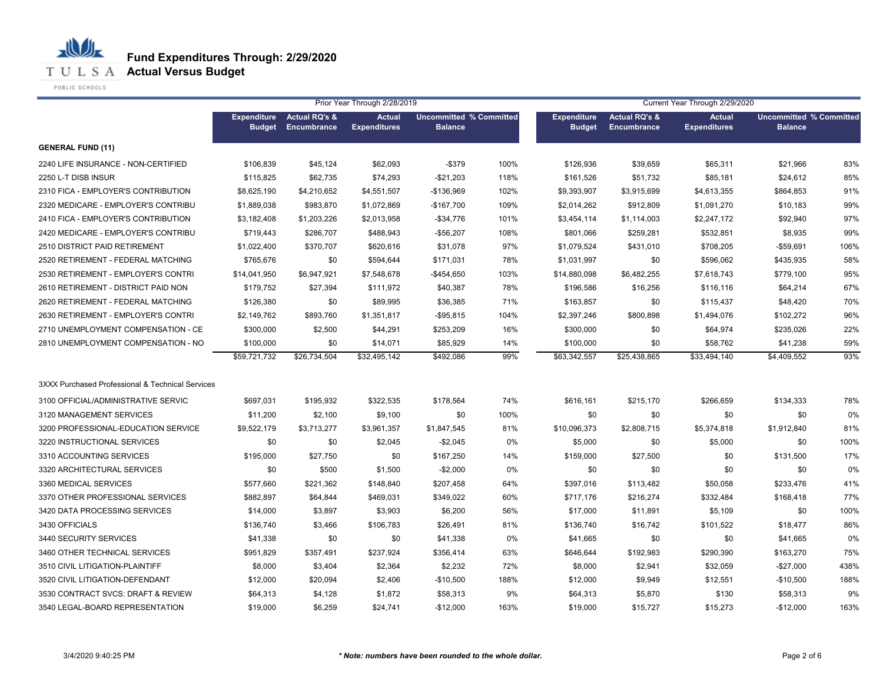**T U L S A Actual Versus Budget** 

PUBLIC SCHOOLS

|                                                  |                                     |                                         | Prior Year Through 2/28/2019         |                                                  |       |                                     |                                         | Current Year Through 2/29/2020 | <b>Actual</b><br><b>Uncommitted % Committed</b><br><b>Balance</b> |      |  |
|--------------------------------------------------|-------------------------------------|-----------------------------------------|--------------------------------------|--------------------------------------------------|-------|-------------------------------------|-----------------------------------------|--------------------------------|-------------------------------------------------------------------|------|--|
|                                                  | <b>Expenditure</b><br><b>Budget</b> | <b>Actual RQ's &amp;</b><br>Encumbrance | <b>Actual</b><br><b>Expenditures</b> | <b>Uncommitted % Committed</b><br><b>Balance</b> |       | <b>Expenditure</b><br><b>Budget</b> | <b>Actual RQ's &amp;</b><br>Encumbrance | <b>Expenditures</b>            |                                                                   |      |  |
| <b>GENERAL FUND (11)</b>                         |                                     |                                         |                                      |                                                  |       |                                     |                                         |                                |                                                                   |      |  |
| 2240 LIFE INSURANCE - NON-CERTIFIED              | \$106,839                           | \$45,124                                | \$62,093                             | $-$379$                                          | 100%  | \$126,936                           | \$39,659                                | \$65,311                       | \$21,966                                                          | 83%  |  |
| 2250 L-T DISB INSUR                              | \$115,825                           | \$62,735                                | \$74,293                             | $-$21,203$                                       | 118%  | \$161,526                           | \$51,732                                | \$85,181                       | \$24,612                                                          | 85%  |  |
| 2310 FICA - EMPLOYER'S CONTRIBUTION              | \$8,625,190                         | \$4,210,652                             | \$4,551,507                          | $-$136,969$                                      | 102%  | \$9,393,907                         | \$3,915,699                             | \$4,613,355                    | \$864,853                                                         | 91%  |  |
| 2320 MEDICARE - EMPLOYER'S CONTRIBU              | \$1,889,038                         | \$983,870                               | \$1,072,869                          | $-$167,700$                                      | 109%  | \$2,014,262                         | \$912,809                               | \$1,091,270                    | \$10,183                                                          | 99%  |  |
| 2410 FICA - EMPLOYER'S CONTRIBUTION              | \$3,182,408                         | \$1,203,226                             | \$2,013,958                          | $-$ \$34,776                                     | 101%  | \$3,454,114                         | \$1,114,003                             | \$2,247,172                    | \$92,940                                                          | 97%  |  |
| 2420 MEDICARE - EMPLOYER'S CONTRIBU              | \$719,443                           | \$286,707                               | \$488,943                            | $-$56,207$                                       | 108%  | \$801,066                           | \$259,281                               | \$532,851                      | \$8,935                                                           | 99%  |  |
| 2510 DISTRICT PAID RETIREMENT                    | \$1,022,400                         | \$370,707                               | \$620,616                            | \$31,078                                         | 97%   | \$1,079,524                         | \$431,010                               | \$708,205                      | $-$59,691$                                                        | 106% |  |
| 2520 RETIREMENT - FEDERAL MATCHING               | \$765,676                           | \$0                                     | \$594,644                            | \$171,031                                        | 78%   | \$1,031,997                         | \$0                                     | \$596,062                      | \$435,935                                                         | 58%  |  |
| 2530 RETIREMENT - EMPLOYER'S CONTRI              | \$14,041,950                        | \$6,947,921                             | \$7,548,678                          | -\$454,650                                       | 103%  | \$14,880,098                        | \$6,482,255                             | \$7,618,743                    | \$779,100                                                         | 95%  |  |
| 2610 RETIREMENT - DISTRICT PAID NON              | \$179,752                           | \$27,394                                | \$111,972                            | \$40,387                                         | 78%   | \$196,586                           | \$16,256                                | \$116,116                      | \$64,214                                                          | 67%  |  |
| 2620 RETIREMENT - FEDERAL MATCHING               | \$126,380                           | \$0                                     | \$89,995                             | \$36,385                                         | 71%   | \$163,857                           | \$0                                     | \$115,437                      | \$48,420                                                          | 70%  |  |
| 2630 RETIREMENT - EMPLOYER'S CONTRI              | \$2,149,762                         | \$893,760                               | \$1,351,817                          | $-$95,815$                                       | 104%  | \$2,397,246                         | \$800,898                               | \$1,494,076                    | \$102,272                                                         | 96%  |  |
| 2710 UNEMPLOYMENT COMPENSATION - CE              | \$300,000                           | \$2,500                                 | \$44,291                             | \$253,209                                        | 16%   | \$300,000                           | \$0                                     | \$64,974                       | \$235,026                                                         | 22%  |  |
| 2810 UNEMPLOYMENT COMPENSATION - NO              | \$100,000                           | \$0                                     | \$14,071                             | \$85,929                                         | 14%   | \$100,000                           | \$0                                     | \$58,762                       | \$41,238                                                          | 59%  |  |
|                                                  | \$59,721,732                        | \$26,734,504                            | \$32,495,142                         | \$492,086                                        | 99%   | \$63,342,557                        | \$25,438,865                            | \$33,494,140                   | \$4,409.552                                                       | 93%  |  |
| 3XXX Purchased Professional & Technical Services |                                     |                                         |                                      |                                                  |       |                                     |                                         |                                |                                                                   |      |  |
| 3100 OFFICIAL/ADMINISTRATIVE SERVIC              | \$697,031                           | \$195,932                               | \$322,535                            | \$178,564                                        | 74%   | \$616,161                           | \$215,170                               | \$266,659                      | \$134,333                                                         | 78%  |  |
| 3120 MANAGEMENT SERVICES                         | \$11,200                            | \$2,100                                 | \$9,100                              | \$0                                              | 100%  | \$0                                 | \$0                                     | \$0                            | \$0                                                               | 0%   |  |
| 3200 PROFESSIONAL-EDUCATION SERVICE              | \$9,522,179                         | \$3,713,277                             | \$3,961,357                          | \$1,847,545                                      | 81%   | \$10,096,373                        | \$2,808,715                             | \$5,374,818                    | \$1,912,840                                                       | 81%  |  |
| 3220 INSTRUCTIONAL SERVICES                      | \$0                                 | \$0                                     | \$2,045                              | $-$2,045$                                        | $0\%$ | \$5,000                             | \$0                                     | \$5,000                        | \$0                                                               | 100% |  |
| 3310 ACCOUNTING SERVICES                         | \$195,000                           | \$27,750                                | \$0                                  | \$167,250                                        | 14%   | \$159,000                           | \$27,500                                | \$0                            | \$131,500                                                         | 17%  |  |
| 3320 ARCHITECTURAL SERVICES                      | \$0                                 | \$500                                   | \$1,500                              | $-$2,000$                                        | 0%    | \$0                                 | \$0                                     | \$0                            | \$0                                                               | 0%   |  |
| 3360 MEDICAL SERVICES                            | \$577,660                           | \$221,362                               | \$148,840                            | \$207,458                                        | 64%   | \$397,016                           | \$113,482                               | \$50,058                       | \$233,476                                                         | 41%  |  |
| 3370 OTHER PROFESSIONAL SERVICES                 | \$882,897                           | \$64,844                                | \$469,031                            | \$349,022                                        | 60%   | \$717,176                           | \$216,274                               | \$332,484                      | \$168,418                                                         | 77%  |  |
| 3420 DATA PROCESSING SERVICES                    | \$14,000                            | \$3,897                                 | \$3,903                              | \$6,200                                          | 56%   | \$17,000                            | \$11,891                                | \$5,109                        | \$0                                                               | 100% |  |
| 3430 OFFICIALS                                   | \$136,740                           | \$3,466                                 | \$106,783                            | \$26,491                                         | 81%   | \$136,740                           | \$16,742                                | \$101,522                      | \$18,477                                                          | 86%  |  |
| 3440 SECURITY SERVICES                           | \$41,338                            | \$0                                     | \$0                                  | \$41,338                                         | $0\%$ | \$41,665                            | \$0                                     | \$0                            | \$41,665                                                          | 0%   |  |
| 3460 OTHER TECHNICAL SERVICES                    | \$951,829                           | \$357,491                               | \$237,924                            | \$356,414                                        | 63%   | \$646,644                           | \$192,983                               | \$290,390                      | \$163,270                                                         | 75%  |  |
| 3510 CIVIL LITIGATION-PLAINTIFF                  | \$8,000                             | \$3,404                                 | \$2,364                              | \$2,232                                          | 72%   | \$8,000                             | \$2,941                                 | \$32,059                       | $-$27,000$                                                        | 438% |  |
| 3520 CIVIL LITIGATION-DEFENDANT                  | \$12,000                            | \$20,094                                | \$2,406                              | $-$10,500$                                       | 188%  | \$12,000                            | \$9,949                                 | \$12,551                       | $-$10,500$                                                        | 188% |  |
| 3530 CONTRACT SVCS: DRAFT & REVIEW               | \$64,313                            | \$4,128                                 | \$1,872                              | \$58,313                                         | 9%    | \$64,313                            | \$5,870                                 | \$130                          | \$58,313                                                          | 9%   |  |
| 3540 LEGAL-BOARD REPRESENTATION                  | \$19,000                            | \$6,259                                 | \$24,741                             | $-$12,000$                                       | 163%  | \$19,000                            | \$15,727                                | \$15,273                       | $-$12,000$                                                        | 163% |  |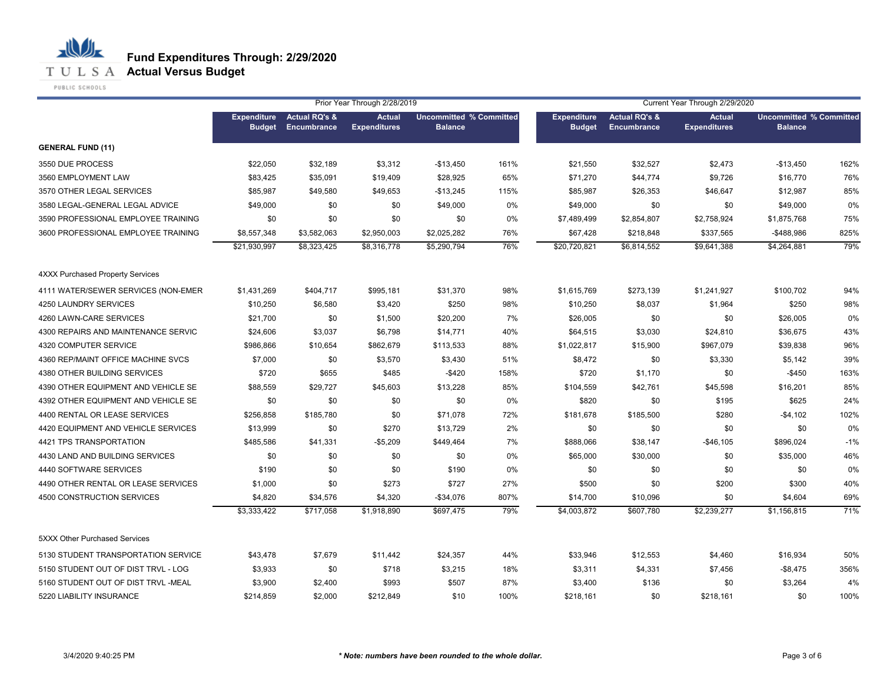

**T U L S A Actual Versus Budget** 

PUBLIC SCHOOLS

|                                         |                                     |                                         | Prior Year Through 2/28/2019         |                                                  |      |                                     |                                         | Current Year Through 2/29/2020 | <b>Actual</b><br><b>Uncommitted % Committed</b><br><b>Balance</b> |       |
|-----------------------------------------|-------------------------------------|-----------------------------------------|--------------------------------------|--------------------------------------------------|------|-------------------------------------|-----------------------------------------|--------------------------------|-------------------------------------------------------------------|-------|
|                                         | <b>Expenditure</b><br><b>Budget</b> | <b>Actual RQ's &amp;</b><br>Encumbrance | <b>Actual</b><br><b>Expenditures</b> | <b>Uncommitted % Committed</b><br><b>Balance</b> |      | <b>Expenditure</b><br><b>Budget</b> | <b>Actual RQ's &amp;</b><br>Encumbrance | <b>Expenditures</b>            |                                                                   |       |
| <b>GENERAL FUND (11)</b>                |                                     |                                         |                                      |                                                  |      |                                     |                                         |                                |                                                                   |       |
| 3550 DUE PROCESS                        | \$22,050                            | \$32,189                                | \$3,312                              | $-$13,450$                                       | 161% | \$21,550                            | \$32,527                                | \$2,473                        | $-$13,450$                                                        | 162%  |
| 3560 EMPLOYMENT LAW                     | \$83,425                            | \$35,091                                | \$19,409                             | \$28,925                                         | 65%  | \$71,270                            | \$44,774                                | \$9,726                        | \$16,770                                                          | 76%   |
| 3570 OTHER LEGAL SERVICES               | \$85,987                            | \$49,580                                | \$49,653                             | $-$13,245$                                       | 115% | \$85,987                            | \$26,353                                | \$46,647                       | \$12,987                                                          | 85%   |
| 3580 LEGAL-GENERAL LEGAL ADVICE         | \$49,000                            | \$0                                     | \$0                                  | \$49,000                                         | 0%   | \$49,000                            | \$0                                     | \$0                            | \$49,000                                                          | 0%    |
| 3590 PROFESSIONAL EMPLOYEE TRAINING     | \$0                                 | \$0                                     | \$0                                  | \$0                                              | 0%   | \$7,489,499                         | \$2,854,807                             | \$2,758,924                    | \$1,875,768                                                       | 75%   |
| 3600 PROFESSIONAL EMPLOYEE TRAINING     | \$8,557,348                         | \$3,582,063                             | \$2,950,003                          | \$2,025,282                                      | 76%  | \$67,428                            | \$218,848                               | \$337,565                      | $-$488,986$                                                       | 825%  |
|                                         | \$21,930,997                        | \$8,323,425                             | \$8,316,778                          | \$5,290,794                                      | 76%  | \$20,720,821                        | \$6,814,552                             | \$9,641,388                    | \$4,264,881                                                       | 79%   |
| <b>4XXX Purchased Property Services</b> |                                     |                                         |                                      |                                                  |      |                                     |                                         |                                |                                                                   |       |
| 4111 WATER/SEWER SERVICES (NON-EMER     | \$1,431,269                         | \$404,717                               | \$995,181                            | \$31,370                                         | 98%  | \$1,615,769                         | \$273,139                               | \$1,241,927                    | \$100,702                                                         | 94%   |
| 4250 LAUNDRY SERVICES                   | \$10,250                            | \$6,580                                 | \$3,420                              | \$250                                            | 98%  | \$10,250                            | \$8,037                                 | \$1,964                        | \$250                                                             | 98%   |
| 4260 LAWN-CARE SERVICES                 | \$21,700                            | \$0                                     | \$1,500                              | \$20,200                                         | 7%   | \$26,005                            | \$0                                     | \$0                            | \$26,005                                                          | 0%    |
| 4300 REPAIRS AND MAINTENANCE SERVIC     | \$24,606                            | \$3,037                                 | \$6,798                              | \$14,771                                         | 40%  | \$64,515                            | \$3,030                                 | \$24,810                       | \$36,675                                                          | 43%   |
| 4320 COMPUTER SERVICE                   | \$986,866                           | \$10,654                                | \$862,679                            | \$113,533                                        | 88%  | \$1,022,817                         | \$15,900                                | \$967,079                      | \$39,838                                                          | 96%   |
| 4360 REP/MAINT OFFICE MACHINE SVCS      | \$7,000                             | \$0                                     | \$3,570                              | \$3,430                                          | 51%  | \$8,472                             | \$0                                     | \$3,330                        | \$5,142                                                           | 39%   |
| 4380 OTHER BUILDING SERVICES            | \$720                               | \$655                                   | \$485                                | $-$ \$420                                        | 158% | \$720                               | \$1,170                                 | \$0                            | $-$450$                                                           | 163%  |
| 4390 OTHER EQUIPMENT AND VEHICLE SE     | \$88,559                            | \$29,727                                | \$45,603                             | \$13,228                                         | 85%  | \$104,559                           | \$42,761                                | \$45,598                       | \$16,201                                                          | 85%   |
| 4392 OTHER EQUIPMENT AND VEHICLE SE     | \$0                                 | \$0                                     | \$0                                  | \$0                                              | 0%   | \$820                               | \$0                                     | \$195                          | \$625                                                             | 24%   |
| 4400 RENTAL OR LEASE SERVICES           | \$256,858                           | \$185,780                               | \$0                                  | \$71,078                                         | 72%  | \$181,678                           | \$185,500                               | \$280                          | $-$4,102$                                                         | 102%  |
| 4420 EQUIPMENT AND VEHICLE SERVICES     | \$13,999                            | \$0                                     | \$270                                | \$13,729                                         | 2%   | \$0                                 | \$0                                     | \$0                            | \$0                                                               | 0%    |
| 4421 TPS TRANSPORTATION                 | \$485,586                           | \$41,331                                | $-$5,209$                            | \$449,464                                        | 7%   | \$888,066                           | \$38,147                                | -\$46,105                      | \$896,024                                                         | $-1%$ |
| 4430 LAND AND BUILDING SERVICES         | \$0                                 | \$0                                     | \$0                                  | \$0                                              | 0%   | \$65,000                            | \$30,000                                | \$0                            | \$35,000                                                          | 46%   |
| 4440 SOFTWARE SERVICES                  | \$190                               | \$0                                     | \$0                                  | \$190                                            | 0%   | \$0                                 | \$0                                     | \$0                            | \$0                                                               | 0%    |
| 4490 OTHER RENTAL OR LEASE SERVICES     | \$1,000                             | \$0                                     | \$273                                | \$727                                            | 27%  | \$500                               | \$0                                     | \$200                          | \$300                                                             | 40%   |
| 4500 CONSTRUCTION SERVICES              | \$4,820                             | \$34,576                                | \$4,320                              | $-$34,076$                                       | 807% | \$14,700                            | \$10,096                                | \$0                            | \$4,604                                                           | 69%   |
|                                         | \$3,333,422                         | \$717,058                               | \$1,918,890                          | \$697,475                                        | 79%  | \$4,003,872                         | \$607,780                               | \$2,239,277                    | \$1,156,815                                                       | 71%   |
| 5XXX Other Purchased Services           |                                     |                                         |                                      |                                                  |      |                                     |                                         |                                |                                                                   |       |
| 5130 STUDENT TRANSPORTATION SERVICE     | \$43,478                            | \$7,679                                 | \$11,442                             | \$24,357                                         | 44%  | \$33,946                            | \$12,553                                | \$4,460                        | \$16,934                                                          | 50%   |
| 5150 STUDENT OUT OF DIST TRVL - LOG     | \$3,933                             | \$0                                     | \$718                                | \$3,215                                          | 18%  | \$3,311                             | \$4,331                                 | \$7,456                        | $-$ \$8,475                                                       | 356%  |
| 5160 STUDENT OUT OF DIST TRVL -MEAL     | \$3,900                             | \$2,400                                 | \$993                                | \$507                                            | 87%  | \$3,400                             | \$136                                   | \$0                            | \$3,264                                                           | 4%    |
| 5220 LIABILITY INSURANCE                | \$214,859                           | \$2,000                                 | \$212,849                            | \$10                                             | 100% | \$218,161                           | \$0                                     | \$218,161                      | \$0                                                               | 100%  |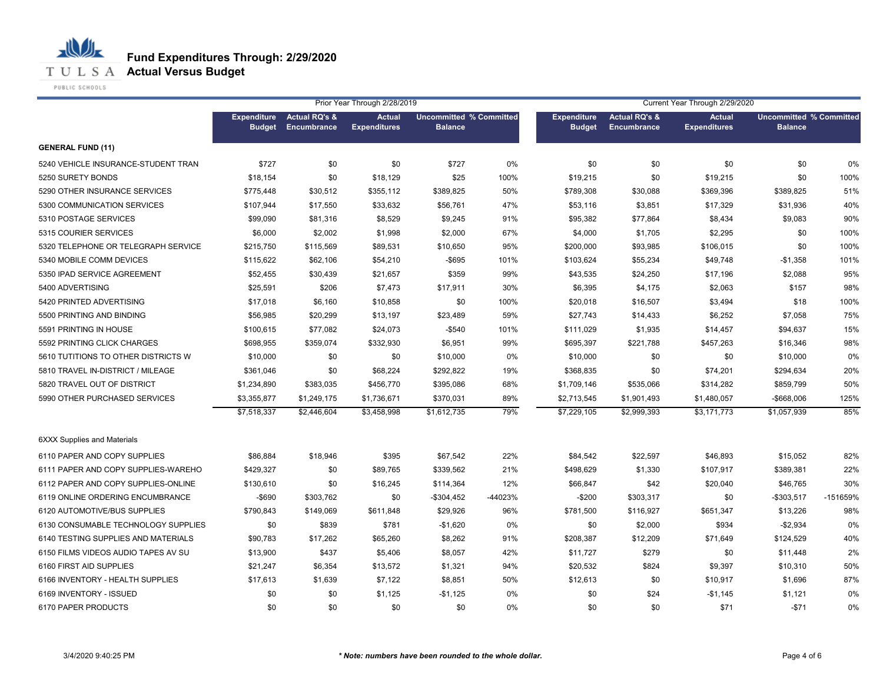**T U L S A Actual Versus Budget** 

PUBLIC SCHOOLS

|                                     |                                     |                                         | Prior Year Through 2/28/2019         |                                                  |         |                                     |                                         | Current Year Through 2/29/2020<br><b>Uncommitted % Committed</b> |                |          |  |
|-------------------------------------|-------------------------------------|-----------------------------------------|--------------------------------------|--------------------------------------------------|---------|-------------------------------------|-----------------------------------------|------------------------------------------------------------------|----------------|----------|--|
|                                     | <b>Expenditure</b><br><b>Budget</b> | <b>Actual RQ's &amp;</b><br>Encumbrance | <b>Actual</b><br><b>Expenditures</b> | <b>Uncommitted % Committed</b><br><b>Balance</b> |         | <b>Expenditure</b><br><b>Budget</b> | <b>Actual RQ's &amp;</b><br>Encumbrance | <b>Actual</b><br><b>Expenditures</b>                             | <b>Balance</b> |          |  |
| <b>GENERAL FUND (11)</b>            |                                     |                                         |                                      |                                                  |         |                                     |                                         |                                                                  |                |          |  |
| 5240 VEHICLE INSURANCE-STUDENT TRAN | \$727                               | \$0                                     | \$0                                  | \$727                                            | 0%      | \$0                                 | \$0                                     | \$0                                                              | \$0            | 0%       |  |
| 5250 SURETY BONDS                   | \$18,154                            | \$0                                     | \$18,129                             | \$25                                             | 100%    | \$19,215                            | \$0                                     | \$19,215                                                         | \$0            | 100%     |  |
| 5290 OTHER INSURANCE SERVICES       | \$775,448                           | \$30,512                                | \$355,112                            | \$389,825                                        | 50%     | \$789,308                           | \$30,088                                | \$369,396                                                        | \$389,825      | 51%      |  |
| 5300 COMMUNICATION SERVICES         | \$107,944                           | \$17,550                                | \$33,632                             | \$56,761                                         | 47%     | \$53,116                            | \$3,851                                 | \$17,329                                                         | \$31,936       | 40%      |  |
| 5310 POSTAGE SERVICES               | \$99,090                            | \$81,316                                | \$8,529                              | \$9,245                                          | 91%     | \$95,382                            | \$77,864                                | \$8,434                                                          | \$9,083        | 90%      |  |
| 5315 COURIER SERVICES               | \$6,000                             | \$2,002                                 | \$1,998                              | \$2,000                                          | 67%     | \$4,000                             | \$1,705                                 | \$2,295                                                          | \$0            | 100%     |  |
| 5320 TELEPHONE OR TELEGRAPH SERVICE | \$215,750                           | \$115,569                               | \$89,531                             | \$10,650                                         | 95%     | \$200,000                           | \$93,985                                | \$106,015                                                        | \$0            | 100%     |  |
| 5340 MOBILE COMM DEVICES            | \$115,622                           | \$62,106                                | \$54,210                             | $-$ \$695                                        | 101%    | \$103,624                           | \$55,234                                | \$49,748                                                         | $-$1,358$      | 101%     |  |
| 5350 IPAD SERVICE AGREEMENT         | \$52,455                            | \$30,439                                | \$21,657                             | \$359                                            | 99%     | \$43,535                            | \$24,250                                | \$17,196                                                         | \$2,088        | 95%      |  |
| 5400 ADVERTISING                    | \$25,591                            | \$206                                   | \$7,473                              | \$17,911                                         | 30%     | \$6,395                             | \$4,175                                 | \$2,063                                                          | \$157          | 98%      |  |
| 5420 PRINTED ADVERTISING            | \$17,018                            | \$6,160                                 | \$10,858                             | \$0                                              | 100%    | \$20,018                            | \$16,507                                | \$3,494                                                          | \$18           | 100%     |  |
| 5500 PRINTING AND BINDING           | \$56,985                            | \$20,299                                | \$13,197                             | \$23,489                                         | 59%     | \$27,743                            | \$14,433                                | \$6,252                                                          | \$7,058        | 75%      |  |
| 5591 PRINTING IN HOUSE              | \$100,615                           | \$77,082                                | \$24,073                             | $-$ \$540                                        | 101%    | \$111,029                           | \$1,935                                 | \$14,457                                                         | \$94,637       | 15%      |  |
| 5592 PRINTING CLICK CHARGES         | \$698.955                           | \$359,074                               | \$332,930                            | \$6,951                                          | 99%     | \$695,397                           | \$221,788                               | \$457,263                                                        | \$16,346       | 98%      |  |
| 5610 TUTITIONS TO OTHER DISTRICTS W | \$10,000                            | \$0                                     | \$0                                  | \$10,000                                         | 0%      | \$10,000                            | \$0                                     | \$0                                                              | \$10,000       | 0%       |  |
| 5810 TRAVEL IN-DISTRICT / MILEAGE   | \$361.046                           | \$0                                     | \$68,224                             | \$292,822                                        | 19%     | \$368.835                           | \$0                                     | \$74,201                                                         | \$294,634      | 20%      |  |
| 5820 TRAVEL OUT OF DISTRICT         | \$1,234,890                         | \$383,035                               | \$456,770                            | \$395,086                                        | 68%     | \$1,709,146                         | \$535,066                               | \$314,282                                                        | \$859,799      | 50%      |  |
| 5990 OTHER PURCHASED SERVICES       | \$3,355,877                         | \$1,249,175                             | \$1,736,671                          | \$370,031                                        | 89%     | \$2,713,545                         | \$1,901,493                             | \$1,480,057                                                      | -\$668,006     | 125%     |  |
|                                     | \$7,518,337                         | \$2,446,604                             | \$3,458,998                          | \$1,612,735                                      | 79%     | \$7,229,105                         | \$2,999,393                             | \$3,171,773                                                      | \$1,057,939    | 85%      |  |
| <b>6XXX Supplies and Materials</b>  |                                     |                                         |                                      |                                                  |         |                                     |                                         |                                                                  |                |          |  |
| 6110 PAPER AND COPY SUPPLIES        | \$86,884                            | \$18,946                                | \$395                                | \$67,542                                         | 22%     | \$84,542                            | \$22,597                                | \$46,893                                                         | \$15,052       | 82%      |  |
| 6111 PAPER AND COPY SUPPLIES-WAREHO | \$429,327                           | \$0                                     | \$89,765                             | \$339,562                                        | 21%     | \$498,629                           | \$1,330                                 | \$107,917                                                        | \$389,381      | 22%      |  |
| 6112 PAPER AND COPY SUPPLIES-ONLINE | \$130,610                           | \$0                                     | \$16,245                             | \$114,364                                        | 12%     | \$66,847                            | \$42                                    | \$20,040                                                         | \$46,765       | 30%      |  |
| 6119 ONLINE ORDERING ENCUMBRANCE    | $-$ \$690                           | \$303,762                               | \$0                                  | $-$304,452$                                      | -44023% | $-$200$                             | \$303,317                               | \$0                                                              | -\$303,517     | -151659% |  |
| 6120 AUTOMOTIVE/BUS SUPPLIES        | \$790,843                           | \$149,069                               | \$611,848                            | \$29,926                                         | 96%     | \$781,500                           | \$116,927                               | \$651,347                                                        | \$13,226       | 98%      |  |
| 6130 CONSUMABLE TECHNOLOGY SUPPLIES | \$0                                 | \$839                                   | \$781                                | $-$1,620$                                        | 0%      | \$0                                 | \$2,000                                 | \$934                                                            | $-$2,934$      | 0%       |  |
| 6140 TESTING SUPPLIES AND MATERIALS | \$90,783                            | \$17,262                                | \$65,260                             | \$8,262                                          | 91%     | \$208,387                           | \$12,209                                | \$71,649                                                         | \$124,529      | 40%      |  |
| 6150 FILMS VIDEOS AUDIO TAPES AV SU | \$13,900                            | \$437                                   | \$5,406                              | \$8,057                                          | 42%     | \$11,727                            | \$279                                   | \$0                                                              | \$11,448       | 2%       |  |
| 6160 FIRST AID SUPPLIES             | \$21,247                            | \$6,354                                 | \$13,572                             | \$1,321                                          | 94%     | \$20,532                            | \$824                                   | \$9,397                                                          | \$10,310       | 50%      |  |
| 6166 INVENTORY - HEALTH SUPPLIES    | \$17,613                            | \$1,639                                 | \$7,122                              | \$8,851                                          | 50%     | \$12,613                            | \$0                                     | \$10,917                                                         | \$1,696        | 87%      |  |
| 6169 INVENTORY - ISSUED             | \$0                                 | \$0                                     | \$1,125                              | $-$1,125$                                        | $0\%$   | \$0                                 | \$24                                    | $-$1,145$                                                        | \$1,121        | 0%       |  |
| 6170 PAPER PRODUCTS                 | \$0                                 | \$0                                     | \$0                                  | \$0                                              | $0\%$   | \$0                                 | \$0                                     | \$71                                                             | $-$71$         | 0%       |  |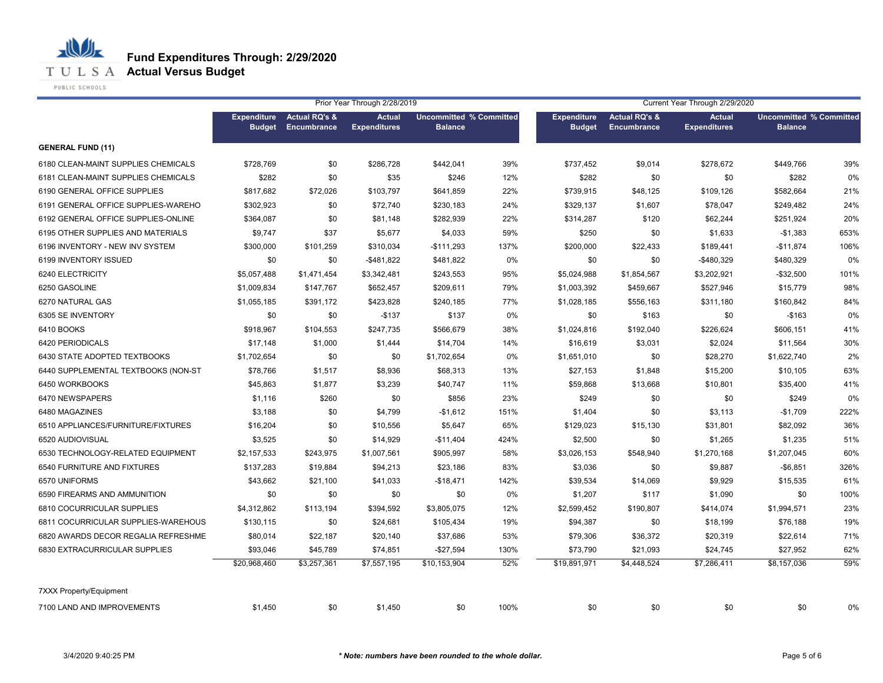**T U L S A Actual Versus Budget** 

PUBLIC SCHOOLS

|                                     |                                     |                                         | Prior Year Through 2/28/2019         |                |                                |                                     |                                         | Current Year Through 2/29/2020       |                                                  |      |
|-------------------------------------|-------------------------------------|-----------------------------------------|--------------------------------------|----------------|--------------------------------|-------------------------------------|-----------------------------------------|--------------------------------------|--------------------------------------------------|------|
|                                     | <b>Expenditure</b><br><b>Budget</b> | <b>Actual RQ's &amp;</b><br>Encumbrance | <b>Actual</b><br><b>Expenditures</b> | <b>Balance</b> | <b>Uncommitted % Committed</b> | <b>Expenditure</b><br><b>Budget</b> | <b>Actual RQ's &amp;</b><br>Encumbrance | <b>Actual</b><br><b>Expenditures</b> | <b>Uncommitted % Committed</b><br><b>Balance</b> |      |
| <b>GENERAL FUND (11)</b>            |                                     |                                         |                                      |                |                                |                                     |                                         |                                      |                                                  |      |
| 6180 CLEAN-MAINT SUPPLIES CHEMICALS | \$728,769                           | \$0                                     | \$286,728                            | \$442,041      | 39%                            | \$737,452                           | \$9,014                                 | \$278,672                            | \$449,766                                        | 39%  |
| 6181 CLEAN-MAINT SUPPLIES CHEMICALS | \$282                               | \$0                                     | \$35                                 | \$246          | 12%                            | \$282                               | \$0                                     | \$0                                  | \$282                                            | 0%   |
| 6190 GENERAL OFFICE SUPPLIES        | \$817,682                           | \$72,026                                | \$103,797                            | \$641,859      | 22%                            | \$739,915                           | \$48,125                                | \$109,126                            | \$582,664                                        | 21%  |
| 6191 GENERAL OFFICE SUPPLIES-WAREHO | \$302,923                           | \$0                                     | \$72,740                             | \$230,183      | 24%                            | \$329,137                           | \$1,607                                 | \$78,047                             | \$249,482                                        | 24%  |
| 6192 GENERAL OFFICE SUPPLIES-ONLINE | \$364,087                           | \$0                                     | \$81,148                             | \$282,939      | 22%                            | \$314,287                           | \$120                                   | \$62,244                             | \$251,924                                        | 20%  |
| 6195 OTHER SUPPLIES AND MATERIALS   | \$9,747                             | \$37                                    | \$5,677                              | \$4,033        | 59%                            | \$250                               | \$0                                     | \$1,633                              | $-$1,383$                                        | 653% |
| 6196 INVENTORY - NEW INV SYSTEM     | \$300,000                           | \$101,259                               | \$310,034                            | $-$111,293$    | 137%                           | \$200,000                           | \$22,433                                | \$189,441                            | $-$11,874$                                       | 106% |
| 6199 INVENTORY ISSUED               | \$0                                 | \$0                                     | $-$ \$481,822                        | \$481,822      | 0%                             | \$0                                 | \$0                                     | $-$480,329$                          | \$480,329                                        | 0%   |
| 6240 ELECTRICITY                    | \$5,057,488                         | \$1,471,454                             | \$3,342,481                          | \$243,553      | 95%                            | \$5,024,988                         | \$1,854,567                             | \$3,202,921                          | $-$32,500$                                       | 101% |
| 6250 GASOLINE                       | \$1,009,834                         | \$147,767                               | \$652,457                            | \$209,611      | 79%                            | \$1,003,392                         | \$459,667                               | \$527,946                            | \$15,779                                         | 98%  |
| 6270 NATURAL GAS                    | \$1,055,185                         | \$391,172                               | \$423,828                            | \$240,185      | 77%                            | \$1,028,185                         | \$556,163                               | \$311,180                            | \$160,842                                        | 84%  |
| 6305 SE INVENTORY                   | \$0                                 | \$0                                     | $-$137$                              | \$137          | 0%                             | \$0                                 | \$163                                   | \$0                                  | $-$163$                                          | 0%   |
| 6410 BOOKS                          | \$918,967                           | \$104,553                               | \$247,735                            | \$566,679      | 38%                            | \$1,024,816                         | \$192,040                               | \$226,624                            | \$606,151                                        | 41%  |
| 6420 PERIODICALS                    | \$17,148                            | \$1,000                                 | \$1,444                              | \$14,704       | 14%                            | \$16,619                            | \$3,031                                 | \$2,024                              | \$11,564                                         | 30%  |
| 6430 STATE ADOPTED TEXTBOOKS        | \$1,702,654                         | \$0                                     | \$0                                  | \$1,702,654    | 0%                             | \$1,651,010                         | \$0                                     | \$28,270                             | \$1,622,740                                      | 2%   |
| 6440 SUPPLEMENTAL TEXTBOOKS (NON-ST | \$78,766                            | \$1,517                                 | \$8,936                              | \$68,313       | 13%                            | \$27,153                            | \$1,848                                 | \$15,200                             | \$10,105                                         | 63%  |
| 6450 WORKBOOKS                      | \$45,863                            | \$1,877                                 | \$3,239                              | \$40,747       | 11%                            | \$59,868                            | \$13,668                                | \$10,801                             | \$35,400                                         | 41%  |
| 6470 NEWSPAPERS                     | \$1,116                             | \$260                                   | \$0                                  | \$856          | 23%                            | \$249                               | \$0                                     | \$0                                  | \$249                                            | 0%   |
| 6480 MAGAZINES                      | \$3,188                             | \$0                                     | \$4,799                              | $-$1,612$      | 151%                           | \$1,404                             | \$0                                     | \$3,113                              | $-$1,709$                                        | 222% |
| 6510 APPLIANCES/FURNITURE/FIXTURES  | \$16,204                            | \$0                                     | \$10,556                             | \$5,647        | 65%                            | \$129,023                           | \$15,130                                | \$31,801                             | \$82,092                                         | 36%  |
| 6520 AUDIOVISUAL                    | \$3,525                             | \$0                                     | \$14,929                             | $-$11,404$     | 424%                           | \$2,500                             | \$0                                     | \$1,265                              | \$1,235                                          | 51%  |
| 6530 TECHNOLOGY-RELATED EQUIPMENT   | \$2,157,533                         | \$243,975                               | \$1,007,561                          | \$905,997      | 58%                            | \$3,026,153                         | \$548,940                               | \$1,270,168                          | \$1,207,045                                      | 60%  |
| 6540 FURNITURE AND FIXTURES         | \$137,283                           | \$19,884                                | \$94,213                             | \$23,186       | 83%                            | \$3,036                             | \$0                                     | \$9,887                              | $-$6,851$                                        | 326% |
| 6570 UNIFORMS                       | \$43,662                            | \$21,100                                | \$41,033                             | $-$18,471$     | 142%                           | \$39,534                            | \$14,069                                | \$9,929                              | \$15,535                                         | 61%  |
| 6590 FIREARMS AND AMMUNITION        | \$0                                 | \$0                                     | \$0                                  | \$0            | 0%                             | \$1,207                             | \$117                                   | \$1,090                              | \$0                                              | 100% |
| 6810 COCURRICULAR SUPPLIES          | \$4,312,862                         | \$113,194                               | \$394,592                            | \$3,805,075    | 12%                            | \$2,599,452                         | \$190,807                               | \$414,074                            | \$1,994,571                                      | 23%  |
| 6811 COCURRICULAR SUPPLIES-WAREHOUS | \$130,115                           | \$0                                     | \$24,681                             | \$105,434      | 19%                            | \$94,387                            | \$0                                     | \$18,199                             | \$76,188                                         | 19%  |
| 6820 AWARDS DECOR REGALIA REFRESHME | \$80,014                            | \$22,187                                | \$20,140                             | \$37,686       | 53%                            | \$79,306                            | \$36,372                                | \$20,319                             | \$22,614                                         | 71%  |
| 6830 EXTRACURRICULAR SUPPLIES       | \$93,046                            | \$45,789                                | \$74,851                             | $-$27,594$     | 130%                           | \$73,790                            | \$21,093                                | \$24,745                             | \$27,952                                         | 62%  |
|                                     | \$20,968,460                        | \$3,257,361                             | \$7,557,195                          | \$10,153,904   | 52%                            | \$19,891,971                        | \$4,448,524                             | \$7,286,411                          | \$8,157,036                                      | 59%  |
| 7XXX Property/Equipment             |                                     |                                         |                                      |                |                                |                                     |                                         |                                      |                                                  |      |
| 7100 LAND AND IMPROVEMENTS          | \$1,450                             | \$0                                     | \$1.450                              | \$0            | 100%                           | \$0                                 | \$0                                     | \$0                                  | \$0                                              | 0%   |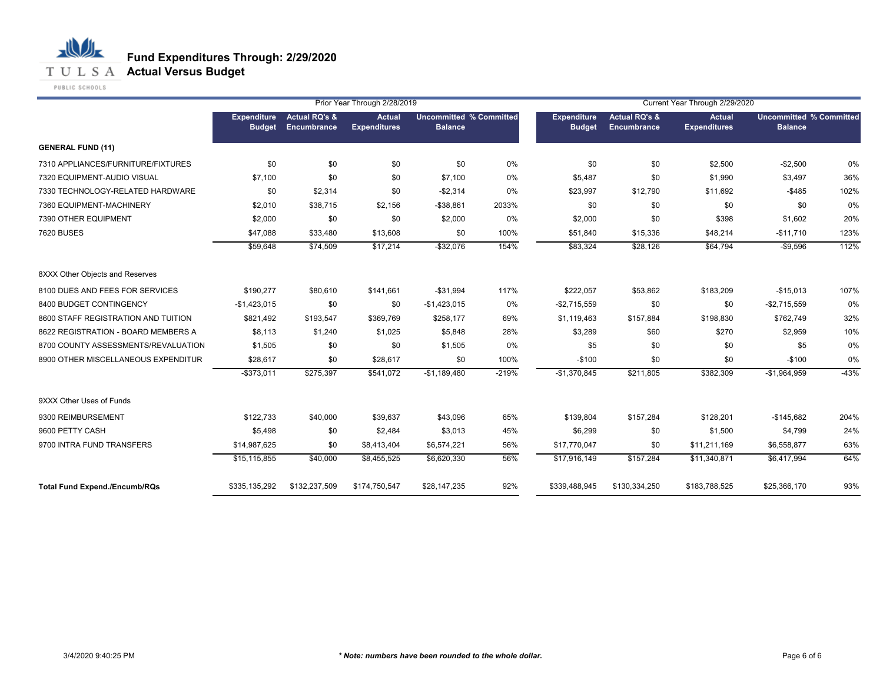

**T U L S A Actual Versus Budget** 

PUBLIC SCHOOLS

|                                      |                              |                                                | Prior Year Through 2/28/2019         |                                                  | Current Year Through 2/29/2020 |                                     |                                         |                               |                                                  |        |
|--------------------------------------|------------------------------|------------------------------------------------|--------------------------------------|--------------------------------------------------|--------------------------------|-------------------------------------|-----------------------------------------|-------------------------------|--------------------------------------------------|--------|
|                                      | Expenditure<br><b>Budget</b> | <b>Actual RQ's &amp;</b><br><b>Encumbrance</b> | <b>Actual</b><br><b>Expenditures</b> | <b>Uncommitted % Committed</b><br><b>Balance</b> |                                | <b>Expenditure</b><br><b>Budget</b> | <b>Actual RQ's &amp;</b><br>Encumbrance | Actual<br><b>Expenditures</b> | <b>Uncommitted % Committed</b><br><b>Balance</b> |        |
| <b>GENERAL FUND (11)</b>             |                              |                                                |                                      |                                                  |                                |                                     |                                         |                               |                                                  |        |
| 7310 APPLIANCES/FURNITURE/FIXTURES   | \$0                          | \$0                                            | \$0                                  | \$0                                              | 0%                             | \$0                                 | \$0                                     | \$2,500                       | $-$2,500$                                        | 0%     |
| 7320 EQUIPMENT-AUDIO VISUAL          | \$7,100                      | \$0                                            | \$0                                  | \$7,100                                          | 0%                             | \$5,487                             | \$0                                     | \$1,990                       | \$3,497                                          | 36%    |
| 7330 TECHNOLOGY-RELATED HARDWARE     | \$0                          | \$2,314                                        | \$0                                  | $-$2,314$                                        | 0%                             | \$23,997                            | \$12,790                                | \$11,692                      | $-$485$                                          | 102%   |
| 7360 EQUIPMENT-MACHINERY             | \$2,010                      | \$38,715                                       | \$2,156                              | $- $38,861$                                      | 2033%                          | \$0                                 | \$0                                     | \$0                           | \$0                                              | 0%     |
| 7390 OTHER EQUIPMENT                 | \$2,000                      | \$0                                            | \$0                                  | \$2,000                                          | 0%                             | \$2,000                             | \$0                                     | \$398                         | \$1,602                                          | 20%    |
| <b>7620 BUSES</b>                    | \$47,088                     | \$33,480                                       | \$13,608                             | \$0                                              | 100%                           | \$51,840                            | \$15,336                                | \$48,214                      | $-$11,710$                                       | 123%   |
|                                      | \$59,648                     | \$74,509                                       | \$17,214                             | $-$ \$32,076                                     | 154%                           | \$83,324                            | \$28,126                                | \$64,794                      | $-$9,596$                                        | 112%   |
| 8XXX Other Objects and Reserves      |                              |                                                |                                      |                                                  |                                |                                     |                                         |                               |                                                  |        |
| 8100 DUES AND FEES FOR SERVICES      | \$190,277                    | \$80,610                                       | \$141,661                            | $-$31,994$                                       | 117%                           | \$222,057                           | \$53,862                                | \$183,209                     | $-$15,013$                                       | 107%   |
| 8400 BUDGET CONTINGENCY              | $-$1,423,015$                | \$0                                            | \$0                                  | $-$1,423,015$                                    | 0%                             | $-$2,715,559$                       | \$0                                     | \$0                           | $-$2,715,559$                                    | 0%     |
| 8600 STAFF REGISTRATION AND TUITION  | \$821,492                    | \$193,547                                      | \$369,769                            | \$258,177                                        | 69%                            | \$1,119,463                         | \$157,884                               | \$198,830                     | \$762,749                                        | 32%    |
| 8622 REGISTRATION - BOARD MEMBERS A  | \$8,113                      | \$1,240                                        | \$1,025                              | \$5,848                                          | 28%                            | \$3,289                             | \$60                                    | \$270                         | \$2,959                                          | 10%    |
| 8700 COUNTY ASSESSMENTS/REVALUATION  | \$1,505                      | \$0                                            | \$0                                  | \$1,505                                          | 0%                             | \$5                                 | \$0                                     | \$0                           | \$5                                              | 0%     |
| 8900 OTHER MISCELLANEOUS EXPENDITUR  | \$28,617                     | \$0                                            | \$28,617                             | \$0                                              | 100%                           | $-$100$                             | \$0                                     | \$0                           | $-$100$                                          | 0%     |
|                                      | $-$ \$373,011                | \$275,397                                      | \$541,072                            | $-$1,189,480$                                    | $-219%$                        | $-$1,370,845$                       | \$211,805                               | \$382,309                     | $-$1,964,959$                                    | $-43%$ |
| 9XXX Other Uses of Funds             |                              |                                                |                                      |                                                  |                                |                                     |                                         |                               |                                                  |        |
| 9300 REIMBURSEMENT                   | \$122,733                    | \$40,000                                       | \$39,637                             | \$43,096                                         | 65%                            | \$139,804                           | \$157,284                               | \$128,201                     | $-$145,682$                                      | 204%   |
| 9600 PETTY CASH                      | \$5,498                      | \$0                                            | \$2,484                              | \$3,013                                          | 45%                            | \$6,299                             | \$0                                     | \$1,500                       | \$4,799                                          | 24%    |
| 9700 INTRA FUND TRANSFERS            | \$14,987,625                 | \$0                                            | \$8,413,404                          | \$6,574,221                                      | 56%                            | \$17,770,047                        | \$0                                     | \$11,211,169                  | \$6,558,877                                      | 63%    |
|                                      | \$15,115,855                 | \$40,000                                       | \$8,455,525                          | \$6,620,330                                      | 56%                            | \$17,916,149                        | \$157,284                               | \$11,340,871                  | \$6,417,994                                      | 64%    |
| <b>Total Fund Expend./Encumb/RQs</b> | \$335,135,292                | \$132,237,509                                  | \$174,750,547                        | \$28,147,235                                     | 92%                            | \$339,488,945                       | \$130,334,250                           | \$183,788,525                 | \$25,366,170                                     | 93%    |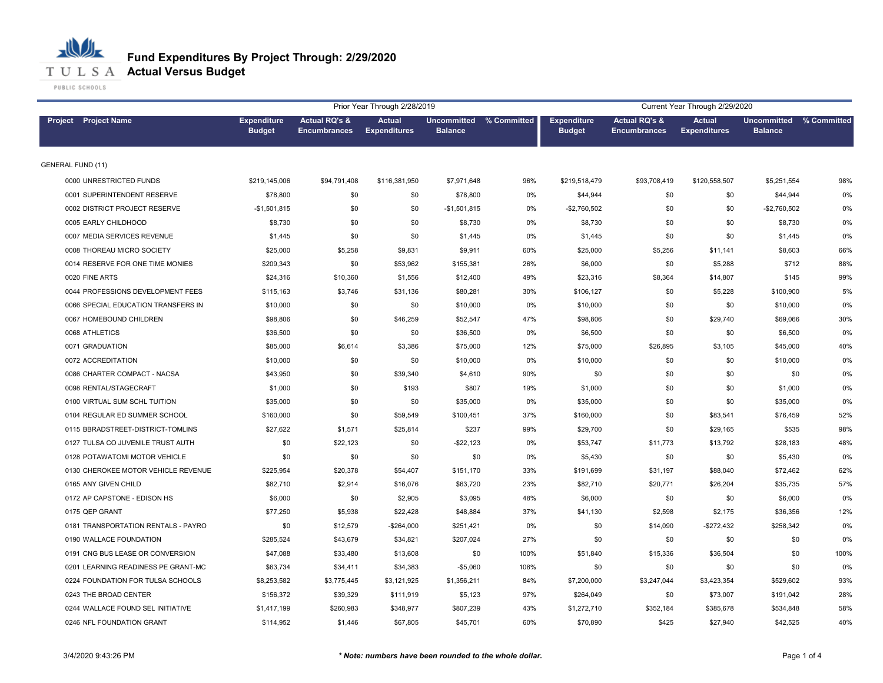

| Prior Year Through 2/28/2019<br><b>Actual RQ's &amp;</b><br><b>Actual</b><br>Uncommitted % Committed<br><b>Actual RQ's &amp;</b> |                                     |                     |                     |                |       |                                     | Current Year Through 2/29/2020 |                                      |                                      |             |
|----------------------------------------------------------------------------------------------------------------------------------|-------------------------------------|---------------------|---------------------|----------------|-------|-------------------------------------|--------------------------------|--------------------------------------|--------------------------------------|-------------|
| Project Project Name                                                                                                             | <b>Expenditure</b><br><b>Budget</b> | <b>Encumbrances</b> | <b>Expenditures</b> | <b>Balance</b> |       | <b>Expenditure</b><br><b>Budget</b> | <b>Encumbrances</b>            | <b>Actual</b><br><b>Expenditures</b> | <b>Uncommitted</b><br><b>Balance</b> | % Committed |
| <b>GENERAL FUND (11)</b>                                                                                                         |                                     |                     |                     |                |       |                                     |                                |                                      |                                      |             |
| 0000 UNRESTRICTED FUNDS                                                                                                          | \$219,145,006                       | \$94,791,408        | \$116,381,950       | \$7,971,648    | 96%   | \$219,518,479                       | \$93,708,419                   | \$120,558,507                        | \$5,251,554                          | 98%         |
| 0001 SUPERINTENDENT RESERVE                                                                                                      | \$78,800                            | \$0                 | \$0                 | \$78,800       | $0\%$ | \$44,944                            | \$0                            | \$0                                  | \$44,944                             | 0%          |
| 0002 DISTRICT PROJECT RESERVE                                                                                                    | $-$1,501,815$                       | \$0                 | \$0                 | $-$1,501,815$  | $0\%$ | $-$2,760,502$                       | \$0                            | \$0                                  | $-$2,760,502$                        | 0%          |
| 0005 EARLY CHILDHOOD                                                                                                             | \$8,730                             | \$0                 | \$0                 | \$8,730        | 0%    | \$8,730                             | \$0                            | \$0                                  | \$8,730                              | 0%          |
| 0007 MEDIA SERVICES REVENUE                                                                                                      | \$1,445                             | \$0                 | \$0                 | \$1,445        | $0\%$ | \$1,445                             | \$0                            | \$0                                  | \$1,445                              | 0%          |
| 0008 THOREAU MICRO SOCIETY                                                                                                       | \$25,000                            | \$5,258             | \$9,831             | \$9,911        | 60%   | \$25,000                            | \$5,256                        | \$11,141                             | \$8,603                              | 66%         |
| 0014 RESERVE FOR ONE TIME MONIES                                                                                                 | \$209,343                           | \$0                 | \$53,962            | \$155,381      | 26%   | \$6,000                             | \$0                            | \$5,288                              | \$712                                | 88%         |
| 0020 FINE ARTS                                                                                                                   | \$24,316                            | \$10,360            | \$1,556             | \$12,400       | 49%   | \$23,316                            | \$8,364                        | \$14,807                             | \$145                                | 99%         |
| 0044 PROFESSIONS DEVELOPMENT FEES                                                                                                | \$115,163                           | \$3,746             | \$31,136            | \$80,281       | 30%   | \$106,127                           | \$0                            | \$5,228                              | \$100,900                            | 5%          |
| 0066 SPECIAL EDUCATION TRANSFERS IN                                                                                              | \$10,000                            | \$0                 | \$0                 | \$10,000       | 0%    | \$10,000                            | \$0                            | \$0                                  | \$10,000                             | 0%          |
| 0067 HOMEBOUND CHILDREN                                                                                                          | \$98,806                            | \$0                 | \$46,259            | \$52,547       | 47%   | \$98,806                            | \$0                            | \$29,740                             | \$69,066                             | 30%         |
| 0068 ATHLETICS                                                                                                                   | \$36,500                            | \$0                 | \$0                 | \$36,500       | 0%    | \$6,500                             | \$0                            | \$0                                  | \$6,500                              | 0%          |
| 0071 GRADUATION                                                                                                                  | \$85,000                            | \$6,614             | \$3,386             | \$75,000       | 12%   | \$75,000                            | \$26,895                       | \$3,105                              | \$45,000                             | 40%         |
| 0072 ACCREDITATION                                                                                                               | \$10,000                            | \$0                 | \$0                 | \$10,000       | 0%    | \$10,000                            | \$0                            | \$0                                  | \$10,000                             | 0%          |
| 0086 CHARTER COMPACT - NACSA                                                                                                     | \$43,950                            | \$0                 | \$39,340            | \$4,610        | 90%   | \$0                                 | \$0                            | \$0                                  | \$0                                  | 0%          |
| 0098 RENTAL/STAGECRAFT                                                                                                           | \$1,000                             | \$0                 | \$193               | \$807          | 19%   | \$1,000                             | \$0                            | \$0                                  | \$1,000                              | 0%          |
| 0100 VIRTUAL SUM SCHL TUITION                                                                                                    | \$35,000                            | \$0                 | \$0                 | \$35,000       | 0%    | \$35,000                            | \$0                            | \$0                                  | \$35,000                             | 0%          |
| 0104 REGULAR ED SUMMER SCHOOL                                                                                                    | \$160,000                           | \$0                 | \$59,549            | \$100,451      | 37%   | \$160,000                           | \$0                            | \$83,541                             | \$76,459                             | 52%         |
| 0115 BBRADSTREET-DISTRICT-TOMLINS                                                                                                | \$27,622                            | \$1,571             | \$25,814            | \$237          | 99%   | \$29,700                            | \$0                            | \$29,165                             | \$535                                | 98%         |
| 0127 TULSA CO JUVENILE TRUST AUTH                                                                                                | \$0                                 | \$22,123            | \$0                 | $-$ \$22,123   | 0%    | \$53,747                            | \$11,773                       | \$13,792                             | \$28,183                             | 48%         |
| 0128 POTAWATOMI MOTOR VEHICLE                                                                                                    | \$0                                 | \$0                 | \$0                 | \$0            | 0%    | \$5,430                             | \$0                            | \$0                                  | \$5,430                              | 0%          |
| 0130 CHEROKEE MOTOR VEHICLE REVENUE                                                                                              | \$225,954                           | \$20,378            | \$54,407            | \$151,170      | 33%   | \$191,699                           | \$31,197                       | \$88,040                             | \$72,462                             | 62%         |
| 0165 ANY GIVEN CHILD                                                                                                             | \$82,710                            | \$2,914             | \$16,076            | \$63,720       | 23%   | \$82,710                            | \$20,771                       | \$26,204                             | \$35,735                             | 57%         |
| 0172 AP CAPSTONE - EDISON HS                                                                                                     | \$6,000                             | \$0                 | \$2,905             | \$3,095        | 48%   | \$6,000                             | \$0                            | \$0                                  | \$6,000                              | 0%          |
| 0175 QEP GRANT                                                                                                                   | \$77,250                            | \$5,938             | \$22,428            | \$48,884       | 37%   | \$41,130                            | \$2,598                        | \$2,175                              | \$36,356                             | 12%         |
| 0181 TRANSPORTATION RENTALS - PAYRO                                                                                              | \$0                                 | \$12,579            | -\$264,000          | \$251,421      | 0%    | \$0                                 | \$14,090                       | $-$272,432$                          | \$258,342                            | 0%          |
| 0190 WALLACE FOUNDATION                                                                                                          | \$285,524                           | \$43,679            | \$34,821            | \$207,024      | 27%   | \$0                                 | \$0                            | \$0                                  | \$0                                  | 0%          |
| 0191 CNG BUS LEASE OR CONVERSION                                                                                                 | \$47,088                            | \$33,480            | \$13,608            | \$0            | 100%  | \$51,840                            | \$15,336                       | \$36,504                             | \$0                                  | 100%        |
| 0201 LEARNING READINESS PE GRANT-MC                                                                                              | \$63,734                            | \$34,411            | \$34,383            | $-$5,060$      | 108%  | \$0                                 | \$0                            | \$0                                  | \$0                                  | 0%          |
| 0224 FOUNDATION FOR TULSA SCHOOLS                                                                                                | \$8,253,582                         | \$3,775,445         | \$3,121,925         | \$1,356,211    | 84%   | \$7,200,000                         | \$3,247,044                    | \$3,423,354                          | \$529,602                            | 93%         |
| 0243 THE BROAD CENTER                                                                                                            | \$156,372                           | \$39,329            | \$111,919           | \$5,123        | 97%   | \$264,049                           | \$0                            | \$73,007                             | \$191,042                            | 28%         |
| 0244 WALLACE FOUND SEL INITIATIVE                                                                                                | \$1,417,199                         | \$260,983           | \$348,977           | \$807,239      | 43%   | \$1,272,710                         | \$352,184                      | \$385,678                            | \$534,848                            | 58%         |
| 0246 NFL FOUNDATION GRANT                                                                                                        | \$114,952                           | \$1,446             | \$67,805            | \$45,701       | 60%   | \$70,890                            | \$425                          | \$27,940                             | \$42,525                             | 40%         |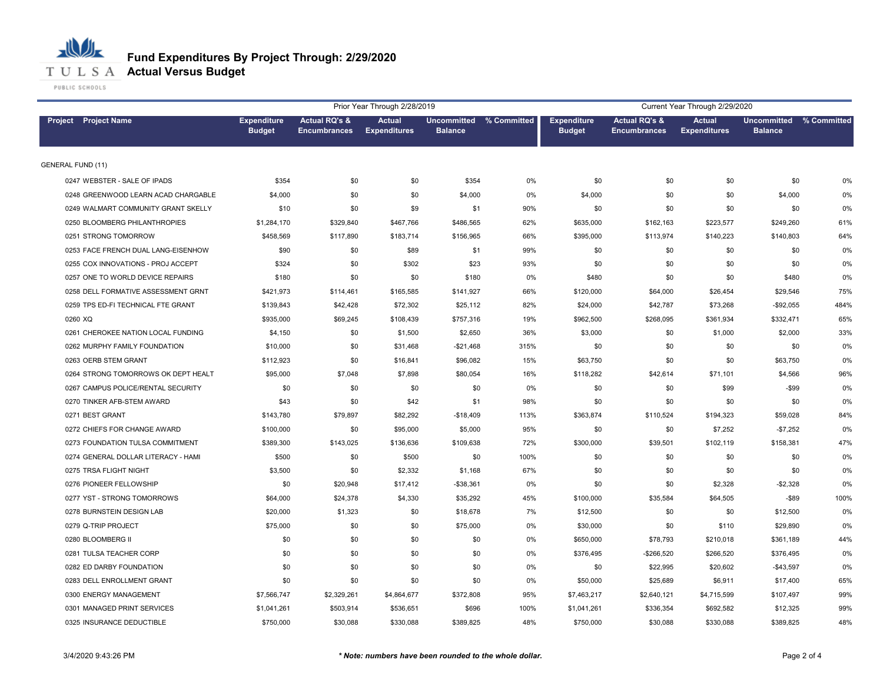

**T U L S A Actual Versus Budget** 

PUBLIC SCHOOLS

|                                     |                                     |                                                 | Prior Year Through 2/28/2019         |                |                         |                                     |                                                 | Current Year Through 2/29/2020       |                                      |             |
|-------------------------------------|-------------------------------------|-------------------------------------------------|--------------------------------------|----------------|-------------------------|-------------------------------------|-------------------------------------------------|--------------------------------------|--------------------------------------|-------------|
| Project Project Name                | <b>Expenditure</b><br><b>Budget</b> | <b>Actual RQ's &amp;</b><br><b>Encumbrances</b> | <b>Actual</b><br><b>Expenditures</b> | <b>Balance</b> | Uncommitted % Committed | <b>Expenditure</b><br><b>Budget</b> | <b>Actual RQ's &amp;</b><br><b>Encumbrances</b> | <b>Actual</b><br><b>Expenditures</b> | <b>Uncommitted</b><br><b>Balance</b> | % Committed |
| <b>GENERAL FUND (11)</b>            |                                     |                                                 |                                      |                |                         |                                     |                                                 |                                      |                                      |             |
| 0247 WEBSTER - SALE OF IPADS        | \$354                               | \$0                                             | \$0                                  | \$354          | 0%                      | \$0                                 | \$0                                             | \$0                                  | \$0                                  | 0%          |
| 0248 GREENWOOD LEARN ACAD CHARGABLE | \$4,000                             | \$0                                             | \$0                                  | \$4,000        | $0\%$                   | \$4,000                             | \$0                                             | \$0                                  | \$4,000                              | 0%          |
| 0249 WALMART COMMUNITY GRANT SKELLY | \$10                                | \$0                                             | \$9                                  | \$1            | 90%                     | \$0                                 | \$0                                             | \$0                                  | \$0                                  | 0%          |
| 0250 BLOOMBERG PHILANTHROPIES       | \$1,284,170                         | \$329,840                                       | \$467,766                            | \$486,565      | 62%                     | \$635,000                           | \$162,163                                       | \$223,577                            | \$249,260                            | 61%         |
| 0251 STRONG TOMORROW                | \$458,569                           | \$117,890                                       | \$183,714                            | \$156,965      | 66%                     | \$395,000                           | \$113,974                                       | \$140,223                            | \$140,803                            | 64%         |
| 0253 FACE FRENCH DUAL LANG-EISENHOW | \$90                                | \$0                                             | \$89                                 | \$1            | 99%                     | \$0                                 | \$0                                             | \$0                                  | \$0                                  | 0%          |
| 0255 COX INNOVATIONS - PROJ ACCEPT  | \$324                               | \$0                                             | \$302                                | \$23           | 93%                     | \$0                                 | \$0                                             | \$0                                  | \$0                                  | 0%          |
| 0257 ONE TO WORLD DEVICE REPAIRS    | \$180                               | \$0                                             | \$0                                  | \$180          | 0%                      | \$480                               | \$0                                             | \$0                                  | \$480                                | 0%          |
| 0258 DELL FORMATIVE ASSESSMENT GRNT | \$421,973                           | \$114,461                                       | \$165,585                            | \$141,927      | 66%                     | \$120,000                           | \$64,000                                        | \$26,454                             | \$29,546                             | 75%         |
| 0259 TPS ED-FI TECHNICAL FTE GRANT  | \$139,843                           | \$42,428                                        | \$72,302                             | \$25,112       | 82%                     | \$24,000                            | \$42,787                                        | \$73,268                             | $-$92,055$                           | 484%        |
| 0260 XQ                             | \$935,000                           | \$69,245                                        | \$108,439                            | \$757,316      | 19%                     | \$962,500                           | \$268,095                                       | \$361,934                            | \$332,471                            | 65%         |
| 0261 CHEROKEE NATION LOCAL FUNDING  | \$4,150                             | \$0                                             | \$1,500                              | \$2,650        | 36%                     | \$3,000                             | \$0                                             | \$1,000                              | \$2,000                              | 33%         |
| 0262 MURPHY FAMILY FOUNDATION       | \$10,000                            | \$0                                             | \$31,468                             | $-$21,468$     | 315%                    | \$0                                 | \$0                                             | \$0                                  | \$0                                  | 0%          |
| 0263 OERB STEM GRANT                | \$112,923                           | \$0                                             | \$16,841                             | \$96,082       | 15%                     | \$63,750                            | \$0                                             | \$0                                  | \$63,750                             | 0%          |
| 0264 STRONG TOMORROWS OK DEPT HEALT | \$95,000                            | \$7,048                                         | \$7,898                              | \$80,054       | 16%                     | \$118,282                           | \$42,614                                        | \$71,101                             | \$4,566                              | 96%         |
| 0267 CAMPUS POLICE/RENTAL SECURITY  | \$0                                 | \$0                                             | \$0                                  | \$0            | 0%                      | \$0                                 | \$0                                             | \$99                                 | $-$ \$99                             | 0%          |
| 0270 TINKER AFB-STEM AWARD          | \$43                                | \$0                                             | \$42                                 | \$1            | 98%                     | \$0                                 | \$0                                             | \$0                                  | \$0                                  | 0%          |
| 0271 BEST GRANT                     | \$143,780                           | \$79,897                                        | \$82,292                             | $-$18,409$     | 113%                    | \$363,874                           | \$110,524                                       | \$194,323                            | \$59,028                             | 84%         |
| 0272 CHIEFS FOR CHANGE AWARD        | \$100,000                           | \$0                                             | \$95,000                             | \$5,000        | 95%                     | \$0                                 | \$0                                             | \$7,252                              | $-$7,252$                            | 0%          |
| 0273 FOUNDATION TULSA COMMITMENT    | \$389,300                           | \$143,025                                       | \$136,636                            | \$109,638      | 72%                     | \$300,000                           | \$39,501                                        | \$102,119                            | \$158,381                            | 47%         |
| 0274 GENERAL DOLLAR LITERACY - HAMI | \$500                               | \$0                                             | \$500                                | \$0            | 100%                    | \$0                                 | \$0                                             | \$0                                  | \$0                                  | 0%          |
| 0275 TRSA FLIGHT NIGHT              | \$3,500                             | \$0                                             | \$2,332                              | \$1,168        | 67%                     | \$0                                 | \$0                                             | \$0                                  | \$0                                  | 0%          |
| 0276 PIONEER FELLOWSHIP             | \$0                                 | \$20,948                                        | \$17,412                             | $-$38,361$     | 0%                      | \$0                                 | \$0                                             | \$2,328                              | $-$2,328$                            | 0%          |
| 0277 YST - STRONG TOMORROWS         | \$64,000                            | \$24,378                                        | \$4,330                              | \$35,292       | 45%                     | \$100,000                           | \$35,584                                        | \$64,505                             | $-$ \$89                             | 100%        |
| 0278 BURNSTEIN DESIGN LAB           | \$20,000                            | \$1,323                                         | \$0                                  | \$18,678       | 7%                      | \$12,500                            | \$0                                             | \$0                                  | \$12,500                             | 0%          |
| 0279 Q-TRIP PROJECT                 | \$75,000                            | \$0                                             | \$0                                  | \$75,000       | $0\%$                   | \$30,000                            | \$0                                             | \$110                                | \$29,890                             | 0%          |
| 0280 BLOOMBERG II                   | \$0                                 | \$0                                             | \$0                                  | \$0            | 0%                      | \$650,000                           | \$78,793                                        | \$210,018                            | \$361,189                            | 44%         |
| 0281 TULSA TEACHER CORP             | \$0                                 | \$0                                             | \$0                                  | \$0            | 0%                      | \$376,495                           | -\$266,520                                      | \$266,520                            | \$376,495                            | 0%          |
| 0282 ED DARBY FOUNDATION            | \$0                                 | \$0                                             | \$0                                  | \$0            | 0%                      | \$0                                 | \$22,995                                        | \$20,602                             | $-$43,597$                           | 0%          |
| 0283 DELL ENROLLMENT GRANT          | \$0                                 | \$0                                             | \$0                                  | \$0            | 0%                      | \$50,000                            | \$25,689                                        | \$6,911                              | \$17,400                             | 65%         |
| 0300 ENERGY MANAGEMENT              | \$7,566,747                         | \$2,329,261                                     | \$4,864,677                          | \$372,808      | 95%                     | \$7,463,217                         | \$2,640,121                                     | \$4,715,599                          | \$107,497                            | 99%         |
| 0301 MANAGED PRINT SERVICES         | \$1,041,261                         | \$503,914                                       | \$536,651                            | \$696          | 100%                    | \$1,041,261                         | \$336,354                                       | \$692,582                            | \$12,325                             | 99%         |
| 0325 INSURANCE DEDUCTIBLE           | \$750,000                           | \$30,088                                        | \$330,088                            | \$389,825      | 48%                     | \$750,000                           | \$30,088                                        | \$330,088                            | \$389,825                            | 48%         |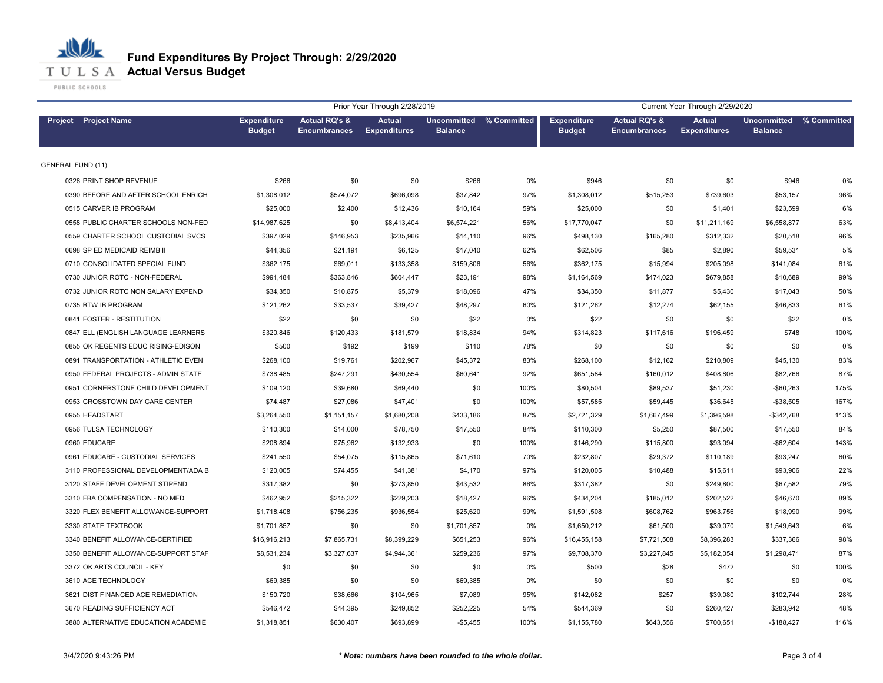

|                                     | Prior Year Through 2/28/2019<br>Current Year Through 2/29/2020<br>Uncommitted % Committed |                                                 |                                      |                |       |                                     |                                                 |                                      |                                      |             |
|-------------------------------------|-------------------------------------------------------------------------------------------|-------------------------------------------------|--------------------------------------|----------------|-------|-------------------------------------|-------------------------------------------------|--------------------------------------|--------------------------------------|-------------|
| <b>Project</b> Project Name         | <b>Expenditure</b><br><b>Budget</b>                                                       | <b>Actual RQ's &amp;</b><br><b>Encumbrances</b> | <b>Actual</b><br><b>Expenditures</b> | <b>Balance</b> |       | <b>Expenditure</b><br><b>Budget</b> | <b>Actual RQ's &amp;</b><br><b>Encumbrances</b> | <b>Actual</b><br><b>Expenditures</b> | <b>Uncommitted</b><br><b>Balance</b> | % Committed |
| <b>GENERAL FUND (11)</b>            |                                                                                           |                                                 |                                      |                |       |                                     |                                                 |                                      |                                      |             |
| 0326 PRINT SHOP REVENUE             | \$266                                                                                     | \$0                                             | \$0                                  | \$266          | $0\%$ | \$946                               | \$0                                             | \$0                                  | \$946                                | 0%          |
| 0390 BEFORE AND AFTER SCHOOL ENRICH | \$1,308,012                                                                               | \$574,072                                       | \$696,098                            | \$37,842       | 97%   | \$1,308,012                         | \$515,253                                       | \$739,603                            | \$53,157                             | 96%         |
| 0515 CARVER IB PROGRAM              | \$25,000                                                                                  | \$2,400                                         | \$12,436                             | \$10,164       | 59%   | \$25,000                            | \$0                                             | \$1,401                              | \$23,599                             | 6%          |
| 0558 PUBLIC CHARTER SCHOOLS NON-FED | \$14,987,625                                                                              | \$0                                             | \$8,413,404                          | \$6,574,221    | 56%   | \$17,770,047                        | \$0                                             | \$11,211,169                         | \$6,558,877                          | 63%         |
| 0559 CHARTER SCHOOL CUSTODIAL SVCS  | \$397.029                                                                                 | \$146,953                                       | \$235,966                            | \$14,110       | 96%   | \$498,130                           | \$165,280                                       | \$312,332                            | \$20,518                             | 96%         |
| 0698 SP ED MEDICAID REIMB II        | \$44,356                                                                                  | \$21,191                                        | \$6,125                              | \$17,040       | 62%   | \$62,506                            | \$85                                            | \$2,890                              | \$59,531                             | 5%          |
| 0710 CONSOLIDATED SPECIAL FUND      | \$362,175                                                                                 | \$69,011                                        | \$133,358                            | \$159,806      | 56%   | \$362,175                           | \$15,994                                        | \$205,098                            | \$141,084                            | 61%         |
| 0730 JUNIOR ROTC - NON-FEDERAL      | \$991,484                                                                                 | \$363,846                                       | \$604,447                            | \$23,191       | 98%   | \$1,164,569                         | \$474,023                                       | \$679,858                            | \$10,689                             | 99%         |
| 0732 JUNIOR ROTC NON SALARY EXPEND  | \$34,350                                                                                  | \$10,875                                        | \$5,379                              | \$18,096       | 47%   | \$34,350                            | \$11,877                                        | \$5,430                              | \$17,043                             | 50%         |
| 0735 BTW IB PROGRAM                 | \$121,262                                                                                 | \$33,537                                        | \$39,427                             | \$48,297       | 60%   | \$121,262                           | \$12,274                                        | \$62,155                             | \$46,833                             | 61%         |
| 0841 FOSTER - RESTITUTION           | \$22                                                                                      | \$0                                             | \$0                                  | \$22           | 0%    | \$22                                | \$0                                             | \$0                                  | \$22                                 | 0%          |
| 0847 ELL (ENGLISH LANGUAGE LEARNERS | \$320,846                                                                                 | \$120,433                                       | \$181,579                            | \$18,834       | 94%   | \$314,823                           | \$117,616                                       | \$196,459                            | \$748                                | 100%        |
| 0855 OK REGENTS EDUC RISING-EDISON  | \$500                                                                                     | \$192                                           | \$199                                | \$110          | 78%   | \$0                                 | \$0                                             | \$0                                  | \$0                                  | 0%          |
| 0891 TRANSPORTATION - ATHLETIC EVEN | \$268,100                                                                                 | \$19,761                                        | \$202,967                            | \$45,372       | 83%   | \$268,100                           | \$12,162                                        | \$210,809                            | \$45,130                             | 83%         |
| 0950 FEDERAL PROJECTS - ADMIN STATE | \$738,485                                                                                 | \$247,291                                       | \$430,554                            | \$60,641       | 92%   | \$651,584                           | \$160,012                                       | \$408,806                            | \$82,766                             | 87%         |
| 0951 CORNERSTONE CHILD DEVELOPMENT  | \$109,120                                                                                 | \$39,680                                        | \$69,440                             | \$0            | 100%  | \$80,504                            | \$89,537                                        | \$51,230                             | $-$60,263$                           | 175%        |
| 0953 CROSSTOWN DAY CARE CENTER      | \$74,487                                                                                  | \$27,086                                        | \$47,401                             | \$0            | 100%  | \$57,585                            | \$59,445                                        | \$36,645                             | $-$38,505$                           | 167%        |
| 0955 HEADSTART                      | \$3,264,550                                                                               | \$1,151,157                                     | \$1,680,208                          | \$433,186      | 87%   | \$2,721,329                         | \$1,667,499                                     | \$1,396,598                          | $-$ \$342,768                        | 113%        |
| 0956 TULSA TECHNOLOGY               | \$110,300                                                                                 | \$14,000                                        | \$78,750                             | \$17,550       | 84%   | \$110,300                           | \$5,250                                         | \$87,500                             | \$17,550                             | 84%         |
| 0960 EDUCARE                        | \$208,894                                                                                 | \$75,962                                        | \$132,933                            | \$0            | 100%  | \$146,290                           | \$115,800                                       | \$93,094                             | $-$62,604$                           | 143%        |
| 0961 EDUCARE - CUSTODIAL SERVICES   | \$241,550                                                                                 | \$54,075                                        | \$115,865                            | \$71,610       | 70%   | \$232,807                           | \$29,372                                        | \$110,189                            | \$93,247                             | 60%         |
| 3110 PROFESSIONAL DEVELOPMENT/ADA B | \$120,005                                                                                 | \$74,455                                        | \$41,381                             | \$4,170        | 97%   | \$120,005                           | \$10,488                                        | \$15,611                             | \$93,906                             | 22%         |
| 3120 STAFF DEVELOPMENT STIPEND      | \$317,382                                                                                 | \$0                                             | \$273,850                            | \$43,532       | 86%   | \$317,382                           | \$0                                             | \$249,800                            | \$67,582                             | 79%         |
| 3310 FBA COMPENSATION - NO MED      | \$462,952                                                                                 | \$215,322                                       | \$229,203                            | \$18,427       | 96%   | \$434,204                           | \$185,012                                       | \$202,522                            | \$46,670                             | 89%         |
| 3320 FLEX BENEFIT ALLOWANCE-SUPPORT | \$1,718,408                                                                               | \$756,235                                       | \$936,554                            | \$25,620       | 99%   | \$1,591,508                         | \$608,762                                       | \$963,756                            | \$18,990                             | 99%         |
| 3330 STATE TEXTBOOK                 | \$1,701,857                                                                               | \$0                                             | \$0                                  | \$1,701,857    | 0%    | \$1,650,212                         | \$61,500                                        | \$39,070                             | \$1,549,643                          | 6%          |
| 3340 BENEFIT ALLOWANCE-CERTIFIED    | \$16,916,213                                                                              | \$7,865,731                                     | \$8,399,229                          | \$651,253      | 96%   | \$16,455,158                        | \$7,721,508                                     | \$8,396,283                          | \$337,366                            | 98%         |
| 3350 BENEFIT ALLOWANCE-SUPPORT STAF | \$8,531,234                                                                               | \$3,327,637                                     | \$4,944,361                          | \$259,236      | 97%   | \$9,708,370                         | \$3,227,845                                     | \$5,182,054                          | \$1,298,471                          | 87%         |
| 3372 OK ARTS COUNCIL - KEY          | \$0                                                                                       | \$0                                             | \$0                                  | \$0            | 0%    | \$500                               | \$28                                            | \$472                                | \$0                                  | 100%        |
| 3610 ACE TECHNOLOGY                 | \$69,385                                                                                  | \$0                                             | \$0                                  | \$69,385       | 0%    | \$0                                 | \$0                                             | \$0                                  | \$0                                  | 0%          |
| 3621 DIST FINANCED ACE REMEDIATION  | \$150,720                                                                                 | \$38,666                                        | \$104,965                            | \$7,089        | 95%   | \$142,082                           | \$257                                           | \$39,080                             | \$102,744                            | 28%         |
| 3670 READING SUFFICIENCY ACT        | \$546,472                                                                                 | \$44,395                                        | \$249,852                            | \$252,225      | 54%   | \$544,369                           | \$0                                             | \$260,427                            | \$283,942                            | 48%         |
| 3880 ALTERNATIVE EDUCATION ACADEMIE | \$1,318,851                                                                               | \$630,407                                       | \$693,899                            | $-$5,455$      | 100%  | \$1,155,780                         | \$643,556                                       | \$700,651                            | $-$188,427$                          | 116%        |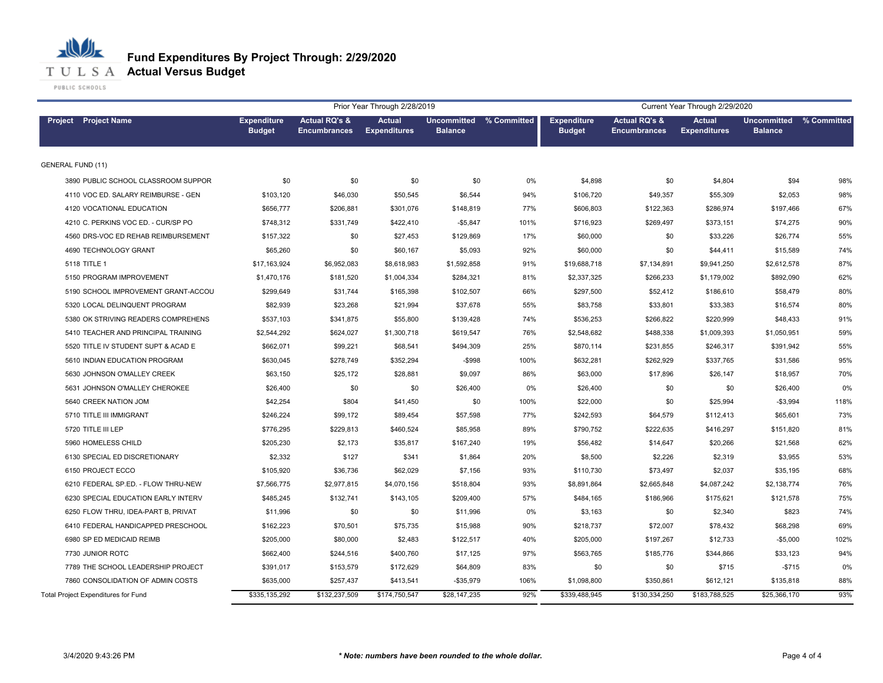

|                                     |                                     |                                                 | Prior Year Through 2/28/2019<br>Current Year Through 2/29/2020 |                                           |      |                                     |                                                 |                                      |                                           |      |
|-------------------------------------|-------------------------------------|-------------------------------------------------|----------------------------------------------------------------|-------------------------------------------|------|-------------------------------------|-------------------------------------------------|--------------------------------------|-------------------------------------------|------|
| <b>Project</b> Project Name         | <b>Expenditure</b><br><b>Budget</b> | <b>Actual RQ's &amp;</b><br><b>Encumbrances</b> | <b>Actual</b><br><b>Expenditures</b>                           | Uncommitted % Committed<br><b>Balance</b> |      | <b>Expenditure</b><br><b>Budget</b> | <b>Actual RQ's &amp;</b><br><b>Encumbrances</b> | <b>Actual</b><br><b>Expenditures</b> | Uncommitted % Committed<br><b>Balance</b> |      |
| <b>GENERAL FUND (11)</b>            |                                     |                                                 |                                                                |                                           |      |                                     |                                                 |                                      |                                           |      |
| 3890 PUBLIC SCHOOL CLASSROOM SUPPOR | \$0                                 | \$0                                             | \$0                                                            | \$0                                       | 0%   | \$4,898                             | \$0                                             | \$4,804                              | \$94                                      | 98%  |
| 4110 VOC ED. SALARY REIMBURSE - GEN | \$103,120                           | \$46,030                                        | \$50,545                                                       | \$6,544                                   | 94%  | \$106,720                           | \$49,357                                        | \$55,309                             | \$2,053                                   | 98%  |
| 4120 VOCATIONAL EDUCATION           | \$656,777                           | \$206,881                                       | \$301,076                                                      | \$148,819                                 | 77%  | \$606,803                           | \$122,363                                       | \$286,974                            | \$197,466                                 | 67%  |
| 4210 C. PERKINS VOC ED. - CUR/SP PO | \$748,312                           | \$331,749                                       | \$422,410                                                      | $-$5,847$                                 | 101% | \$716,923                           | \$269,497                                       | \$373,151                            | \$74,275                                  | 90%  |
| 4560 DRS-VOC ED REHAB REIMBURSEMENT | \$157,322                           | \$0                                             | \$27,453                                                       | \$129,869                                 | 17%  | \$60,000                            | \$0                                             | \$33,226                             | \$26,774                                  | 55%  |
| 4690 TECHNOLOGY GRANT               | \$65,260                            | \$0                                             | \$60,167                                                       | \$5,093                                   | 92%  | \$60,000                            | \$0                                             | \$44,411                             | \$15,589                                  | 74%  |
| 5118 TITLE 1                        | \$17,163,924                        | \$6,952,083                                     | \$8,618,983                                                    | \$1,592,858                               | 91%  | \$19,688,718                        | \$7,134,891                                     | \$9,941,250                          | \$2,612,578                               | 87%  |
| 5150 PROGRAM IMPROVEMENT            | \$1,470,176                         | \$181,520                                       | \$1,004,334                                                    | \$284,321                                 | 81%  | \$2,337,325                         | \$266,233                                       | \$1,179,002                          | \$892,090                                 | 62%  |
| 5190 SCHOOL IMPROVEMENT GRANT-ACCOU | \$299,649                           | \$31,744                                        | \$165,398                                                      | \$102,507                                 | 66%  | \$297,500                           | \$52,412                                        | \$186,610                            | \$58,479                                  | 80%  |
| 5320 LOCAL DELINQUENT PROGRAM       | \$82,939                            | \$23,268                                        | \$21,994                                                       | \$37,678                                  | 55%  | \$83,758                            | \$33,801                                        | \$33,383                             | \$16,574                                  | 80%  |
| 5380 OK STRIVING READERS COMPREHENS | \$537,103                           | \$341,875                                       | \$55,800                                                       | \$139,428                                 | 74%  | \$536,253                           | \$266,822                                       | \$220,999                            | \$48,433                                  | 91%  |
| 5410 TEACHER AND PRINCIPAL TRAINING | \$2,544,292                         | \$624,027                                       | \$1,300,718                                                    | \$619,547                                 | 76%  | \$2,548,682                         | \$488,338                                       | \$1,009,393                          | \$1,050,951                               | 59%  |
| 5520 TITLE IV STUDENT SUPT & ACAD E | \$662.071                           | \$99,221                                        | \$68,541                                                       | \$494,309                                 | 25%  | \$870.114                           | \$231,855                                       | \$246,317                            | \$391,942                                 | 55%  |
| 5610 INDIAN EDUCATION PROGRAM       | \$630,045                           | \$278,749                                       | \$352,294                                                      | $-$ \$998                                 | 100% | \$632,281                           | \$262,929                                       | \$337,765                            | \$31,586                                  | 95%  |
| 5630 JOHNSON O'MALLEY CREEK         | \$63,150                            | \$25,172                                        | \$28,881                                                       | \$9,097                                   | 86%  | \$63,000                            | \$17,896                                        | \$26,147                             | \$18,957                                  | 70%  |
| 5631 JOHNSON O'MALLEY CHEROKEE      | \$26,400                            | \$0                                             | \$0                                                            | \$26,400                                  | 0%   | \$26,400                            | \$0                                             | \$0                                  | \$26,400                                  | 0%   |
| 5640 CREEK NATION JOM               | \$42,254                            | \$804                                           | \$41,450                                                       | \$0                                       | 100% | \$22,000                            | \$0                                             | \$25,994                             | $- $3,994$                                | 118% |
| 5710 TITLE III IMMIGRANT            | \$246,224                           | \$99,172                                        | \$89,454                                                       | \$57,598                                  | 77%  | \$242,593                           | \$64,579                                        | \$112,413                            | \$65,601                                  | 73%  |
| 5720 TITLE III LEP                  | \$776,295                           | \$229,813                                       | \$460,524                                                      | \$85,958                                  | 89%  | \$790,752                           | \$222,635                                       | \$416,297                            | \$151,820                                 | 81%  |
| 5960 HOMELESS CHILD                 | \$205,230                           | \$2,173                                         | \$35,817                                                       | \$167,240                                 | 19%  | \$56,482                            | \$14,647                                        | \$20,266                             | \$21,568                                  | 62%  |
| 6130 SPECIAL ED DISCRETIONARY       | \$2,332                             | \$127                                           | \$341                                                          | \$1,864                                   | 20%  | \$8,500                             | \$2,226                                         | \$2,319                              | \$3,955                                   | 53%  |
| 6150 PROJECT ECCO                   | \$105,920                           | \$36,736                                        | \$62,029                                                       | \$7,156                                   | 93%  | \$110,730                           | \$73,497                                        | \$2,037                              | \$35,195                                  | 68%  |
| 6210 FEDERAL SP.ED. - FLOW THRU-NEW | \$7,566,775                         | \$2,977,815                                     | \$4,070,156                                                    | \$518,804                                 | 93%  | \$8,891,864                         | \$2,665,848                                     | \$4,087,242                          | \$2,138,774                               | 76%  |
| 6230 SPECIAL EDUCATION EARLY INTERV | \$485,245                           | \$132,741                                       | \$143,105                                                      | \$209,400                                 | 57%  | \$484,165                           | \$186,966                                       | \$175,621                            | \$121,578                                 | 75%  |
| 6250 FLOW THRU, IDEA-PART B, PRIVAT | \$11,996                            | \$0                                             | \$0                                                            | \$11,996                                  | 0%   | \$3,163                             | \$0                                             | \$2,340                              | \$823                                     | 74%  |
| 6410 FEDERAL HANDICAPPED PRESCHOOL  | \$162,223                           | \$70,501                                        | \$75,735                                                       | \$15,988                                  | 90%  | \$218,737                           | \$72,007                                        | \$78,432                             | \$68,298                                  | 69%  |
| 6980 SP ED MEDICAID REIMB           | \$205,000                           | \$80,000                                        | \$2,483                                                        | \$122,517                                 | 40%  | \$205,000                           | \$197,267                                       | \$12,733                             | $-$5,000$                                 | 102% |
| 7730 JUNIOR ROTC                    | \$662,400                           | \$244,516                                       | \$400,760                                                      | \$17,125                                  | 97%  | \$563,765                           | \$185,776                                       | \$344,866                            | \$33,123                                  | 94%  |
| 7789 THE SCHOOL LEADERSHIP PROJECT  | \$391,017                           | \$153,579                                       | \$172,629                                                      | \$64,809                                  | 83%  | \$0                                 | \$0                                             | \$715                                | $-$715$                                   | 0%   |
| 7860 CONSOLIDATION OF ADMIN COSTS   | \$635,000                           | \$257,437                                       | \$413,541                                                      | $-$35,979$                                | 106% | \$1,098,800                         | \$350,861                                       | \$612,121                            | \$135,818                                 | 88%  |
| Total Project Expenditures for Fund | \$335,135,292                       | \$132,237,509                                   | \$174,750,547                                                  | \$28,147,235                              | 92%  | \$339,488,945                       | \$130,334,250                                   | \$183,788,525                        | \$25,366,170                              | 93%  |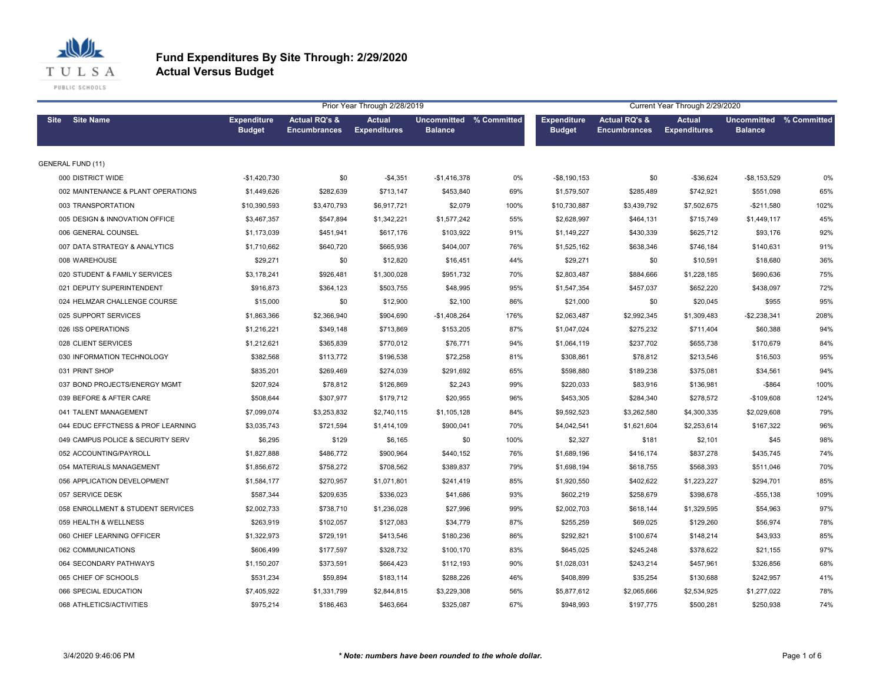

|                          |                                    |                                     |                                                 | Prior Year Through 2/28/2019         |                                           |      | Current Year Through 2/29/2020      |                                                 |                                      |                                                  |      |  |  |
|--------------------------|------------------------------------|-------------------------------------|-------------------------------------------------|--------------------------------------|-------------------------------------------|------|-------------------------------------|-------------------------------------------------|--------------------------------------|--------------------------------------------------|------|--|--|
| Site Site Name           |                                    | <b>Expenditure</b><br><b>Budget</b> | <b>Actual RQ's &amp;</b><br><b>Encumbrances</b> | <b>Actual</b><br><b>Expenditures</b> | Uncommitted % Committed<br><b>Balance</b> |      | <b>Expenditure</b><br><b>Budget</b> | <b>Actual RQ's &amp;</b><br><b>Encumbrances</b> | <b>Actual</b><br><b>Expenditures</b> | <b>Uncommitted % Committed</b><br><b>Balance</b> |      |  |  |
| <b>GENERAL FUND (11)</b> |                                    |                                     |                                                 |                                      |                                           |      |                                     |                                                 |                                      |                                                  |      |  |  |
| 000 DISTRICT WIDE        |                                    | $-$1,420,730$                       | \$0                                             | $-$4,351$                            | $-$1,416,378$                             | 0%   | $-$8,190,153$                       | \$0                                             | $-$36,624$                           | $-$ \$8,153,529                                  | 0%   |  |  |
|                          | 002 MAINTENANCE & PLANT OPERATIONS | \$1,449,626                         | \$282,639                                       | \$713,147                            | \$453,840                                 | 69%  | \$1,579,507                         | \$285,489                                       | \$742,921                            | \$551,098                                        | 65%  |  |  |
|                          | 003 TRANSPORTATION                 | \$10,390,593                        | \$3,470,793                                     | \$6,917,721                          | \$2,079                                   | 100% | \$10,730,887                        | \$3,439,792                                     | \$7,502,675                          | $-$211,580$                                      | 102% |  |  |
|                          | 005 DESIGN & INNOVATION OFFICE     | \$3,467,357                         | \$547,894                                       | \$1,342,221                          | \$1,577,242                               | 55%  | \$2,628,997                         | \$464,131                                       | \$715,749                            | \$1,449,117                                      | 45%  |  |  |
|                          | 006 GENERAL COUNSEL                | \$1,173,039                         | \$451,941                                       | \$617,176                            | \$103,922                                 | 91%  | \$1,149,227                         | \$430,339                                       | \$625,712                            | \$93,176                                         | 92%  |  |  |
|                          | 007 DATA STRATEGY & ANALYTICS      | \$1,710,662                         | \$640,720                                       | \$665,936                            | \$404,007                                 | 76%  | \$1,525,162                         | \$638,346                                       | \$746,184                            | \$140,631                                        | 91%  |  |  |
| 008 WAREHOUSE            |                                    | \$29,271                            | \$0                                             | \$12,820                             | \$16,451                                  | 44%  | \$29,271                            | \$0                                             | \$10,591                             | \$18,680                                         | 36%  |  |  |
|                          | 020 STUDENT & FAMILY SERVICES      | \$3,178,241                         | \$926,481                                       | \$1,300,028                          | \$951,732                                 | 70%  | \$2,803,487                         | \$884,666                                       | \$1,228,185                          | \$690,636                                        | 75%  |  |  |
|                          | 021 DEPUTY SUPERINTENDENT          | \$916,873                           | \$364,123                                       | \$503,755                            | \$48,995                                  | 95%  | \$1,547,354                         | \$457,037                                       | \$652,220                            | \$438,097                                        | 72%  |  |  |
|                          | 024 HELMZAR CHALLENGE COURSE       | \$15,000                            | \$0                                             | \$12,900                             | \$2,100                                   | 86%  | \$21,000                            | \$0                                             | \$20,045                             | \$955                                            | 95%  |  |  |
|                          | 025 SUPPORT SERVICES               | \$1,863,366                         | \$2,366,940                                     | \$904,690                            | $-$1,408,264$                             | 176% | \$2,063,487                         | \$2,992,345                                     | \$1,309,483                          | $-$2,238,341$                                    | 208% |  |  |
|                          | 026 ISS OPERATIONS                 | \$1,216,221                         | \$349,148                                       | \$713,869                            | \$153,205                                 | 87%  | \$1,047,024                         | \$275,232                                       | \$711,404                            | \$60,388                                         | 94%  |  |  |
|                          | 028 CLIENT SERVICES                | \$1,212,621                         | \$365,839                                       | \$770,012                            | \$76,771                                  | 94%  | \$1,064,119                         | \$237,702                                       | \$655,738                            | \$170,679                                        | 84%  |  |  |
|                          | 030 INFORMATION TECHNOLOGY         | \$382,568                           | \$113,772                                       | \$196,538                            | \$72,258                                  | 81%  | \$308,861                           | \$78,812                                        | \$213,546                            | \$16,503                                         | 95%  |  |  |
| 031 PRINT SHOP           |                                    | \$835,201                           | \$269,469                                       | \$274,039                            | \$291,692                                 | 65%  | \$598,880                           | \$189,238                                       | \$375,081                            | \$34,561                                         | 94%  |  |  |
|                          | 037 BOND PROJECTS/ENERGY MGMT      | \$207,924                           | \$78,812                                        | \$126,869                            | \$2,243                                   | 99%  | \$220,033                           | \$83,916                                        | \$136,981                            | $-$ \$864                                        | 100% |  |  |
|                          | 039 BEFORE & AFTER CARE            | \$508,644                           | \$307,977                                       | \$179,712                            | \$20,955                                  | 96%  | \$453,305                           | \$284,340                                       | \$278,572                            | $-$109,608$                                      | 124% |  |  |
|                          | 041 TALENT MANAGEMENT              | \$7,099,074                         | \$3,253,832                                     | \$2,740,115                          | \$1,105,128                               | 84%  | \$9,592,523                         | \$3,262,580                                     | \$4,300,335                          | \$2,029,608                                      | 79%  |  |  |
|                          | 044 EDUC EFFCTNESS & PROF LEARNING | \$3,035,743                         | \$721,594                                       | \$1,414,109                          | \$900,041                                 | 70%  | \$4,042,541                         | \$1,621,604                                     | \$2,253,614                          | \$167,322                                        | 96%  |  |  |
|                          | 049 CAMPUS POLICE & SECURITY SERV  | \$6,295                             | \$129                                           | \$6,165                              | \$0                                       | 100% | \$2,327                             | \$181                                           | \$2,101                              | \$45                                             | 98%  |  |  |
|                          | 052 ACCOUNTING/PAYROLL             | \$1,827,888                         | \$486,772                                       | \$900,964                            | \$440,152                                 | 76%  | \$1,689,196                         | \$416,174                                       | \$837,278                            | \$435,745                                        | 74%  |  |  |
|                          | 054 MATERIALS MANAGEMENT           | \$1,856,672                         | \$758,272                                       | \$708,562                            | \$389,837                                 | 79%  | \$1,698,194                         | \$618,755                                       | \$568,393                            | \$511,046                                        | 70%  |  |  |
|                          | 056 APPLICATION DEVELOPMENT        | \$1,584,177                         | \$270,957                                       | \$1,071,801                          | \$241,419                                 | 85%  | \$1,920,550                         | \$402,622                                       | \$1,223,227                          | \$294,701                                        | 85%  |  |  |
| 057 SERVICE DESK         |                                    | \$587,344                           | \$209,635                                       | \$336,023                            | \$41,686                                  | 93%  | \$602,219                           | \$258,679                                       | \$398,678                            | $-$55,138$                                       | 109% |  |  |
|                          | 058 ENROLLMENT & STUDENT SERVICES  | \$2,002,733                         | \$738,710                                       | \$1,236,028                          | \$27,996                                  | 99%  | \$2,002,703                         | \$618,144                                       | \$1,329,595                          | \$54,963                                         | 97%  |  |  |
|                          | 059 HEALTH & WELLNESS              | \$263,919                           | \$102,057                                       | \$127,083                            | \$34,779                                  | 87%  | \$255,259                           | \$69,025                                        | \$129,260                            | \$56,974                                         | 78%  |  |  |
|                          | 060 CHIEF LEARNING OFFICER         | \$1,322,973                         | \$729,191                                       | \$413,546                            | \$180,236                                 | 86%  | \$292,821                           | \$100,674                                       | \$148,214                            | \$43,933                                         | 85%  |  |  |
|                          | 062 COMMUNICATIONS                 | \$606,499                           | \$177,597                                       | \$328,732                            | \$100,170                                 | 83%  | \$645,025                           | \$245,248                                       | \$378,622                            | \$21,155                                         | 97%  |  |  |
|                          | 064 SECONDARY PATHWAYS             | \$1,150,207                         | \$373,591                                       | \$664,423                            | \$112,193                                 | 90%  | \$1,028,031                         | \$243,214                                       | \$457,961                            | \$326,856                                        | 68%  |  |  |
|                          | 065 CHIEF OF SCHOOLS               | \$531,234                           | \$59,894                                        | \$183,114                            | \$288,226                                 | 46%  | \$408,899                           | \$35,254                                        | \$130,688                            | \$242,957                                        | 41%  |  |  |
|                          | 066 SPECIAL EDUCATION              | \$7,405,922                         | \$1,331,799                                     | \$2,844,815                          | \$3,229,308                               | 56%  | \$5,877,612                         | \$2,065,666                                     | \$2,534,925                          | \$1,277,022                                      | 78%  |  |  |
|                          | 068 ATHLETICS/ACTIVITIES           | \$975,214                           | \$186,463                                       | \$463,664                            | \$325,087                                 | 67%  | \$948,993                           | \$197,775                                       | \$500,281                            | \$250,938                                        | 74%  |  |  |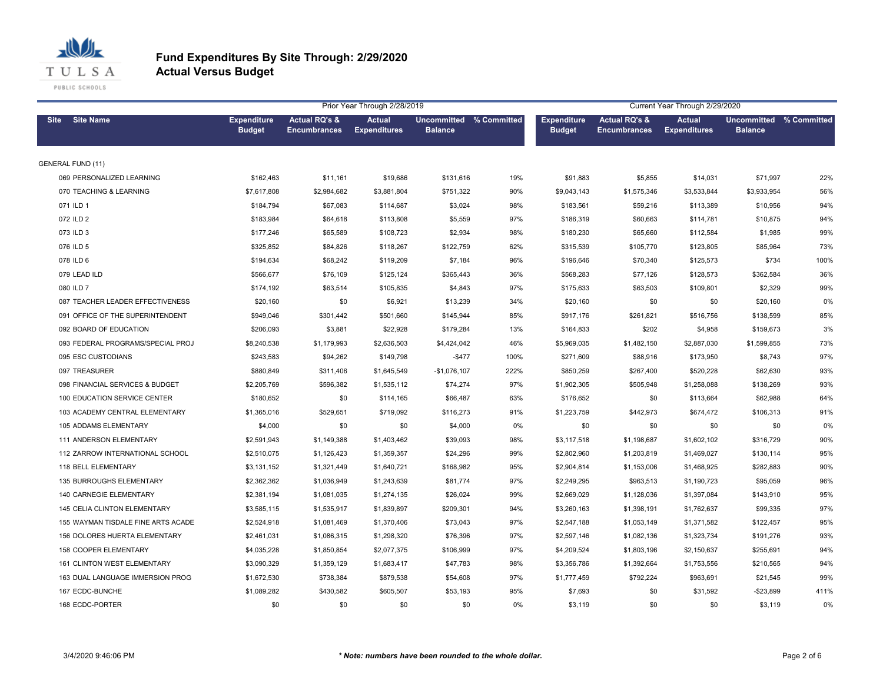

|                                    |                                     |                                                 | Prior Year Through 2/28/2019<br>Current Year Through 2/29/2020 |                                           |       |                                     |                                                 |                                      |                                           |      |
|------------------------------------|-------------------------------------|-------------------------------------------------|----------------------------------------------------------------|-------------------------------------------|-------|-------------------------------------|-------------------------------------------------|--------------------------------------|-------------------------------------------|------|
| Site Site Name                     | <b>Expenditure</b><br><b>Budget</b> | <b>Actual RQ's &amp;</b><br><b>Encumbrances</b> | <b>Actual</b><br><b>Expenditures</b>                           | Uncommitted % Committed<br><b>Balance</b> |       | <b>Expenditure</b><br><b>Budget</b> | <b>Actual RQ's &amp;</b><br><b>Encumbrances</b> | <b>Actual</b><br><b>Expenditures</b> | Uncommitted % Committed<br><b>Balance</b> |      |
| <b>GENERAL FUND (11)</b>           |                                     |                                                 |                                                                |                                           |       |                                     |                                                 |                                      |                                           |      |
| 069 PERSONALIZED LEARNING          | \$162,463                           | \$11,161                                        | \$19,686                                                       | \$131,616                                 | 19%   | \$91,883                            | \$5,855                                         | \$14,031                             | \$71,997                                  | 22%  |
| 070 TEACHING & LEARNING            | \$7,617,808                         | \$2,984,682                                     | \$3,881,804                                                    | \$751,322                                 | 90%   | \$9,043,143                         | \$1,575,346                                     | \$3,533,844                          | \$3,933,954                               | 56%  |
| 071 ILD 1                          | \$184,794                           | \$67,083                                        | \$114,687                                                      | \$3,024                                   | 98%   | \$183,561                           | \$59,216                                        | \$113,389                            | \$10,956                                  | 94%  |
| 072 ILD 2                          | \$183,984                           | \$64,618                                        | \$113,808                                                      | \$5,559                                   | 97%   | \$186,319                           | \$60,663                                        | \$114,781                            | \$10,875                                  | 94%  |
| 073 ILD 3                          | \$177,246                           | \$65,589                                        | \$108,723                                                      | \$2,934                                   | 98%   | \$180,230                           | \$65,660                                        | \$112,584                            | \$1,985                                   | 99%  |
| 076 ILD 5                          | \$325,852                           | \$84,826                                        | \$118,267                                                      | \$122,759                                 | 62%   | \$315,539                           | \$105,770                                       | \$123,805                            | \$85,964                                  | 73%  |
| 078 ILD 6                          | \$194,634                           | \$68,242                                        | \$119,209                                                      | \$7,184                                   | 96%   | \$196,646                           | \$70,340                                        | \$125,573                            | \$734                                     | 100% |
| 079 LEAD ILD                       | \$566,677                           | \$76,109                                        | \$125,124                                                      | \$365,443                                 | 36%   | \$568,283                           | \$77,126                                        | \$128,573                            | \$362,584                                 | 36%  |
| 080 ILD 7                          | \$174,192                           | \$63,514                                        | \$105,835                                                      | \$4,843                                   | 97%   | \$175,633                           | \$63,503                                        | \$109,801                            | \$2,329                                   | 99%  |
| 087 TEACHER LEADER EFFECTIVENESS   | \$20,160                            | \$0                                             | \$6,921                                                        | \$13,239                                  | 34%   | \$20,160                            | \$0                                             | \$0                                  | \$20,160                                  | 0%   |
| 091 OFFICE OF THE SUPERINTENDENT   | \$949,046                           | \$301,442                                       | \$501,660                                                      | \$145,944                                 | 85%   | \$917,176                           | \$261,821                                       | \$516,756                            | \$138,599                                 | 85%  |
| 092 BOARD OF EDUCATION             | \$206,093                           | \$3,881                                         | \$22,928                                                       | \$179,284                                 | 13%   | \$164,833                           | \$202                                           | \$4,958                              | \$159,673                                 | 3%   |
| 093 FEDERAL PROGRAMS/SPECIAL PROJ  | \$8,240,538                         | \$1,179,993                                     | \$2,636,503                                                    | \$4,424,042                               | 46%   | \$5,969,035                         | \$1,482,150                                     | \$2,887,030                          | \$1,599,855                               | 73%  |
| 095 ESC CUSTODIANS                 | \$243,583                           | \$94,262                                        | \$149,798                                                      | $-$477$                                   | 100%  | \$271,609                           | \$88,916                                        | \$173,950                            | \$8,743                                   | 97%  |
| 097 TREASURER                      | \$880,849                           | \$311,406                                       | \$1,645,549                                                    | $-$1,076,107$                             | 222%  | \$850,259                           | \$267,400                                       | \$520,228                            | \$62,630                                  | 93%  |
| 098 FINANCIAL SERVICES & BUDGET    | \$2,205,769                         | \$596,382                                       | \$1,535,112                                                    | \$74,274                                  | 97%   | \$1,902,305                         | \$505,948                                       | \$1,258,088                          | \$138,269                                 | 93%  |
| 100 EDUCATION SERVICE CENTER       | \$180,652                           | \$0                                             | \$114,165                                                      | \$66,487                                  | 63%   | \$176,652                           | \$0                                             | \$113,664                            | \$62,988                                  | 64%  |
| 103 ACADEMY CENTRAL ELEMENTARY     | \$1,365,016                         | \$529,651                                       | \$719,092                                                      | \$116,273                                 | 91%   | \$1,223,759                         | \$442,973                                       | \$674,472                            | \$106,313                                 | 91%  |
| 105 ADDAMS ELEMENTARY              | \$4,000                             | \$0                                             | \$0                                                            | \$4,000                                   | $0\%$ | \$0                                 | \$0                                             | \$0                                  | \$0                                       | 0%   |
| 111 ANDERSON ELEMENTARY            | \$2,591,943                         | \$1,149,388                                     | \$1,403,462                                                    | \$39,093                                  | 98%   | \$3,117,518                         | \$1,198,687                                     | \$1,602,102                          | \$316,729                                 | 90%  |
| 112 ZARROW INTERNATIONAL SCHOOL    | \$2,510,075                         | \$1,126,423                                     | \$1,359,357                                                    | \$24,296                                  | 99%   | \$2,802,960                         | \$1,203,819                                     | \$1,469,027                          | \$130,114                                 | 95%  |
| 118 BELL ELEMENTARY                | \$3,131,152                         | \$1,321,449                                     | \$1,640,721                                                    | \$168,982                                 | 95%   | \$2,904,814                         | \$1,153,006                                     | \$1,468,925                          | \$282,883                                 | 90%  |
| 135 BURROUGHS ELEMENTARY           | \$2,362,362                         | \$1,036,949                                     | \$1,243,639                                                    | \$81,774                                  | 97%   | \$2,249,295                         | \$963,513                                       | \$1,190,723                          | \$95,059                                  | 96%  |
| 140 CARNEGIE ELEMENTARY            | \$2,381,194                         | \$1,081,035                                     | \$1,274,135                                                    | \$26,024                                  | 99%   | \$2,669,029                         | \$1,128,036                                     | \$1,397,084                          | \$143,910                                 | 95%  |
| 145 CELIA CLINTON ELEMENTARY       | \$3,585,115                         | \$1,535,917                                     | \$1,839,897                                                    | \$209,301                                 | 94%   | \$3,260,163                         | \$1,398,191                                     | \$1,762,637                          | \$99,335                                  | 97%  |
| 155 WAYMAN TISDALE FINE ARTS ACADE | \$2,524,918                         | \$1,081,469                                     | \$1,370,406                                                    | \$73,043                                  | 97%   | \$2,547,188                         | \$1,053,149                                     | \$1,371,582                          | \$122,457                                 | 95%  |
| 156 DOLORES HUERTA ELEMENTARY      | \$2,461,031                         | \$1,086,315                                     | \$1,298,320                                                    | \$76,396                                  | 97%   | \$2,597,146                         | \$1,082,136                                     | \$1,323,734                          | \$191,276                                 | 93%  |
| 158 COOPER ELEMENTARY              | \$4,035,228                         | \$1,850,854                                     | \$2,077,375                                                    | \$106,999                                 | 97%   | \$4,209,524                         | \$1,803,196                                     | \$2,150,637                          | \$255,691                                 | 94%  |
| 161 CLINTON WEST ELEMENTARY        | \$3,090,329                         | \$1,359,129                                     | \$1,683,417                                                    | \$47,783                                  | 98%   | \$3,356,786                         | \$1,392,664                                     | \$1,753,556                          | \$210,565                                 | 94%  |
| 163 DUAL LANGUAGE IMMERSION PROG   | \$1,672,530                         | \$738,384                                       | \$879,538                                                      | \$54,608                                  | 97%   | \$1,777,459                         | \$792,224                                       | \$963,691                            | \$21,545                                  | 99%  |
| 167 ECDC-BUNCHE                    | \$1,089,282                         | \$430,582                                       | \$605,507                                                      | \$53,193                                  | 95%   | \$7,693                             | \$0                                             | \$31,592                             | $-$23,899$                                | 411% |
| 168 ECDC-PORTER                    | \$0                                 | \$0                                             | \$0                                                            | \$0                                       | 0%    | \$3,119                             | \$0                                             | \$0                                  | \$3,119                                   | 0%   |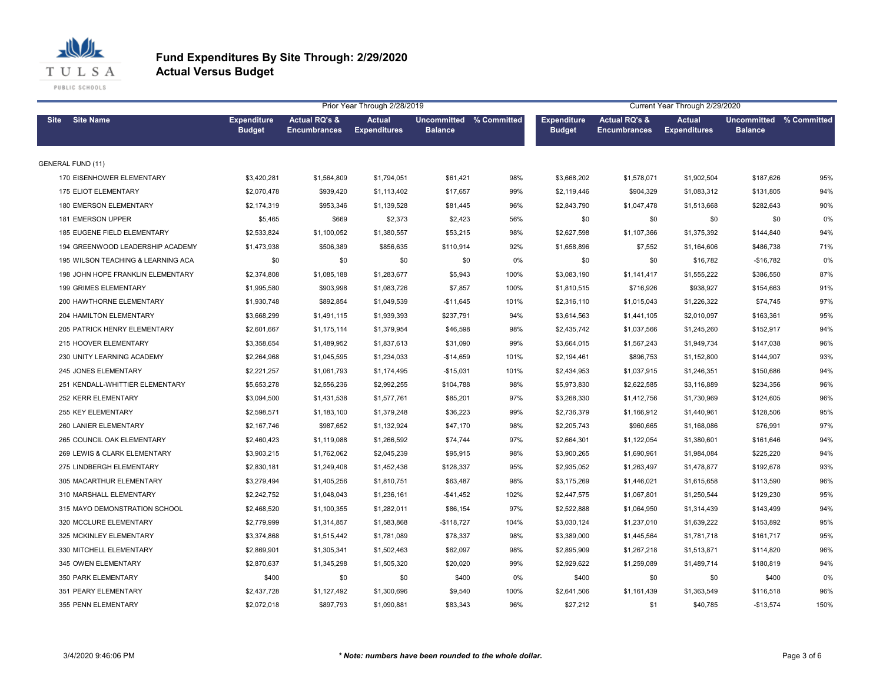

|      |                                    |                                     |                                                 | Prior Year Through 2/28/2019         |                                           |       |                                     |                                                 | Current Year Through 2/29/2020       |                                           |      |
|------|------------------------------------|-------------------------------------|-------------------------------------------------|--------------------------------------|-------------------------------------------|-------|-------------------------------------|-------------------------------------------------|--------------------------------------|-------------------------------------------|------|
| Site | <b>Site Name</b>                   | <b>Expenditure</b><br><b>Budget</b> | <b>Actual RQ's &amp;</b><br><b>Encumbrances</b> | <b>Actual</b><br><b>Expenditures</b> | Uncommitted % Committed<br><b>Balance</b> |       | <b>Expenditure</b><br><b>Budget</b> | <b>Actual RQ's &amp;</b><br><b>Encumbrances</b> | <b>Actual</b><br><b>Expenditures</b> | Uncommitted % Committed<br><b>Balance</b> |      |
|      | <b>GENERAL FUND (11)</b>           |                                     |                                                 |                                      |                                           |       |                                     |                                                 |                                      |                                           |      |
|      | 170 EISENHOWER ELEMENTARY          | \$3,420,281                         | \$1,564,809                                     | \$1,794,051                          | \$61,421                                  | 98%   | \$3,668,202                         | \$1,578,071                                     | \$1,902,504                          | \$187,626                                 | 95%  |
|      | 175 ELIOT ELEMENTARY               | \$2,070,478                         | \$939,420                                       | \$1,113,402                          | \$17,657                                  | 99%   | \$2,119,446                         | \$904,329                                       | \$1,083,312                          | \$131,805                                 | 94%  |
|      | 180 EMERSON ELEMENTARY             | \$2,174,319                         | \$953,346                                       | \$1,139,528                          | \$81,445                                  | 96%   | \$2,843,790                         | \$1,047,478                                     | \$1,513,668                          | \$282,643                                 | 90%  |
|      | 181 EMERSON UPPER                  | \$5,465                             | \$669                                           | \$2,373                              | \$2,423                                   | 56%   | \$0                                 | \$0                                             | \$0                                  | \$0                                       | 0%   |
|      | 185 EUGENE FIELD ELEMENTARY        | \$2,533,824                         | \$1,100,052                                     | \$1,380,557                          | \$53,215                                  | 98%   | \$2,627,598                         | \$1,107,366                                     | \$1,375,392                          | \$144,840                                 | 94%  |
|      | 194 GREENWOOD LEADERSHIP ACADEMY   | \$1,473,938                         | \$506,389                                       | \$856,635                            | \$110,914                                 | 92%   | \$1,658,896                         | \$7,552                                         | \$1,164,606                          | \$486,738                                 | 71%  |
|      | 195 WILSON TEACHING & LEARNING ACA | \$0                                 | \$0                                             | \$0                                  | \$0                                       | $0\%$ | \$0                                 | \$0                                             | \$16,782                             | $-$16,782$                                | 0%   |
|      | 198 JOHN HOPE FRANKLIN ELEMENTARY  | \$2,374,808                         | \$1,085,188                                     | \$1,283,677                          | \$5,943                                   | 100%  | \$3,083,190                         | \$1,141,417                                     | \$1,555,222                          | \$386,550                                 | 87%  |
|      | 199 GRIMES ELEMENTARY              | \$1,995,580                         | \$903,998                                       | \$1,083,726                          | \$7,857                                   | 100%  | \$1,810,515                         | \$716,926                                       | \$938,927                            | \$154,663                                 | 91%  |
|      | 200 HAWTHORNE ELEMENTARY           | \$1,930,748                         | \$892,854                                       | \$1,049,539                          | $-$11,645$                                | 101%  | \$2,316,110                         | \$1,015,043                                     | \$1,226,322                          | \$74,745                                  | 97%  |
|      | 204 HAMILTON ELEMENTARY            | \$3,668,299                         | \$1,491,115                                     | \$1,939,393                          | \$237,791                                 | 94%   | \$3,614,563                         | \$1,441,105                                     | \$2,010,097                          | \$163,361                                 | 95%  |
|      | 205 PATRICK HENRY ELEMENTARY       | \$2,601,667                         | \$1,175,114                                     | \$1,379,954                          | \$46,598                                  | 98%   | \$2,435,742                         | \$1,037,566                                     | \$1,245,260                          | \$152,917                                 | 94%  |
|      | 215 HOOVER ELEMENTARY              | \$3,358,654                         | \$1,489,952                                     | \$1,837,613                          | \$31,090                                  | 99%   | \$3,664,015                         | \$1,567,243                                     | \$1,949,734                          | \$147,038                                 | 96%  |
|      | 230 UNITY LEARNING ACADEMY         | \$2,264,968                         | \$1,045,595                                     | \$1,234,033                          | $-$14,659$                                | 101%  | \$2,194,461                         | \$896,753                                       | \$1,152,800                          | \$144,907                                 | 93%  |
|      | 245 JONES ELEMENTARY               | \$2,221,257                         | \$1,061,793                                     | \$1,174,495                          | $-$15,031$                                | 101%  | \$2,434,953                         | \$1,037,915                                     | \$1,246,351                          | \$150,686                                 | 94%  |
|      | 251 KENDALL-WHITTIER ELEMENTARY    | \$5,653,278                         | \$2,556,236                                     | \$2,992,255                          | \$104,788                                 | 98%   | \$5,973,830                         | \$2,622,585                                     | \$3,116,889                          | \$234,356                                 | 96%  |
|      | 252 KERR ELEMENTARY                | \$3,094,500                         | \$1,431,538                                     | \$1,577,761                          | \$85,201                                  | 97%   | \$3,268,330                         | \$1,412,756                                     | \$1,730,969                          | \$124,605                                 | 96%  |
|      | 255 KEY ELEMENTARY                 | \$2,598,571                         | \$1,183,100                                     | \$1,379,248                          | \$36,223                                  | 99%   | \$2,736,379                         | \$1,166,912                                     | \$1,440,961                          | \$128,506                                 | 95%  |
|      | 260 LANIER ELEMENTARY              | \$2,167,746                         | \$987,652                                       | \$1,132,924                          | \$47,170                                  | 98%   | \$2,205,743                         | \$960,665                                       | \$1,168,086                          | \$76,991                                  | 97%  |
|      | 265 COUNCIL OAK ELEMENTARY         | \$2,460,423                         | \$1,119,088                                     | \$1,266,592                          | \$74,744                                  | 97%   | \$2,664,301                         | \$1,122,054                                     | \$1,380,601                          | \$161,646                                 | 94%  |
|      | 269 LEWIS & CLARK ELEMENTARY       | \$3,903,215                         | \$1,762,062                                     | \$2,045,239                          | \$95,915                                  | 98%   | \$3,900,265                         | \$1,690,961                                     | \$1,984,084                          | \$225,220                                 | 94%  |
|      | 275 LINDBERGH ELEMENTARY           | \$2,830,181                         | \$1,249,408                                     | \$1,452,436                          | \$128,337                                 | 95%   | \$2,935,052                         | \$1,263,497                                     | \$1,478,877                          | \$192,678                                 | 93%  |
|      | 305 MACARTHUR ELEMENTARY           | \$3,279,494                         | \$1,405,256                                     | \$1,810,751                          | \$63,487                                  | 98%   | \$3,175,269                         | \$1,446,021                                     | \$1,615,658                          | \$113,590                                 | 96%  |
|      | 310 MARSHALL ELEMENTARY            | \$2,242,752                         | \$1,048,043                                     | \$1,236,161                          | $-$41,452$                                | 102%  | \$2,447,575                         | \$1,067,801                                     | \$1,250,544                          | \$129,230                                 | 95%  |
|      | 315 MAYO DEMONSTRATION SCHOOL      | \$2,468,520                         | \$1,100,355                                     | \$1,282,011                          | \$86,154                                  | 97%   | \$2,522,888                         | \$1,064,950                                     | \$1,314,439                          | \$143,499                                 | 94%  |
|      | 320 MCCLURE ELEMENTARY             | \$2,779,999                         | \$1,314,857                                     | \$1,583,868                          | $-$118,727$                               | 104%  | \$3,030,124                         | \$1,237,010                                     | \$1,639,222                          | \$153,892                                 | 95%  |
|      | 325 MCKINLEY ELEMENTARY            | \$3,374,868                         | \$1,515,442                                     | \$1,781,089                          | \$78,337                                  | 98%   | \$3,389,000                         | \$1,445,564                                     | \$1,781,718                          | \$161,717                                 | 95%  |
|      | 330 MITCHELL ELEMENTARY            | \$2,869,901                         | \$1,305,341                                     | \$1,502,463                          | \$62,097                                  | 98%   | \$2,895,909                         | \$1,267,218                                     | \$1,513,871                          | \$114,820                                 | 96%  |
|      | 345 OWEN ELEMENTARY                | \$2,870,637                         | \$1,345,298                                     | \$1,505,320                          | \$20,020                                  | 99%   | \$2,929,622                         | \$1,259,089                                     | \$1,489,714                          | \$180,819                                 | 94%  |
|      | 350 PARK ELEMENTARY                | \$400                               | \$0                                             | \$0                                  | \$400                                     | 0%    | \$400                               | \$0                                             | \$0                                  | \$400                                     | 0%   |
|      | 351 PEARY ELEMENTARY               | \$2,437,728                         | \$1,127,492                                     | \$1,300,696                          | \$9,540                                   | 100%  | \$2,641,506                         | \$1,161,439                                     | \$1,363,549                          | \$116,518                                 | 96%  |
|      | 355 PENN ELEMENTARY                | \$2,072,018                         | \$897,793                                       | \$1,090,881                          | \$83,343                                  | 96%   | \$27,212                            | \$1                                             | \$40,785                             | $-$13,574$                                | 150% |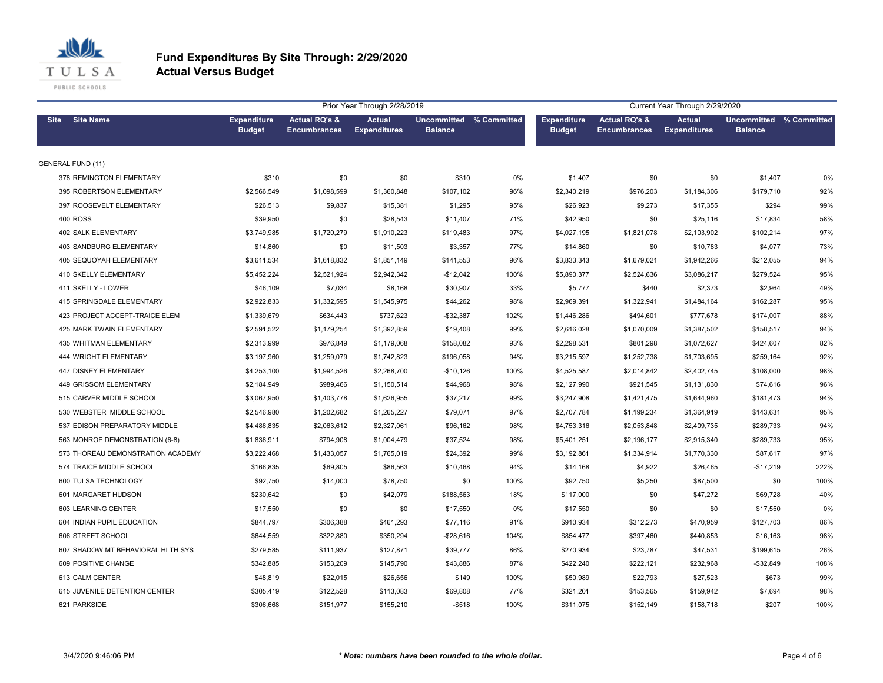

|                                   |                                     |                                                 | Prior Year Through 2/28/2019         |                                           |      | Current Year Through 2/29/2020      |                                                 |                                      |                                           |      |  |
|-----------------------------------|-------------------------------------|-------------------------------------------------|--------------------------------------|-------------------------------------------|------|-------------------------------------|-------------------------------------------------|--------------------------------------|-------------------------------------------|------|--|
| Site Site Name                    | <b>Expenditure</b><br><b>Budget</b> | <b>Actual RQ's &amp;</b><br><b>Encumbrances</b> | <b>Actual</b><br><b>Expenditures</b> | Uncommitted % Committed<br><b>Balance</b> |      | <b>Expenditure</b><br><b>Budget</b> | <b>Actual RQ's &amp;</b><br><b>Encumbrances</b> | <b>Actual</b><br><b>Expenditures</b> | Uncommitted % Committed<br><b>Balance</b> |      |  |
| <b>GENERAL FUND (11)</b>          |                                     |                                                 |                                      |                                           |      |                                     |                                                 |                                      |                                           |      |  |
| 378 REMINGTON ELEMENTARY          | \$310                               | \$0                                             | \$0                                  | \$310                                     | 0%   | \$1,407                             | \$0                                             | \$0                                  | \$1,407                                   | 0%   |  |
| 395 ROBERTSON ELEMENTARY          | \$2,566,549                         | \$1,098,599                                     | \$1,360,848                          | \$107,102                                 | 96%  | \$2,340,219                         | \$976,203                                       | \$1,184,306                          | \$179,710                                 | 92%  |  |
| 397 ROOSEVELT ELEMENTARY          | \$26,513                            | \$9,837                                         | \$15,381                             | \$1,295                                   | 95%  | \$26,923                            | \$9,273                                         | \$17,355                             | \$294                                     | 99%  |  |
| <b>400 ROSS</b>                   | \$39,950                            | \$0                                             | \$28,543                             | \$11,407                                  | 71%  | \$42,950                            | \$0                                             | \$25,116                             | \$17,834                                  | 58%  |  |
| 402 SALK ELEMENTARY               | \$3,749,985                         | \$1,720,279                                     | \$1,910,223                          | \$119,483                                 | 97%  | \$4,027,195                         | \$1,821,078                                     | \$2,103,902                          | \$102,214                                 | 97%  |  |
| 403 SANDBURG ELEMENTARY           | \$14,860                            | \$0                                             | \$11,503                             | \$3,357                                   | 77%  | \$14,860                            | \$0                                             | \$10,783                             | \$4,077                                   | 73%  |  |
| <b>405 SEQUOYAH ELEMENTARY</b>    | \$3,611,534                         | \$1,618,832                                     | \$1,851,149                          | \$141,553                                 | 96%  | \$3,833,343                         | \$1,679,021                                     | \$1,942,266                          | \$212,055                                 | 94%  |  |
| 410 SKELLY ELEMENTARY             | \$5,452,224                         | \$2,521,924                                     | \$2,942,342                          | $-$12,042$                                | 100% | \$5,890,377                         | \$2,524,636                                     | \$3,086,217                          | \$279,524                                 | 95%  |  |
| 411 SKELLY - LOWER                | \$46,109                            | \$7,034                                         | \$8,168                              | \$30,907                                  | 33%  | \$5,777                             | \$440                                           | \$2,373                              | \$2,964                                   | 49%  |  |
| 415 SPRINGDALE ELEMENTARY         | \$2,922,833                         | \$1,332,595                                     | \$1,545,975                          | \$44,262                                  | 98%  | \$2,969,391                         | \$1,322,941                                     | \$1,484,164                          | \$162,287                                 | 95%  |  |
| 423 PROJECT ACCEPT-TRAICE ELEM    | \$1,339,679                         | \$634,443                                       | \$737,623                            | $-$ \$32,387                              | 102% | \$1,446,286                         | \$494,601                                       | \$777,678                            | \$174,007                                 | 88%  |  |
| 425 MARK TWAIN ELEMENTARY         | \$2,591,522                         | \$1,179,254                                     | \$1,392,859                          | \$19,408                                  | 99%  | \$2,616,028                         | \$1,070,009                                     | \$1,387,502                          | \$158,517                                 | 94%  |  |
| <b>435 WHITMAN ELEMENTARY</b>     | \$2,313,999                         | \$976.849                                       | \$1,179,068                          | \$158,082                                 | 93%  | \$2,298,531                         | \$801,298                                       | \$1,072,627                          | \$424,607                                 | 82%  |  |
| 444 WRIGHT ELEMENTARY             | \$3,197,960                         | \$1,259,079                                     | \$1,742,823                          | \$196,058                                 | 94%  | \$3,215,597                         | \$1,252,738                                     | \$1,703,695                          | \$259,164                                 | 92%  |  |
| 447 DISNEY ELEMENTARY             | \$4,253,100                         | \$1,994,526                                     | \$2,268,700                          | $-$10,126$                                | 100% | \$4,525,587                         | \$2,014,842                                     | \$2,402,745                          | \$108,000                                 | 98%  |  |
| 449 GRISSOM ELEMENTARY            | \$2,184,949                         | \$989,466                                       | \$1,150,514                          | \$44,968                                  | 98%  | \$2,127,990                         | \$921,545                                       | \$1,131,830                          | \$74,616                                  | 96%  |  |
| 515 CARVER MIDDLE SCHOOL          | \$3,067,950                         | \$1,403,778                                     | \$1,626,955                          | \$37,217                                  | 99%  | \$3,247,908                         | \$1,421,475                                     | \$1,644,960                          | \$181,473                                 | 94%  |  |
| 530 WEBSTER MIDDLE SCHOOL         | \$2,546,980                         | \$1,202,682                                     | \$1,265,227                          | \$79,071                                  | 97%  | \$2,707,784                         | \$1,199,234                                     | \$1,364,919                          | \$143,631                                 | 95%  |  |
| 537 EDISON PREPARATORY MIDDLE     | \$4,486,835                         | \$2,063,612                                     | \$2,327,061                          | \$96,162                                  | 98%  | \$4,753,316                         | \$2,053,848                                     | \$2,409,735                          | \$289,733                                 | 94%  |  |
| 563 MONROE DEMONSTRATION (6-8)    | \$1,836,911                         | \$794,908                                       | \$1,004,479                          | \$37,524                                  | 98%  | \$5,401,251                         | \$2,196,177                                     | \$2,915,340                          | \$289,733                                 | 95%  |  |
| 573 THOREAU DEMONSTRATION ACADEMY | \$3,222,468                         | \$1,433,057                                     | \$1,765,019                          | \$24,392                                  | 99%  | \$3,192,861                         | \$1,334,914                                     | \$1,770,330                          | \$87,617                                  | 97%  |  |
| 574 TRAICE MIDDLE SCHOOL          | \$166,835                           | \$69,805                                        | \$86,563                             | \$10,468                                  | 94%  | \$14,168                            | \$4,922                                         | \$26,465                             | $-$17,219$                                | 222% |  |
| 600 TULSA TECHNOLOGY              | \$92,750                            | \$14,000                                        | \$78,750                             | \$0                                       | 100% | \$92,750                            | \$5,250                                         | \$87,500                             | \$0                                       | 100% |  |
| 601 MARGARET HUDSON               | \$230,642                           | \$0                                             | \$42,079                             | \$188,563                                 | 18%  | \$117,000                           | \$0                                             | \$47,272                             | \$69,728                                  | 40%  |  |
| 603 LEARNING CENTER               | \$17,550                            | \$0                                             | \$0                                  | \$17,550                                  | 0%   | \$17,550                            | \$0                                             | \$0                                  | \$17,550                                  | 0%   |  |
| 604 INDIAN PUPIL EDUCATION        | \$844,797                           | \$306,388                                       | \$461,293                            | \$77,116                                  | 91%  | \$910,934                           | \$312,273                                       | \$470,959                            | \$127,703                                 | 86%  |  |
| 606 STREET SCHOOL                 | \$644,559                           | \$322,880                                       | \$350,294                            | $-$ \$28,616                              | 104% | \$854,477                           | \$397,460                                       | \$440,853                            | \$16,163                                  | 98%  |  |
| 607 SHADOW MT BEHAVIORAL HLTH SYS | \$279,585                           | \$111,937                                       | \$127,871                            | \$39,777                                  | 86%  | \$270,934                           | \$23,787                                        | \$47,531                             | \$199,615                                 | 26%  |  |
| 609 POSITIVE CHANGE               | \$342,885                           | \$153,209                                       | \$145,790                            | \$43,886                                  | 87%  | \$422,240                           | \$222,121                                       | \$232,968                            | $-$32,849$                                | 108% |  |
| 613 CALM CENTER                   | \$48,819                            | \$22,015                                        | \$26,656                             | \$149                                     | 100% | \$50,989                            | \$22,793                                        | \$27,523                             | \$673                                     | 99%  |  |
| 615 JUVENILE DETENTION CENTER     | \$305,419                           | \$122,528                                       | \$113,083                            | \$69,808                                  | 77%  | \$321,201                           | \$153,565                                       | \$159,942                            | \$7,694                                   | 98%  |  |
| 621 PARKSIDE                      | \$306,668                           | \$151,977                                       | \$155,210                            | $-$518$                                   | 100% | \$311,075                           | \$152,149                                       | \$158,718                            | \$207                                     | 100% |  |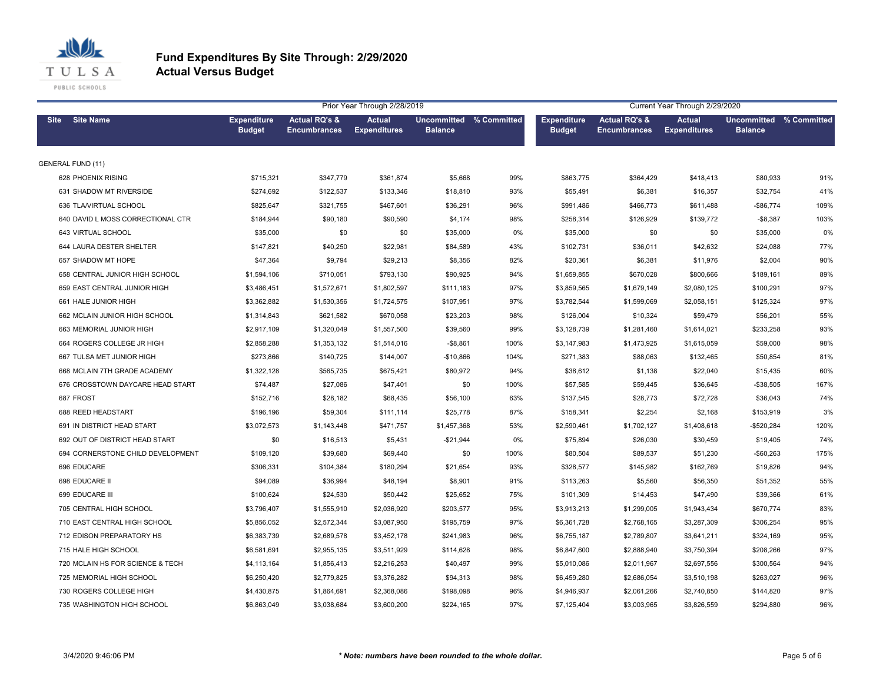

|                                   | Prior Year Through 2/28/2019<br>Current Year Through 2/29/2020 |                                                 |                                      |                                           |      |                                     |                                                 |                                      |                                           |      |
|-----------------------------------|----------------------------------------------------------------|-------------------------------------------------|--------------------------------------|-------------------------------------------|------|-------------------------------------|-------------------------------------------------|--------------------------------------|-------------------------------------------|------|
| <b>Site Name</b><br><b>Site</b>   | <b>Expenditure</b><br><b>Budget</b>                            | <b>Actual RQ's &amp;</b><br><b>Encumbrances</b> | <b>Actual</b><br><b>Expenditures</b> | Uncommitted % Committed<br><b>Balance</b> |      | <b>Expenditure</b><br><b>Budget</b> | <b>Actual RQ's &amp;</b><br><b>Encumbrances</b> | <b>Actual</b><br><b>Expenditures</b> | Uncommitted % Committed<br><b>Balance</b> |      |
| <b>GENERAL FUND (11)</b>          |                                                                |                                                 |                                      |                                           |      |                                     |                                                 |                                      |                                           |      |
| 628 PHOENIX RISING                | \$715,321                                                      | \$347,779                                       | \$361,874                            | \$5,668                                   | 99%  | \$863,775                           | \$364,429                                       | \$418,413                            | \$80,933                                  | 91%  |
| 631 SHADOW MT RIVERSIDE           | \$274,692                                                      | \$122,537                                       | \$133,346                            | \$18,810                                  | 93%  | \$55,491                            | \$6,381                                         | \$16,357                             | \$32,754                                  | 41%  |
| 636 TLA/VIRTUAL SCHOOL            | \$825,647                                                      | \$321,755                                       | \$467,601                            | \$36,291                                  | 96%  | \$991,486                           | \$466,773                                       | \$611,488                            | $-$86,774$                                | 109% |
| 640 DAVID L MOSS CORRECTIONAL CTR | \$184,944                                                      | \$90,180                                        | \$90,590                             | \$4,174                                   | 98%  | \$258,314                           | \$126,929                                       | \$139,772                            | $-$8,387$                                 | 103% |
| 643 VIRTUAL SCHOOL                | \$35,000                                                       | \$0                                             | \$0                                  | \$35,000                                  | 0%   | \$35,000                            | \$0                                             | \$0                                  | \$35,000                                  | 0%   |
| 644 LAURA DESTER SHELTER          | \$147,821                                                      | \$40,250                                        | \$22,981                             | \$84,589                                  | 43%  | \$102,731                           | \$36,011                                        | \$42,632                             | \$24,088                                  | 77%  |
| 657 SHADOW MT HOPE                | \$47,364                                                       | \$9,794                                         | \$29,213                             | \$8,356                                   | 82%  | \$20,361                            | \$6,381                                         | \$11,976                             | \$2,004                                   | 90%  |
| 658 CENTRAL JUNIOR HIGH SCHOOL    | \$1,594,106                                                    | \$710,051                                       | \$793,130                            | \$90,925                                  | 94%  | \$1,659,855                         | \$670,028                                       | \$800,666                            | \$189,161                                 | 89%  |
| 659 EAST CENTRAL JUNIOR HIGH      | \$3,486,451                                                    | \$1,572,671                                     | \$1,802,597                          | \$111,183                                 | 97%  | \$3,859,565                         | \$1,679,149                                     | \$2,080,125                          | \$100,291                                 | 97%  |
| 661 HALE JUNIOR HIGH              | \$3,362,882                                                    | \$1,530,356                                     | \$1,724,575                          | \$107,951                                 | 97%  | \$3,782,544                         | \$1,599,069                                     | \$2,058,151                          | \$125,324                                 | 97%  |
| 662 MCLAIN JUNIOR HIGH SCHOOL     | \$1,314,843                                                    | \$621,582                                       | \$670,058                            | \$23,203                                  | 98%  | \$126,004                           | \$10,324                                        | \$59,479                             | \$56,201                                  | 55%  |
| 663 MEMORIAL JUNIOR HIGH          | \$2,917,109                                                    | \$1,320,049                                     | \$1,557,500                          | \$39,560                                  | 99%  | \$3,128,739                         | \$1,281,460                                     | \$1,614,021                          | \$233,258                                 | 93%  |
| 664 ROGERS COLLEGE JR HIGH        | \$2,858,288                                                    | \$1,353,132                                     | \$1,514,016                          | $-$8,861$                                 | 100% | \$3,147,983                         | \$1,473,925                                     | \$1,615,059                          | \$59,000                                  | 98%  |
| 667 TULSA MET JUNIOR HIGH         | \$273,866                                                      | \$140,725                                       | \$144,007                            | $-$10,866$                                | 104% | \$271,383                           | \$88,063                                        | \$132,465                            | \$50,854                                  | 81%  |
| 668 MCLAIN 7TH GRADE ACADEMY      | \$1,322,128                                                    | \$565,735                                       | \$675,421                            | \$80,972                                  | 94%  | \$38,612                            | \$1,138                                         | \$22,040                             | \$15,435                                  | 60%  |
| 676 CROSSTOWN DAYCARE HEAD START  | \$74,487                                                       | \$27,086                                        | \$47,401                             | \$0                                       | 100% | \$57,585                            | \$59,445                                        | \$36,645                             | $-$38,505$                                | 167% |
| 687 FROST                         | \$152,716                                                      | \$28,182                                        | \$68,435                             | \$56,100                                  | 63%  | \$137,545                           | \$28,773                                        | \$72,728                             | \$36,043                                  | 74%  |
| 688 REED HEADSTART                | \$196,196                                                      | \$59,304                                        | \$111,114                            | \$25,778                                  | 87%  | \$158,341                           | \$2,254                                         | \$2,168                              | \$153,919                                 | 3%   |
| 691 IN DISTRICT HEAD START        | \$3,072,573                                                    | \$1,143,448                                     | \$471,757                            | \$1,457,368                               | 53%  | \$2,590,461                         | \$1,702,127                                     | \$1,408,618                          | $-$520,284$                               | 120% |
| 692 OUT OF DISTRICT HEAD START    | \$0                                                            | \$16,513                                        | \$5,431                              | $-$21,944$                                | 0%   | \$75,894                            | \$26,030                                        | \$30,459                             | \$19,405                                  | 74%  |
| 694 CORNERSTONE CHILD DEVELOPMENT | \$109,120                                                      | \$39,680                                        | \$69,440                             | \$0                                       | 100% | \$80,504                            | \$89,537                                        | \$51,230                             | $-$60,263$                                | 175% |
| 696 EDUCARE                       | \$306,331                                                      | \$104,384                                       | \$180,294                            | \$21,654                                  | 93%  | \$328,577                           | \$145,982                                       | \$162,769                            | \$19,826                                  | 94%  |
| 698 EDUCARE II                    | \$94,089                                                       | \$36,994                                        | \$48,194                             | \$8,901                                   | 91%  | \$113,263                           | \$5,560                                         | \$56,350                             | \$51,352                                  | 55%  |
| 699 EDUCARE III                   | \$100,624                                                      | \$24,530                                        | \$50,442                             | \$25,652                                  | 75%  | \$101,309                           | \$14,453                                        | \$47,490                             | \$39,366                                  | 61%  |
| 705 CENTRAL HIGH SCHOOL           | \$3,796,407                                                    | \$1,555,910                                     | \$2,036,920                          | \$203,577                                 | 95%  | \$3,913,213                         | \$1,299,005                                     | \$1,943,434                          | \$670,774                                 | 83%  |
| 710 EAST CENTRAL HIGH SCHOOL      | \$5,856,052                                                    | \$2,572,344                                     | \$3,087,950                          | \$195,759                                 | 97%  | \$6,361,728                         | \$2,768,165                                     | \$3,287,309                          | \$306,254                                 | 95%  |
| 712 EDISON PREPARATORY HS         | \$6,383,739                                                    | \$2,689,578                                     | \$3,452,178                          | \$241,983                                 | 96%  | \$6,755,187                         | \$2,789,807                                     | \$3,641,211                          | \$324,169                                 | 95%  |
| 715 HALE HIGH SCHOOL              | \$6,581,691                                                    | \$2,955,135                                     | \$3,511,929                          | \$114,628                                 | 98%  | \$6,847,600                         | \$2,888,940                                     | \$3,750,394                          | \$208,266                                 | 97%  |
| 720 MCLAIN HS FOR SCIENCE & TECH  | \$4,113,164                                                    | \$1,856,413                                     | \$2,216,253                          | \$40,497                                  | 99%  | \$5,010,086                         | \$2,011,967                                     | \$2,697,556                          | \$300,564                                 | 94%  |
| 725 MEMORIAL HIGH SCHOOL          | \$6,250,420                                                    | \$2,779,825                                     | \$3,376,282                          | \$94,313                                  | 98%  | \$6,459,280                         | \$2,686,054                                     | \$3,510,198                          | \$263,027                                 | 96%  |
| 730 ROGERS COLLEGE HIGH           | \$4,430,875                                                    | \$1,864,691                                     | \$2,368,086                          | \$198,098                                 | 96%  | \$4,946,937                         | \$2,061,266                                     | \$2,740,850                          | \$144,820                                 | 97%  |
| 735 WASHINGTON HIGH SCHOOL        | \$6,863,049                                                    | \$3,038,684                                     | \$3,600,200                          | \$224,165                                 | 97%  | \$7,125,404                         | \$3,003,965                                     | \$3,826,559                          | \$294,880                                 | 96%  |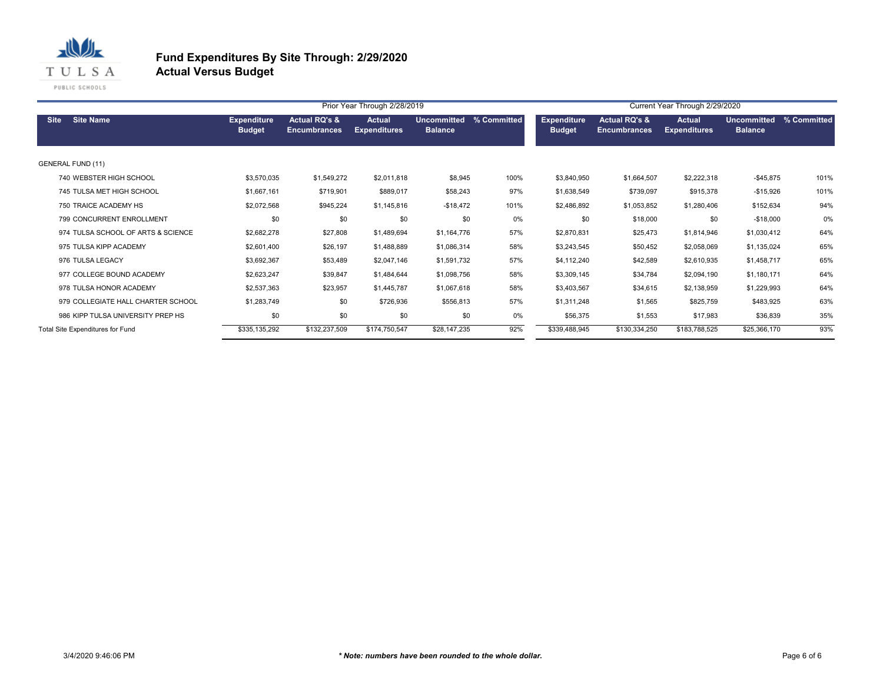

|                                    |                                     |                                                 | Prior Year Through 2/28/2019         |                                      | Current Year Through 2/29/2020 |                                     |                                                 |                               |                               |             |
|------------------------------------|-------------------------------------|-------------------------------------------------|--------------------------------------|--------------------------------------|--------------------------------|-------------------------------------|-------------------------------------------------|-------------------------------|-------------------------------|-------------|
| <b>Site Name</b><br><b>Site</b>    | <b>Expenditure</b><br><b>Budget</b> | <b>Actual RQ's &amp;</b><br><b>Encumbrances</b> | <b>Actual</b><br><b>Expenditures</b> | <b>Uncommitted</b><br><b>Balance</b> | % Committed                    | <b>Expenditure</b><br><b>Budget</b> | <b>Actual RQ's &amp;</b><br><b>Encumbrances</b> | Actual<br><b>Expenditures</b> | Uncommitted<br><b>Balance</b> | % Committed |
| <b>GENERAL FUND (11)</b>           |                                     |                                                 |                                      |                                      |                                |                                     |                                                 |                               |                               |             |
| 740 WEBSTER HIGH SCHOOL            | \$3,570,035                         | \$1,549,272                                     | \$2,011,818                          | \$8,945                              | 100%                           | \$3,840,950                         | \$1,664,507                                     | \$2,222,318                   | $-$45,875$                    | 101%        |
| 745 TULSA MET HIGH SCHOOL          | \$1,667,161                         | \$719,901                                       | \$889,017                            | \$58,243                             | 97%                            | \$1,638,549                         | \$739,097                                       | \$915,378                     | $-$15,926$                    | 101%        |
| 750 TRAICE ACADEMY HS              | \$2,072,568                         | \$945,224                                       | \$1,145,816                          | $-$18,472$                           | 101%                           | \$2,486,892                         | \$1,053,852                                     | \$1,280,406                   | \$152,634                     | 94%         |
| 799 CONCURRENT ENROLLMENT          | \$0                                 | \$0                                             | \$0                                  | \$0                                  | 0%                             | \$0                                 | \$18,000                                        | \$0                           | $-$18,000$                    | 0%          |
| 974 TULSA SCHOOL OF ARTS & SCIENCE | \$2,682,278                         | \$27,808                                        | \$1,489,694                          | \$1,164,776                          | 57%                            | \$2,870,831                         | \$25,473                                        | \$1,814,946                   | \$1,030,412                   | 64%         |
| 975 TULSA KIPP ACADEMY             | \$2,601,400                         | \$26,197                                        | \$1,488,889                          | \$1,086,314                          | 58%                            | \$3,243,545                         | \$50,452                                        | \$2,058,069                   | \$1,135,024                   | 65%         |
| 976 TULSA LEGACY                   | \$3,692,367                         | \$53,489                                        | \$2,047,146                          | \$1,591,732                          | 57%                            | \$4,112,240                         | \$42,589                                        | \$2,610,935                   | \$1,458,717                   | 65%         |
| 977 COLLEGE BOUND ACADEMY          | \$2,623,247                         | \$39,847                                        | \$1,484,644                          | \$1,098,756                          | 58%                            | \$3,309,145                         | \$34,784                                        | \$2,094,190                   | \$1,180,171                   | 64%         |
| 978 TULSA HONOR ACADEMY            | \$2,537,363                         | \$23,957                                        | \$1,445,787                          | \$1,067,618                          | 58%                            | \$3,403,567                         | \$34,615                                        | \$2,138,959                   | \$1,229,993                   | 64%         |
| 979 COLLEGIATE HALL CHARTER SCHOOL | \$1,283,749                         | \$0                                             | \$726,936                            | \$556,813                            | 57%                            | \$1,311,248                         | \$1,565                                         | \$825,759                     | \$483,925                     | 63%         |
| 986 KIPP TULSA UNIVERSITY PREP HS  | \$0                                 | \$0                                             | \$0                                  | \$0                                  | 0%                             | \$56,375                            | \$1,553                                         | \$17,983                      | \$36,839                      | 35%         |
| Total Site Expenditures for Fund   | \$335,135,292                       | \$132,237,509                                   | \$174,750,547                        | \$28,147,235                         | 92%                            | \$339,488,945                       | \$130,334,250                                   | \$183,788,525                 | \$25,366,170                  | 93%         |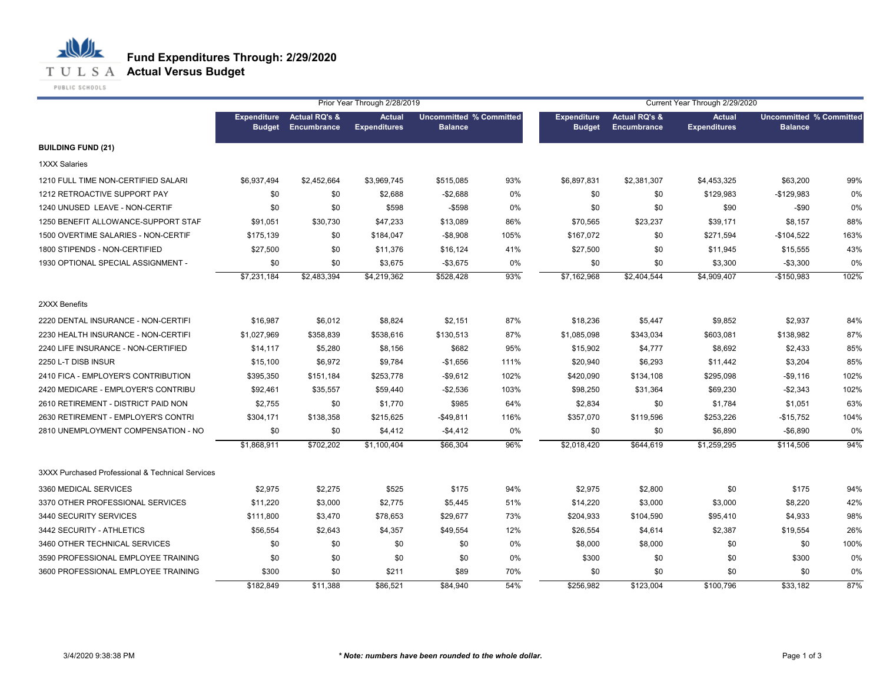

|                                                  |                                     | Prior Year Through 2/28/2019            |                                      |                                                  |      |                                     | Current Year Through 2/29/2020          |                                      |                                                  |      |  |
|--------------------------------------------------|-------------------------------------|-----------------------------------------|--------------------------------------|--------------------------------------------------|------|-------------------------------------|-----------------------------------------|--------------------------------------|--------------------------------------------------|------|--|
|                                                  | <b>Expenditure</b><br><b>Budget</b> | <b>Actual RQ's &amp;</b><br>Encumbrance | <b>Actual</b><br><b>Expenditures</b> | <b>Uncommitted % Committed</b><br><b>Balance</b> |      | <b>Expenditure</b><br><b>Budget</b> | <b>Actual RQ's &amp;</b><br>Encumbrance | <b>Actual</b><br><b>Expenditures</b> | <b>Uncommitted % Committed</b><br><b>Balance</b> |      |  |
| <b>BUILDING FUND (21)</b>                        |                                     |                                         |                                      |                                                  |      |                                     |                                         |                                      |                                                  |      |  |
| 1XXX Salaries                                    |                                     |                                         |                                      |                                                  |      |                                     |                                         |                                      |                                                  |      |  |
| 1210 FULL TIME NON-CERTIFIED SALARI              | \$6,937,494                         | \$2,452,664                             | \$3,969,745                          | \$515,085                                        | 93%  | \$6,897,831                         | \$2,381,307                             | \$4,453,325                          | \$63,200                                         | 99%  |  |
| 1212 RETROACTIVE SUPPORT PAY                     | \$0                                 | \$0                                     | \$2,688                              | $-$2,688$                                        | 0%   | \$0                                 | \$0                                     | \$129,983                            | $-$129,983$                                      | 0%   |  |
| 1240 UNUSED LEAVE - NON-CERTIF                   | \$0                                 | \$0                                     | \$598                                | $-$598$                                          | 0%   | \$0                                 | \$0                                     | \$90                                 | $-$90$                                           | 0%   |  |
| 1250 BENEFIT ALLOWANCE-SUPPORT STAF              | \$91,051                            | \$30,730                                | \$47,233                             | \$13,089                                         | 86%  | \$70,565                            | \$23,237                                | \$39,171                             | \$8,157                                          | 88%  |  |
| 1500 OVERTIME SALARIES - NON-CERTIF              | \$175,139                           | \$0                                     | \$184,047                            | $-$8,908$                                        | 105% | \$167,072                           | \$0                                     | \$271,594                            | $-$104,522$                                      | 163% |  |
| 1800 STIPENDS - NON-CERTIFIED                    | \$27,500                            | \$0                                     | \$11,376                             | \$16,124                                         | 41%  | \$27,500                            | \$0                                     | \$11,945                             | \$15,555                                         | 43%  |  |
| 1930 OPTIONAL SPECIAL ASSIGNMENT -               | \$0                                 | \$0                                     | \$3,675                              | $-$3,675$                                        | 0%   | \$0                                 | \$0                                     | \$3,300                              | $-$3,300$                                        | 0%   |  |
|                                                  | \$7,231,184                         | \$2,483,394                             | \$4,219,362                          | \$528,428                                        | 93%  | \$7,162,968                         | \$2,404,544                             | \$4,909,407                          | $-$150.983$                                      | 102% |  |
| 2XXX Benefits                                    |                                     |                                         |                                      |                                                  |      |                                     |                                         |                                      |                                                  |      |  |
| 2220 DENTAL INSURANCE - NON-CERTIFI              | \$16,987                            | \$6,012                                 | \$8,824                              | \$2,151                                          | 87%  | \$18,236                            | \$5,447                                 | \$9,852                              | \$2,937                                          | 84%  |  |
| 2230 HEALTH INSURANCE - NON-CERTIFI              | \$1,027,969                         | \$358,839                               | \$538,616                            | \$130,513                                        | 87%  | \$1,085,098                         | \$343,034                               | \$603,081                            | \$138,982                                        | 87%  |  |
| 2240 LIFE INSURANCE - NON-CERTIFIED              | \$14,117                            | \$5,280                                 | \$8,156                              | \$682                                            | 95%  | \$15,902                            | \$4,777                                 | \$8,692                              | \$2,433                                          | 85%  |  |
| 2250 L-T DISB INSUR                              | \$15,100                            | \$6,972                                 | \$9,784                              | $-$1,656$                                        | 111% | \$20,940                            | \$6,293                                 | \$11,442                             | \$3,204                                          | 85%  |  |
| 2410 FICA - EMPLOYER'S CONTRIBUTION              | \$395,350                           | \$151,184                               | \$253,778                            | $-$9,612$                                        | 102% | \$420,090                           | \$134,108                               | \$295,098                            | $-$9,116$                                        | 102% |  |
| 2420 MEDICARE - EMPLOYER'S CONTRIBU              | \$92,461                            | \$35,557                                | \$59,440                             | $-$2,536$                                        | 103% | \$98,250                            | \$31,364                                | \$69,230                             | $-$2,343$                                        | 102% |  |
| 2610 RETIREMENT - DISTRICT PAID NON              | \$2,755                             | \$0                                     | \$1,770                              | \$985                                            | 64%  | \$2,834                             | \$0                                     | \$1,784                              | \$1,051                                          | 63%  |  |
| 2630 RETIREMENT - EMPLOYER'S CONTRI              | \$304,171                           | \$138,358                               | \$215,625                            | $-$ \$49,811                                     | 116% | \$357,070                           | \$119,596                               | \$253,226                            | $-$15,752$                                       | 104% |  |
| 2810 UNEMPLOYMENT COMPENSATION - NO              | \$0                                 | \$0                                     | \$4,412                              | $-$4,412$                                        | 0%   | \$0                                 | \$0                                     | \$6,890                              | $-$6,890$                                        | 0%   |  |
|                                                  | \$1,868,911                         | \$702,202                               | \$1,100,404                          | \$66,304                                         | 96%  | \$2,018,420                         | \$644,619                               | \$1,259,295                          | \$114,506                                        | 94%  |  |
| 3XXX Purchased Professional & Technical Services |                                     |                                         |                                      |                                                  |      |                                     |                                         |                                      |                                                  |      |  |
| 3360 MEDICAL SERVICES                            | \$2,975                             | \$2,275                                 | \$525                                | \$175                                            | 94%  | \$2,975                             | \$2,800                                 | \$0                                  | \$175                                            | 94%  |  |
| 3370 OTHER PROFESSIONAL SERVICES                 | \$11.220                            | \$3,000                                 | \$2,775                              | \$5,445                                          | 51%  | \$14,220                            | \$3,000                                 | \$3,000                              | \$8,220                                          | 42%  |  |
| 3440 SECURITY SERVICES                           | \$111,800                           | \$3,470                                 | \$78,653                             | \$29,677                                         | 73%  | \$204,933                           | \$104,590                               | \$95,410                             | \$4,933                                          | 98%  |  |
| 3442 SECURITY - ATHLETICS                        | \$56,554                            | \$2,643                                 | \$4,357                              | \$49,554                                         | 12%  | \$26,554                            | \$4,614                                 | \$2,387                              | \$19,554                                         | 26%  |  |
| 3460 OTHER TECHNICAL SERVICES                    | \$0                                 | \$0                                     | \$0                                  | \$0                                              | 0%   | \$8,000                             | \$8,000                                 | \$0                                  | \$0                                              | 100% |  |
| 3590 PROFESSIONAL EMPLOYEE TRAINING              | \$0                                 | \$0                                     | \$0                                  | \$0                                              | 0%   | \$300                               | \$0                                     | \$0                                  | \$300                                            | 0%   |  |
| 3600 PROFESSIONAL EMPLOYEE TRAINING              | \$300                               | \$0                                     | \$211                                | \$89                                             | 70%  | \$0                                 | \$0                                     | \$0                                  | \$0                                              | 0%   |  |
|                                                  | \$182,849                           | \$11,388                                | \$86,521                             | \$84,940                                         | 54%  | \$256,982                           | \$123,004                               | \$100,796                            | \$33,182                                         | 87%  |  |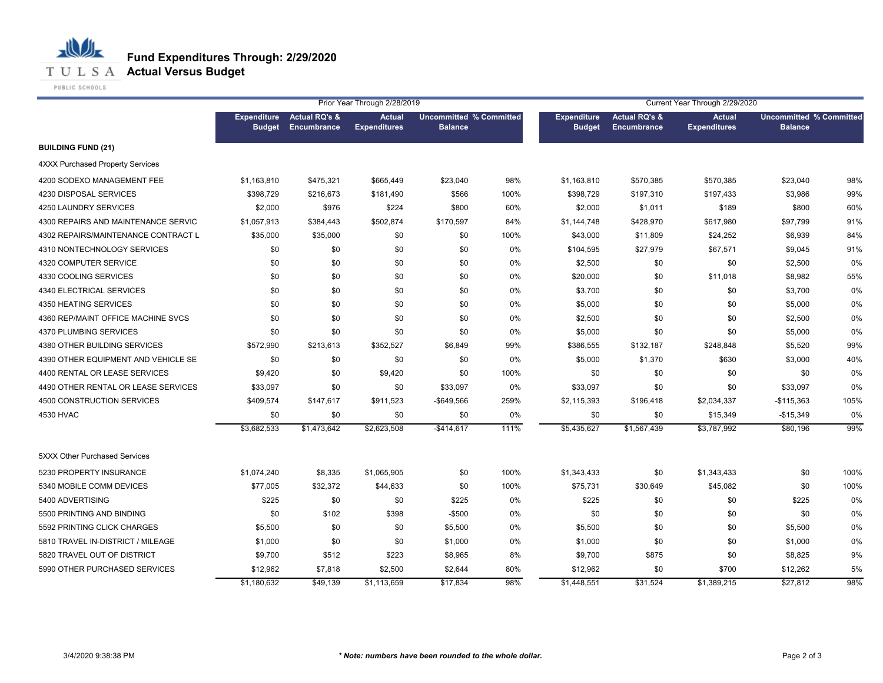**T U L S A Actual Versus Budget** 

PUBLIC SCHOOLS

|                                     | Prior Year Through 2/28/2019<br>Current Year Through 2/29/2020 |                                                |                                      |                                                  |      |                                     |                                         |                                      |                                                  |      |
|-------------------------------------|----------------------------------------------------------------|------------------------------------------------|--------------------------------------|--------------------------------------------------|------|-------------------------------------|-----------------------------------------|--------------------------------------|--------------------------------------------------|------|
|                                     | <b>Expenditure</b><br><b>Budget</b>                            | <b>Actual RQ's &amp;</b><br><b>Encumbrance</b> | <b>Actual</b><br><b>Expenditures</b> | <b>Uncommitted % Committed</b><br><b>Balance</b> |      | <b>Expenditure</b><br><b>Budget</b> | <b>Actual RQ's &amp;</b><br>Encumbrance | <b>Actual</b><br><b>Expenditures</b> | <b>Uncommitted % Committed</b><br><b>Balance</b> |      |
| <b>BUILDING FUND (21)</b>           |                                                                |                                                |                                      |                                                  |      |                                     |                                         |                                      |                                                  |      |
| 4XXX Purchased Property Services    |                                                                |                                                |                                      |                                                  |      |                                     |                                         |                                      |                                                  |      |
| 4200 SODEXO MANAGEMENT FEE          | \$1,163,810                                                    | \$475,321                                      | \$665,449                            | \$23,040                                         | 98%  | \$1,163,810                         | \$570,385                               | \$570,385                            | \$23,040                                         | 98%  |
| 4230 DISPOSAL SERVICES              | \$398,729                                                      | \$216,673                                      | \$181,490                            | \$566                                            | 100% | \$398,729                           | \$197,310                               | \$197,433                            | \$3,986                                          | 99%  |
| 4250 LAUNDRY SERVICES               | \$2,000                                                        | \$976                                          | \$224                                | \$800                                            | 60%  | \$2,000                             | \$1,011                                 | \$189                                | \$800                                            | 60%  |
| 4300 REPAIRS AND MAINTENANCE SERVIC | \$1,057,913                                                    | \$384,443                                      | \$502,874                            | \$170,597                                        | 84%  | \$1,144,748                         | \$428,970                               | \$617,980                            | \$97,799                                         | 91%  |
| 4302 REPAIRS/MAINTENANCE CONTRACT L | \$35,000                                                       | \$35,000                                       | \$0                                  | \$0                                              | 100% | \$43,000                            | \$11,809                                | \$24,252                             | \$6,939                                          | 84%  |
| 4310 NONTECHNOLOGY SERVICES         | \$0                                                            | \$0                                            | \$0                                  | \$0                                              | 0%   | \$104,595                           | \$27,979                                | \$67,571                             | \$9,045                                          | 91%  |
| 4320 COMPUTER SERVICE               | \$0                                                            | \$0                                            | \$0                                  | \$0                                              | 0%   | \$2,500                             | \$0                                     | \$0                                  | \$2,500                                          | 0%   |
| 4330 COOLING SERVICES               | \$0                                                            | \$0                                            | \$0                                  | \$0                                              | 0%   | \$20,000                            | \$0                                     | \$11,018                             | \$8,982                                          | 55%  |
| 4340 ELECTRICAL SERVICES            | \$0                                                            | \$0                                            | \$0                                  | \$0                                              | 0%   | \$3,700                             | \$0                                     | \$0                                  | \$3,700                                          | 0%   |
| 4350 HEATING SERVICES               | \$0                                                            | \$0                                            | \$0                                  | \$0                                              | 0%   | \$5,000                             | \$0                                     | \$0                                  | \$5,000                                          | 0%   |
| 4360 REP/MAINT OFFICE MACHINE SVCS  | \$0                                                            | \$0                                            | \$0                                  | \$0                                              | 0%   | \$2,500                             | \$0                                     | \$0                                  | \$2,500                                          | 0%   |
| 4370 PLUMBING SERVICES              | \$0                                                            | \$0                                            | \$0                                  | \$0                                              | 0%   | \$5,000                             | \$0                                     | \$0                                  | \$5,000                                          | 0%   |
| 4380 OTHER BUILDING SERVICES        | \$572,990                                                      | \$213,613                                      | \$352,527                            | \$6,849                                          | 99%  | \$386,555                           | \$132,187                               | \$248,848                            | \$5,520                                          | 99%  |
| 4390 OTHER EQUIPMENT AND VEHICLE SE | \$0                                                            | \$0                                            | \$0                                  | \$0                                              | 0%   | \$5,000                             | \$1,370                                 | \$630                                | \$3,000                                          | 40%  |
| 4400 RENTAL OR LEASE SERVICES       | \$9,420                                                        | \$0                                            | \$9,420                              | \$0                                              | 100% | \$0                                 | \$0                                     | \$0                                  | \$0                                              | 0%   |
| 4490 OTHER RENTAL OR LEASE SERVICES | \$33,097                                                       | \$0                                            | \$0                                  | \$33,097                                         | 0%   | \$33,097                            | \$0                                     | \$0                                  | \$33,097                                         | 0%   |
| 4500 CONSTRUCTION SERVICES          | \$409,574                                                      | \$147,617                                      | \$911,523                            | $-$ \$649,566                                    | 259% | \$2,115,393                         | \$196,418                               | \$2,034,337                          | $-$115,363$                                      | 105% |
| 4530 HVAC                           | \$0                                                            | \$0                                            | \$0                                  | \$0                                              | 0%   | \$0                                 | \$0                                     | \$15,349                             | $-$15,349$                                       | 0%   |
|                                     | \$3,682,533                                                    | \$1,473,642                                    | \$2,623,508                          | $-$414,617$                                      | 111% | \$5,435,627                         | \$1,567,439                             | \$3,787,992                          | \$80,196                                         | 99%  |
| 5XXX Other Purchased Services       |                                                                |                                                |                                      |                                                  |      |                                     |                                         |                                      |                                                  |      |
| 5230 PROPERTY INSURANCE             | \$1,074,240                                                    | \$8,335                                        | \$1,065,905                          | \$0                                              | 100% | \$1,343,433                         | \$0                                     | \$1,343,433                          | \$0                                              | 100% |
| 5340 MOBILE COMM DEVICES            | \$77,005                                                       | \$32,372                                       | \$44,633                             | \$0                                              | 100% | \$75,731                            | \$30,649                                | \$45,082                             | \$0                                              | 100% |
| 5400 ADVERTISING                    | \$225                                                          | \$0                                            | \$0                                  | \$225                                            | 0%   | \$225                               | \$0                                     | \$0                                  | \$225                                            | 0%   |
| 5500 PRINTING AND BINDING           | \$0                                                            | \$102                                          | \$398                                | $-$500$                                          | 0%   | \$0                                 | \$0                                     | \$0                                  | \$0                                              | 0%   |
| 5592 PRINTING CLICK CHARGES         | \$5,500                                                        | \$0                                            | \$0                                  | \$5,500                                          | 0%   | \$5,500                             | \$0                                     | \$0                                  | \$5,500                                          | 0%   |
| 5810 TRAVEL IN-DISTRICT / MILEAGE   | \$1,000                                                        | \$0                                            | \$0                                  | \$1,000                                          | 0%   | \$1,000                             | \$0                                     | \$0                                  | \$1,000                                          | 0%   |
| 5820 TRAVEL OUT OF DISTRICT         | \$9,700                                                        | \$512                                          | \$223                                | \$8,965                                          | 8%   | \$9,700                             | \$875                                   | \$0                                  | \$8,825                                          | 9%   |
| 5990 OTHER PURCHASED SERVICES       | \$12,962                                                       | \$7,818                                        | \$2,500                              | \$2,644                                          | 80%  | \$12,962                            | \$0                                     | \$700                                | \$12,262                                         | 5%   |
|                                     | \$1,180,632                                                    | \$49,139                                       | \$1,113,659                          | \$17,834                                         | 98%  | \$1,448,551                         | \$31,524                                | \$1,389,215                          | \$27,812                                         | 98%  |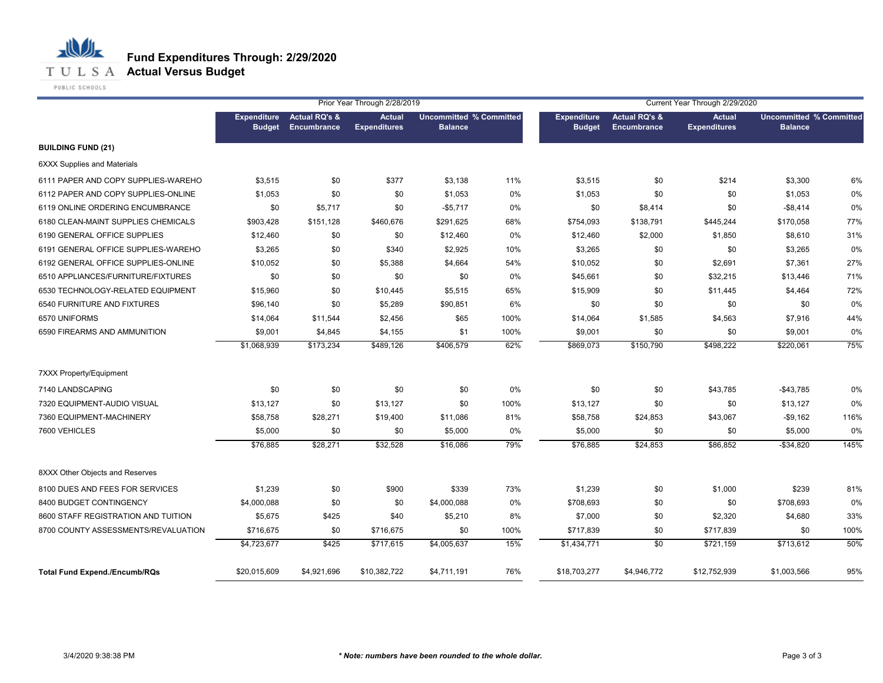

**T U L S A Actual Versus Budget** 

PUBLIC SCHOOLS

|                                      | Prior Year Through 2/28/2019        |                                         |                                      | Current Year Through 2/29/2020                   |       |                                     |                                         |                                      |                                                  |      |
|--------------------------------------|-------------------------------------|-----------------------------------------|--------------------------------------|--------------------------------------------------|-------|-------------------------------------|-----------------------------------------|--------------------------------------|--------------------------------------------------|------|
|                                      | <b>Expenditure</b><br><b>Budget</b> | <b>Actual RQ's &amp;</b><br>Encumbrance | <b>Actual</b><br><b>Expenditures</b> | <b>Uncommitted % Committed</b><br><b>Balance</b> |       | <b>Expenditure</b><br><b>Budget</b> | <b>Actual RQ's &amp;</b><br>Encumbrance | <b>Actual</b><br><b>Expenditures</b> | <b>Uncommitted % Committed</b><br><b>Balance</b> |      |
| <b>BUILDING FUND (21)</b>            |                                     |                                         |                                      |                                                  |       |                                     |                                         |                                      |                                                  |      |
| <b>6XXX Supplies and Materials</b>   |                                     |                                         |                                      |                                                  |       |                                     |                                         |                                      |                                                  |      |
| 6111 PAPER AND COPY SUPPLIES-WAREHO  | \$3,515                             | \$0                                     | \$377                                | \$3,138                                          | 11%   | \$3,515                             | \$0                                     | \$214                                | \$3,300                                          | 6%   |
| 6112 PAPER AND COPY SUPPLIES-ONLINE  | \$1,053                             | \$0                                     | \$0                                  | \$1,053                                          | 0%    | \$1,053                             | \$0                                     | \$0                                  | \$1,053                                          | 0%   |
| 6119 ONLINE ORDERING ENCUMBRANCE     | \$0                                 | \$5,717                                 | \$0                                  | $-$5,717$                                        | 0%    | \$0                                 | \$8,414                                 | \$0                                  | $-$8,414$                                        | 0%   |
| 6180 CLEAN-MAINT SUPPLIES CHEMICALS  | \$903,428                           | \$151,128                               | \$460,676                            | \$291,625                                        | 68%   | \$754,093                           | \$138,791                               | \$445,244                            | \$170,058                                        | 77%  |
| 6190 GENERAL OFFICE SUPPLIES         | \$12,460                            | \$0                                     | \$0                                  | \$12,460                                         | 0%    | \$12,460                            | \$2,000                                 | \$1,850                              | \$8,610                                          | 31%  |
| 6191 GENERAL OFFICE SUPPLIES-WAREHO  | \$3,265                             | \$0                                     | \$340                                | \$2,925                                          | 10%   | \$3,265                             | \$0                                     | \$0                                  | \$3,265                                          | 0%   |
| 6192 GENERAL OFFICE SUPPLIES-ONLINE  | \$10,052                            | \$0                                     | \$5,388                              | \$4,664                                          | 54%   | \$10,052                            | \$0                                     | \$2,691                              | \$7,361                                          | 27%  |
| 6510 APPLIANCES/FURNITURE/FIXTURES   | \$0                                 | \$0                                     | \$0                                  | \$0                                              | 0%    | \$45,661                            | \$0                                     | \$32,215                             | \$13,446                                         | 71%  |
| 6530 TECHNOLOGY-RELATED EQUIPMENT    | \$15,960                            | \$0                                     | \$10,445                             | \$5,515                                          | 65%   | \$15,909                            | \$0                                     | \$11,445                             | \$4,464                                          | 72%  |
| 6540 FURNITURE AND FIXTURES          | \$96,140                            | \$0                                     | \$5,289                              | \$90,851                                         | 6%    | \$0                                 | \$0                                     | \$0                                  | \$0                                              | 0%   |
| 6570 UNIFORMS                        | \$14,064                            | \$11,544                                | \$2,456                              | \$65                                             | 100%  | \$14,064                            | \$1,585                                 | \$4,563                              | \$7,916                                          | 44%  |
| 6590 FIREARMS AND AMMUNITION         | \$9,001                             | \$4,845                                 | \$4,155                              | \$1                                              | 100%  | \$9,001                             | \$0                                     | \$0                                  | \$9,001                                          | 0%   |
|                                      | \$1,068,939                         | \$173,234                               | \$489,126                            | \$406,579                                        | 62%   | \$869,073                           | \$150,790                               | \$498,222                            | \$220,061                                        | 75%  |
| <b>7XXX Property/Equipment</b>       |                                     |                                         |                                      |                                                  |       |                                     |                                         |                                      |                                                  |      |
| 7140 LANDSCAPING                     | \$0                                 | \$0                                     | \$0                                  | \$0                                              | $0\%$ | \$0                                 | \$0                                     | \$43,785                             | $-$43,785$                                       | 0%   |
| 7320 EQUIPMENT-AUDIO VISUAL          | \$13,127                            | \$0                                     | \$13,127                             | \$0                                              | 100%  | \$13,127                            | \$0                                     | \$0                                  | \$13,127                                         | 0%   |
| 7360 EQUIPMENT-MACHINERY             | \$58,758                            | \$28,271                                | \$19,400                             | \$11,086                                         | 81%   | \$58,758                            | \$24,853                                | \$43,067                             | $-$9,162$                                        | 116% |
| 7600 VEHICLES                        | \$5,000                             | \$0                                     | \$0                                  | \$5,000                                          | 0%    | \$5,000                             | \$0                                     | \$0                                  | \$5,000                                          | 0%   |
|                                      | \$76,885                            | \$28,271                                | \$32,528                             | \$16,086                                         | 79%   | \$76,885                            | \$24,853                                | \$86,852                             | $-$ \$34,820                                     | 145% |
| 8XXX Other Objects and Reserves      |                                     |                                         |                                      |                                                  |       |                                     |                                         |                                      |                                                  |      |
| 8100 DUES AND FEES FOR SERVICES      | \$1,239                             | \$0                                     | \$900                                | \$339                                            | 73%   | \$1,239                             | \$0                                     | \$1,000                              | \$239                                            | 81%  |
| 8400 BUDGET CONTINGENCY              | \$4,000,088                         | \$0                                     | \$0                                  | \$4,000,088                                      | 0%    | \$708,693                           | \$0                                     | \$0                                  | \$708,693                                        | 0%   |
| 8600 STAFF REGISTRATION AND TUITION  | \$5,675                             | \$425                                   | \$40                                 | \$5,210                                          | 8%    | \$7,000                             | \$0                                     | \$2,320                              | \$4,680                                          | 33%  |
| 8700 COUNTY ASSESSMENTS/REVALUATION  | \$716,675                           | \$0                                     | \$716,675                            | \$0                                              | 100%  | \$717,839                           | \$0                                     | \$717,839                            | \$0                                              | 100% |
|                                      | \$4,723,677                         | \$425                                   | \$717,615                            | \$4,005,637                                      | 15%   | \$1,434,771                         | \$0                                     | \$721,159                            | \$713,612                                        | 50%  |
| <b>Total Fund Expend./Encumb/RQs</b> | \$20,015,609                        | \$4,921,696                             | \$10,382,722                         | \$4,711,191                                      | 76%   | \$18,703,277                        | \$4,946,772                             | \$12,752,939                         | \$1,003,566                                      | 95%  |
|                                      |                                     |                                         |                                      |                                                  |       |                                     |                                         |                                      |                                                  |      |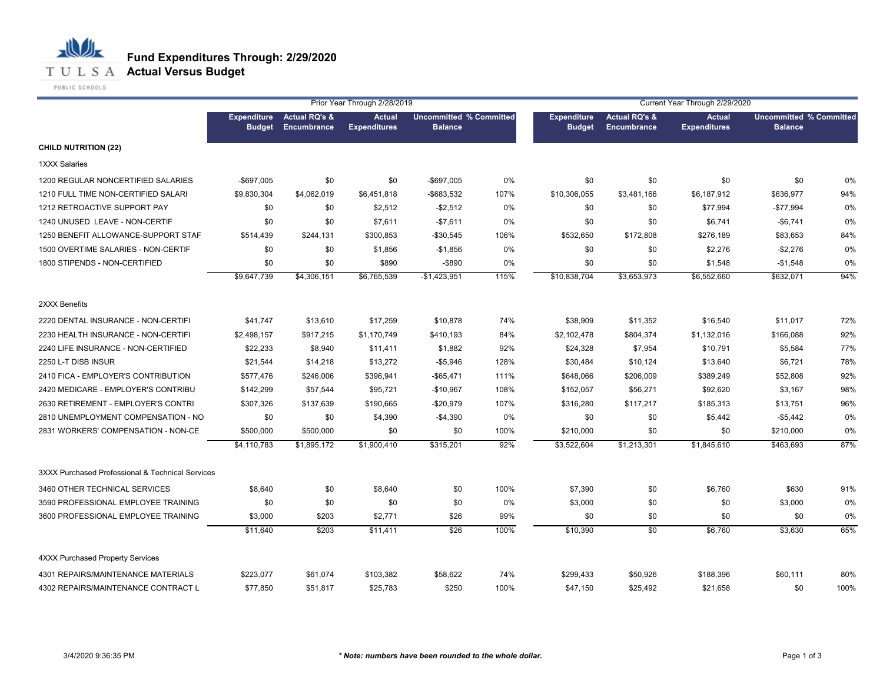

|                                                  |                                     | Prior Year Through 2/28/2019<br>Current Year Through 2/29/2020<br><b>Uncommitted % Committed</b><br><b>Uncommitted % Committed</b> |                                      |                |      |                                     |                                                |                                      |                |      |
|--------------------------------------------------|-------------------------------------|------------------------------------------------------------------------------------------------------------------------------------|--------------------------------------|----------------|------|-------------------------------------|------------------------------------------------|--------------------------------------|----------------|------|
|                                                  | <b>Expenditure</b><br><b>Budget</b> | <b>Actual RQ's &amp;</b><br>Encumbrance                                                                                            | <b>Actual</b><br><b>Expenditures</b> | <b>Balance</b> |      | <b>Expenditure</b><br><b>Budget</b> | <b>Actual RQ's &amp;</b><br><b>Encumbrance</b> | <b>Actual</b><br><b>Expenditures</b> | <b>Balance</b> |      |
| <b>CHILD NUTRITION (22)</b>                      |                                     |                                                                                                                                    |                                      |                |      |                                     |                                                |                                      |                |      |
| <b>1XXX Salaries</b>                             |                                     |                                                                                                                                    |                                      |                |      |                                     |                                                |                                      |                |      |
| 1200 REGULAR NONCERTIFIED SALARIES               | $-$697,005$                         | \$0                                                                                                                                | \$0                                  | -\$697,005     | 0%   | \$0                                 | \$0                                            | \$0                                  | \$0            | 0%   |
| 1210 FULL TIME NON-CERTIFIED SALARI              | \$9,830,304                         | \$4,062,019                                                                                                                        | \$6,451,818                          | -\$683,532     | 107% | \$10,306,055                        | \$3,481,166                                    | \$6,187,912                          | \$636,977      | 94%  |
| 1212 RETROACTIVE SUPPORT PAY                     | \$0                                 | \$0                                                                                                                                | \$2,512                              | $-$2,512$      | 0%   | \$0                                 | \$0                                            | \$77,994                             | -\$77,994      | 0%   |
| 1240 UNUSED LEAVE - NON-CERTIF                   | \$0                                 | \$0                                                                                                                                | \$7,611                              | $-$7,611$      | 0%   | \$0                                 | \$0                                            | \$6,741                              | $-$6,741$      | 0%   |
| 1250 BENEFIT ALLOWANCE-SUPPORT STAF              | \$514,439                           | \$244,131                                                                                                                          | \$300,853                            | -\$30,545      | 106% | \$532,650                           | \$172,808                                      | \$276,189                            | \$83,653       | 84%  |
| 1500 OVERTIME SALARIES - NON-CERTIF              | \$0                                 | \$0                                                                                                                                | \$1,856                              | $-$1,856$      | 0%   | \$0                                 | \$0                                            | \$2,276                              | $-$2,276$      | 0%   |
| 1800 STIPENDS - NON-CERTIFIED                    | \$0                                 | \$0                                                                                                                                | \$890                                | $-$ \$890      | 0%   | \$0                                 | \$0                                            | \$1,548                              | $-$1,548$      | 0%   |
|                                                  | \$9,647,739                         | \$4,306,151                                                                                                                        | \$6,765,539                          | $-$1,423,951$  | 115% | \$10,838,704                        | \$3,653,973                                    | \$6,552,660                          | \$632,071      | 94%  |
| 2XXX Benefits                                    |                                     |                                                                                                                                    |                                      |                |      |                                     |                                                |                                      |                |      |
| 2220 DENTAL INSURANCE - NON-CERTIFI              | \$41,747                            | \$13,610                                                                                                                           | \$17,259                             | \$10,878       | 74%  | \$38,909                            | \$11,352                                       | \$16,540                             | \$11,017       | 72%  |
| 2230 HEALTH INSURANCE - NON-CERTIFI              | \$2,498,157                         | \$917,215                                                                                                                          | \$1,170,749                          | \$410,193      | 84%  | \$2,102,478                         | \$804,374                                      | \$1,132,016                          | \$166,088      | 92%  |
| 2240 LIFE INSURANCE - NON-CERTIFIED              | \$22,233                            | \$8,940                                                                                                                            | \$11,411                             | \$1,882        | 92%  | \$24,328                            | \$7,954                                        | \$10,791                             | \$5,584        | 77%  |
| 2250 L-T DISB INSUR                              | \$21,544                            | \$14,218                                                                                                                           | \$13,272                             | $-$5,946$      | 128% | \$30,484                            | \$10,124                                       | \$13,640                             | \$6,721        | 78%  |
| 2410 FICA - EMPLOYER'S CONTRIBUTION              | \$577,476                           | \$246,006                                                                                                                          | \$396,941                            | -\$65,471      | 111% | \$648,066                           | \$206,009                                      | \$389,249                            | \$52,808       | 92%  |
| 2420 MEDICARE - EMPLOYER'S CONTRIBU              | \$142,299                           | \$57,544                                                                                                                           | \$95,721                             | -\$10,967      | 108% | \$152,057                           | \$56,271                                       | \$92,620                             | \$3,167        | 98%  |
| 2630 RETIREMENT - EMPLOYER'S CONTRI              | \$307,326                           | \$137,639                                                                                                                          | \$190,665                            | -\$20,979      | 107% | \$316,280                           | \$117,217                                      | \$185,313                            | \$13,751       | 96%  |
| 2810 UNEMPLOYMENT COMPENSATION - NO              | \$0                                 | \$0                                                                                                                                | \$4,390                              | $-$4,390$      | 0%   | \$0                                 | \$0                                            | \$5,442                              | $-$5,442$      | 0%   |
| 2831 WORKERS' COMPENSATION - NON-CE              | \$500,000                           | \$500,000                                                                                                                          | \$0                                  | \$0            | 100% | \$210,000                           | \$0                                            | \$0                                  | \$210,000      | 0%   |
|                                                  | \$4,110,783                         | \$1,895,172                                                                                                                        | \$1,900,410                          | \$315,201      | 92%  | \$3,522,604                         | \$1,213,301                                    | \$1,845,610                          | \$463,693      | 87%  |
| 3XXX Purchased Professional & Technical Services |                                     |                                                                                                                                    |                                      |                |      |                                     |                                                |                                      |                |      |
| 3460 OTHER TECHNICAL SERVICES                    | \$8,640                             | \$0                                                                                                                                | \$8,640                              | \$0            | 100% | \$7,390                             | \$0                                            | \$6,760                              | \$630          | 91%  |
| 3590 PROFESSIONAL EMPLOYEE TRAINING              | \$0                                 | \$0                                                                                                                                | \$0                                  | \$0            | 0%   | \$3,000                             | \$0                                            | \$0                                  | \$3,000        | 0%   |
| 3600 PROFESSIONAL EMPLOYEE TRAINING              | \$3,000                             | \$203                                                                                                                              | \$2,771                              | \$26           | 99%  | \$0                                 | \$0                                            | \$0                                  | \$0            | 0%   |
|                                                  | \$11,640                            | \$203                                                                                                                              | \$11,411                             | \$26           | 100% | \$10,390                            | \$0                                            | \$6,760                              | \$3,630        | 65%  |
| <b>4XXX Purchased Property Services</b>          |                                     |                                                                                                                                    |                                      |                |      |                                     |                                                |                                      |                |      |
| 4301 REPAIRS/MAINTENANCE MATERIALS               | \$223,077                           | \$61,074                                                                                                                           | \$103,382                            | \$58,622       | 74%  | \$299,433                           | \$50,926                                       | \$188,396                            | \$60,111       | 80%  |
| 4302 REPAIRS/MAINTENANCE CONTRACT L              | \$77,850                            | \$51,817                                                                                                                           | \$25,783                             | \$250          | 100% | \$47,150                            | \$25,492                                       | \$21,658                             | \$0            | 100% |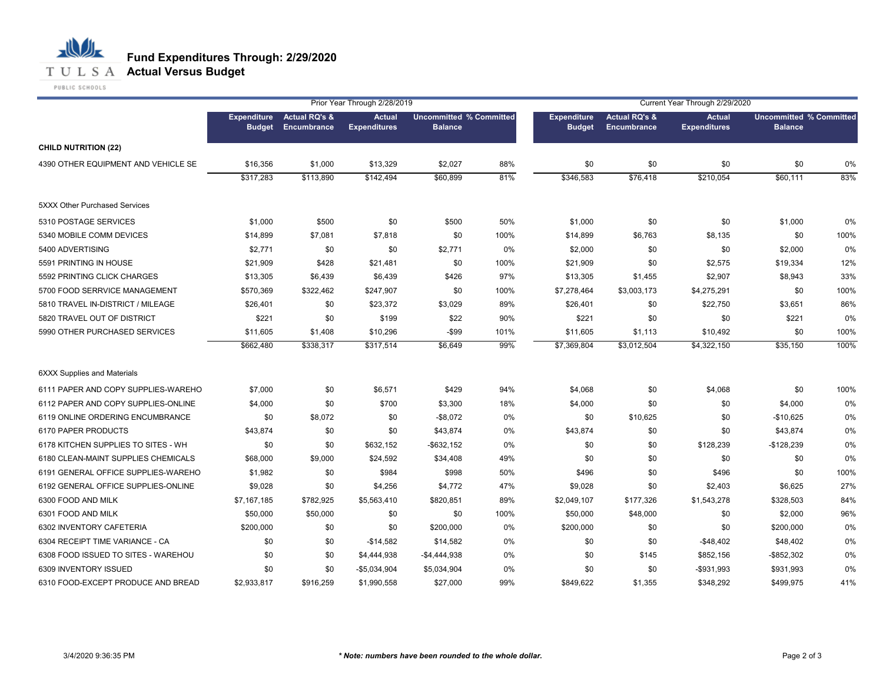**T U L S A Actual Versus Budget** 

PUBLIC SCHOOLS

|                                     | Prior Year Through 2/28/2019<br>Current Year Through 2/29/2020 |                                         |                                      |                                                  |      |                                     |                                                |                                      |                                                  |       |
|-------------------------------------|----------------------------------------------------------------|-----------------------------------------|--------------------------------------|--------------------------------------------------|------|-------------------------------------|------------------------------------------------|--------------------------------------|--------------------------------------------------|-------|
|                                     | <b>Expenditure</b><br><b>Budget</b>                            | <b>Actual RQ's &amp;</b><br>Encumbrance | <b>Actual</b><br><b>Expenditures</b> | <b>Uncommitted % Committed</b><br><b>Balance</b> |      | <b>Expenditure</b><br><b>Budget</b> | <b>Actual RQ's &amp;</b><br><b>Encumbrance</b> | <b>Actual</b><br><b>Expenditures</b> | <b>Uncommitted % Committed</b><br><b>Balance</b> |       |
| <b>CHILD NUTRITION (22)</b>         |                                                                |                                         |                                      |                                                  |      |                                     |                                                |                                      |                                                  |       |
| 4390 OTHER EQUIPMENT AND VEHICLE SE | \$16,356                                                       | \$1,000                                 | \$13,329                             | \$2,027                                          | 88%  | \$0                                 | \$0                                            | \$0                                  | \$0                                              | 0%    |
|                                     | \$317,283                                                      | \$113,890                               | \$142,494                            | \$60,899                                         | 81%  | \$346,583                           | \$76,418                                       | \$210,054                            | \$60,111                                         | 83%   |
| 5XXX Other Purchased Services       |                                                                |                                         |                                      |                                                  |      |                                     |                                                |                                      |                                                  |       |
| 5310 POSTAGE SERVICES               | \$1,000                                                        | \$500                                   | \$0                                  | \$500                                            | 50%  | \$1,000                             | \$0                                            | \$0                                  | \$1,000                                          | $0\%$ |
| 5340 MOBILE COMM DEVICES            | \$14,899                                                       | \$7,081                                 | \$7,818                              | \$0                                              | 100% | \$14,899                            | \$6,763                                        | \$8,135                              | \$0                                              | 100%  |
| 5400 ADVERTISING                    | \$2,771                                                        | \$0                                     | \$0                                  | \$2,771                                          | 0%   | \$2,000                             | \$0                                            | \$0                                  | \$2,000                                          | 0%    |
| 5591 PRINTING IN HOUSE              | \$21,909                                                       | \$428                                   | \$21,481                             | \$0                                              | 100% | \$21,909                            | \$0                                            | \$2,575                              | \$19,334                                         | 12%   |
| 5592 PRINTING CLICK CHARGES         | \$13,305                                                       | \$6,439                                 | \$6,439                              | \$426                                            | 97%  | \$13,305                            | \$1,455                                        | \$2,907                              | \$8,943                                          | 33%   |
| 5700 FOOD SERRVICE MANAGEMENT       | \$570,369                                                      | \$322,462                               | \$247,907                            | \$0                                              | 100% | \$7,278,464                         | \$3,003,173                                    | \$4,275,291                          | \$0                                              | 100%  |
| 5810 TRAVEL IN-DISTRICT / MILEAGE   | \$26,401                                                       | \$0                                     | \$23,372                             | \$3,029                                          | 89%  | \$26,401                            | \$0                                            | \$22,750                             | \$3,651                                          | 86%   |
| 5820 TRAVEL OUT OF DISTRICT         | \$221                                                          | \$0                                     | \$199                                | \$22                                             | 90%  | \$221                               | \$0                                            | \$0                                  | \$221                                            | 0%    |
| 5990 OTHER PURCHASED SERVICES       | \$11,605                                                       | \$1,408                                 | \$10,296                             | $-$ \$99                                         | 101% | \$11,605                            | \$1,113                                        | \$10,492                             | \$0                                              | 100%  |
|                                     | \$662,480                                                      | \$338,317                               | \$317,514                            | \$6,649                                          | 99%  | \$7,369,804                         | \$3,012,504                                    | \$4,322,150                          | \$35,150                                         | 100%  |
| 6XXX Supplies and Materials         |                                                                |                                         |                                      |                                                  |      |                                     |                                                |                                      |                                                  |       |
| 6111 PAPER AND COPY SUPPLIES-WAREHO | \$7,000                                                        | \$0                                     | \$6,571                              | \$429                                            | 94%  | \$4,068                             | \$0                                            | \$4,068                              | \$0                                              | 100%  |
| 6112 PAPER AND COPY SUPPLIES-ONLINE | \$4,000                                                        | \$0                                     | \$700                                | \$3,300                                          | 18%  | \$4,000                             | \$0                                            | \$0                                  | \$4,000                                          | 0%    |
| 6119 ONLINE ORDERING ENCUMBRANCE    | \$0                                                            | \$8,072                                 | \$0                                  | $-$8,072$                                        | 0%   | \$0                                 | \$10,625                                       | \$0                                  | $-$10,625$                                       | 0%    |
| 6170 PAPER PRODUCTS                 | \$43,874                                                       | \$0                                     | \$0                                  | \$43,874                                         | 0%   | \$43,874                            | \$0                                            | \$0                                  | \$43,874                                         | 0%    |
| 6178 KITCHEN SUPPLIES TO SITES - WH | \$0                                                            | \$0                                     | \$632,152                            | $-$ \$632,152                                    | 0%   | \$0                                 | \$0                                            | \$128,239                            | $-$128,239$                                      | 0%    |
| 6180 CLEAN-MAINT SUPPLIES CHEMICALS | \$68,000                                                       | \$9,000                                 | \$24,592                             | \$34,408                                         | 49%  | \$0                                 | \$0                                            | \$0                                  | \$0                                              | 0%    |
| 6191 GENERAL OFFICE SUPPLIES-WAREHO | \$1,982                                                        | \$0                                     | \$984                                | \$998                                            | 50%  | \$496                               | \$0                                            | \$496                                | \$0                                              | 100%  |
| 6192 GENERAL OFFICE SUPPLIES-ONLINE | \$9,028                                                        | \$0                                     | \$4,256                              | \$4,772                                          | 47%  | \$9,028                             | \$0                                            | \$2,403                              | \$6,625                                          | 27%   |
| 6300 FOOD AND MILK                  | \$7,167,185                                                    | \$782,925                               | \$5,563,410                          | \$820,851                                        | 89%  | \$2,049,107                         | \$177,326                                      | \$1,543,278                          | \$328,503                                        | 84%   |
| 6301 FOOD AND MILK                  | \$50,000                                                       | \$50,000                                | \$0                                  | \$0                                              | 100% | \$50,000                            | \$48,000                                       | \$0                                  | \$2,000                                          | 96%   |
| 6302 INVENTORY CAFETERIA            | \$200,000                                                      | \$0                                     | \$0                                  | \$200,000                                        | 0%   | \$200,000                           | \$0                                            | \$0                                  | \$200,000                                        | 0%    |
| 6304 RECEIPT TIME VARIANCE - CA     | \$0                                                            | \$0                                     | $-$14,582$                           | \$14,582                                         | 0%   | \$0                                 | \$0                                            | $-$48,402$                           | \$48,402                                         | 0%    |
| 6308 FOOD ISSUED TO SITES - WAREHOU | \$0                                                            | \$0                                     | \$4,444,938                          | -\$4,444,938                                     | 0%   | \$0                                 | \$145                                          | \$852,156                            | $-$ \$852,302                                    | 0%    |
| 6309 INVENTORY ISSUED               | \$0                                                            | \$0                                     | $-$5,034,904$                        | \$5,034,904                                      | 0%   | \$0                                 | \$0                                            | -\$931,993                           | \$931,993                                        | 0%    |
| 6310 FOOD-EXCEPT PRODUCE AND BREAD  | \$2,933,817                                                    | \$916,259                               | \$1,990,558                          | \$27,000                                         | 99%  | \$849,622                           | \$1,355                                        | \$348,292                            | \$499,975                                        | 41%   |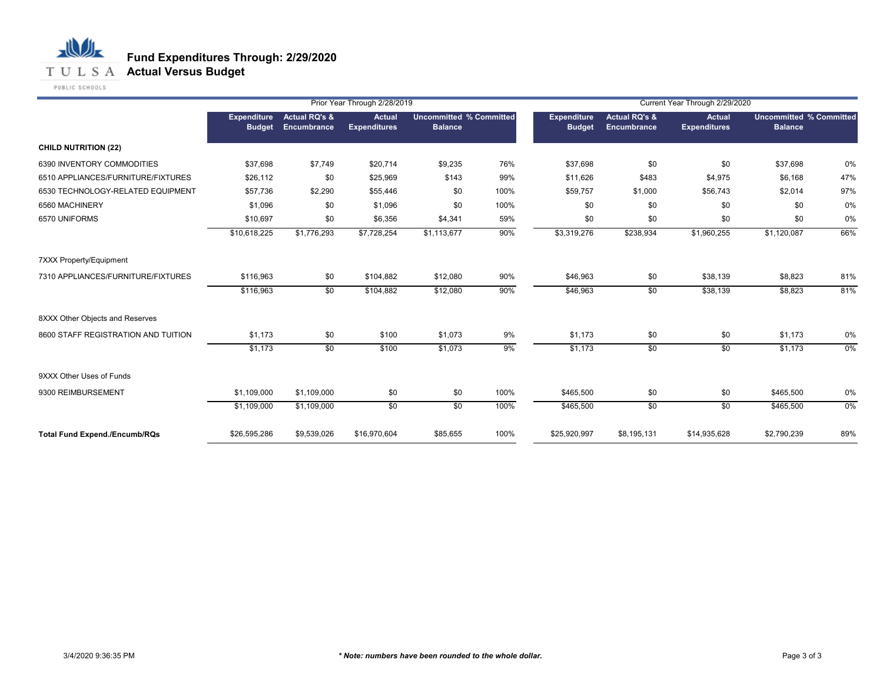**T U L S A Actual Versus Budget** 

PUBLIC SCHOOLS

|                                      |                                     | Prior Year Through 2/28/2019            |                                      |                                                  |      | Current Year Through 2/29/2020      |                                         |                                      |                |                                |  |
|--------------------------------------|-------------------------------------|-----------------------------------------|--------------------------------------|--------------------------------------------------|------|-------------------------------------|-----------------------------------------|--------------------------------------|----------------|--------------------------------|--|
|                                      | <b>Expenditure</b><br><b>Budget</b> | <b>Actual RQ's &amp;</b><br>Encumbrance | <b>Actual</b><br><b>Expenditures</b> | <b>Uncommitted % Committed</b><br><b>Balance</b> |      | <b>Expenditure</b><br><b>Budget</b> | <b>Actual RQ's &amp;</b><br>Encumbrance | <b>Actual</b><br><b>Expenditures</b> | <b>Balance</b> | <b>Uncommitted % Committed</b> |  |
| <b>CHILD NUTRITION (22)</b>          |                                     |                                         |                                      |                                                  |      |                                     |                                         |                                      |                |                                |  |
| 6390 INVENTORY COMMODITIES           | \$37,698                            | \$7,749                                 | \$20,714                             | \$9,235                                          | 76%  | \$37,698                            | \$0                                     | \$0                                  | \$37,698       | 0%                             |  |
| 6510 APPLIANCES/FURNITURE/FIXTURES   | \$26,112                            | \$0                                     | \$25,969                             | \$143                                            | 99%  | \$11,626                            | \$483                                   | \$4,975                              | \$6,168        | 47%                            |  |
| 6530 TECHNOLOGY-RELATED EQUIPMENT    | \$57,736                            | \$2,290                                 | \$55,446                             | \$0                                              | 100% | \$59,757                            | \$1,000                                 | \$56,743                             | \$2,014        | 97%                            |  |
| 6560 MACHINERY                       | \$1,096                             | \$0                                     | \$1,096                              | \$0                                              | 100% | \$0                                 | \$0                                     | \$0                                  | \$0            | 0%                             |  |
| 6570 UNIFORMS                        | \$10,697                            | \$0                                     | \$6,356                              | \$4,341                                          | 59%  | \$0                                 | \$0                                     | \$0                                  | \$0            | 0%                             |  |
|                                      | \$10,618,225                        | \$1,776,293                             | \$7,728,254                          | \$1,113,677                                      | 90%  | \$3,319,276                         | \$238,934                               | \$1,960,255                          | \$1,120,087    | 66%                            |  |
| <b>7XXX Property/Equipment</b>       |                                     |                                         |                                      |                                                  |      |                                     |                                         |                                      |                |                                |  |
| 7310 APPLIANCES/FURNITURE/FIXTURES   | \$116,963                           | \$0                                     | \$104,882                            | \$12,080                                         | 90%  | \$46,963                            | \$0                                     | \$38,139                             | \$8,823        | 81%                            |  |
|                                      | \$116,963                           | \$0                                     | \$104,882                            | \$12,080                                         | 90%  | \$46,963                            | \$0                                     | \$38,139                             | \$8,823        | 81%                            |  |
| 8XXX Other Objects and Reserves      |                                     |                                         |                                      |                                                  |      |                                     |                                         |                                      |                |                                |  |
| 8600 STAFF REGISTRATION AND TUITION  | \$1,173                             | \$0                                     | \$100                                | \$1,073                                          | 9%   | \$1,173                             | \$0                                     | \$0                                  | \$1,173        | 0%                             |  |
|                                      | \$1,173                             | $\overline{50}$                         | \$100                                | \$1,073                                          | 9%   | \$1,173                             | $\sqrt{50}$                             | \$0                                  | \$1,173        | $0\%$                          |  |
| 9XXX Other Uses of Funds             |                                     |                                         |                                      |                                                  |      |                                     |                                         |                                      |                |                                |  |
| 9300 REIMBURSEMENT                   | \$1,109,000                         | \$1,109,000                             | \$0                                  | \$0                                              | 100% | \$465,500                           | \$0                                     | \$0                                  | \$465,500      | 0%                             |  |
|                                      | \$1,109,000                         | \$1,109,000                             | $\sqrt{50}$                          | $\sqrt{50}$                                      | 100% | \$465,500                           | $\sqrt{50}$                             | \$0                                  | \$465,500      | $0\%$                          |  |
| <b>Total Fund Expend./Encumb/RQs</b> | \$26,595,286                        | \$9,539,026                             | \$16,970,604                         | \$85,655                                         | 100% | \$25,920,997                        | \$8,195,131                             | \$14,935,628                         | \$2,790,239    | 89%                            |  |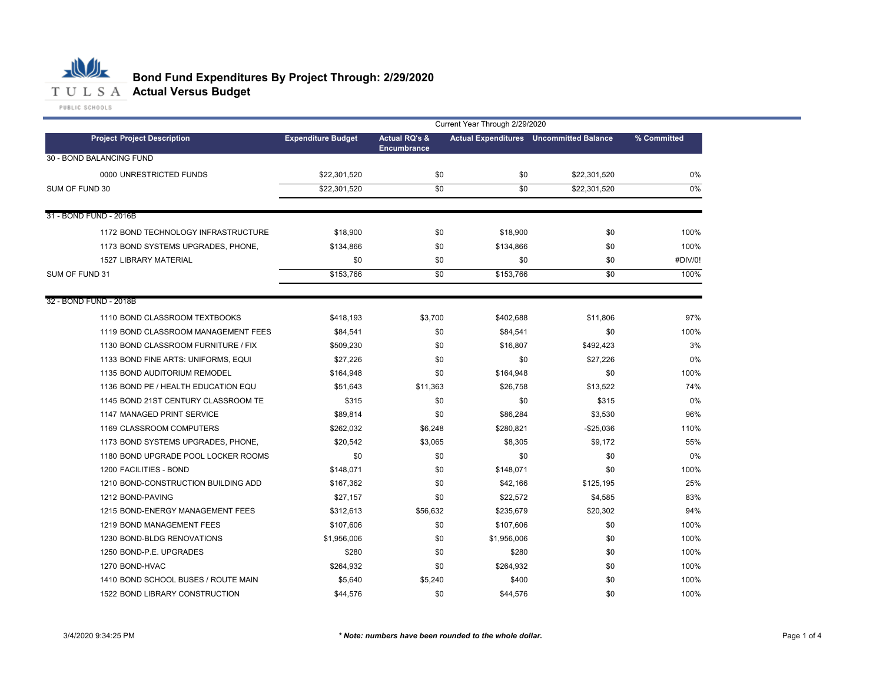

# **Bond Fund Expenditures By Project Through: 2/29/2020**

|                                     | Current Year Through 2/29/2020 |                                                |                 |                                                |             |  |  |  |
|-------------------------------------|--------------------------------|------------------------------------------------|-----------------|------------------------------------------------|-------------|--|--|--|
| <b>Project Project Description</b>  | <b>Expenditure Budget</b>      | <b>Actual RQ's &amp;</b><br><b>Encumbrance</b> |                 | <b>Actual Expenditures</b> Uncommitted Balance | % Committed |  |  |  |
| 30 - BOND BALANCING FUND            |                                |                                                |                 |                                                |             |  |  |  |
| 0000 UNRESTRICTED FUNDS             | \$22,301,520                   | \$0                                            | \$0             | \$22,301,520                                   | 0%          |  |  |  |
| SUM OF FUND 30                      | \$22,301,520                   | \$0                                            | $\overline{50}$ | \$22,301,520                                   | $0\%$       |  |  |  |
|                                     |                                |                                                |                 |                                                |             |  |  |  |
| 31 - BOND FUND - 2016B              |                                |                                                |                 |                                                |             |  |  |  |
| 1172 BOND TECHNOLOGY INFRASTRUCTURE | \$18,900                       | \$0                                            | \$18,900        | \$0                                            | 100%        |  |  |  |
| 1173 BOND SYSTEMS UPGRADES, PHONE,  | \$134,866                      | \$0                                            | \$134,866       | \$0                                            | 100%        |  |  |  |
| <b>1527 LIBRARY MATERIAL</b>        | \$0                            | \$0                                            | \$0             | \$0                                            | #DIV/0!     |  |  |  |
| SUM OF FUND 31                      | \$153,766                      | \$0                                            | \$153,766       | \$0                                            | 100%        |  |  |  |
| 32 - BOND FUND - 2018B              |                                |                                                |                 |                                                |             |  |  |  |
| 1110 BOND CLASSROOM TEXTBOOKS       | \$418,193                      | \$3,700                                        | \$402,688       | \$11,806                                       | 97%         |  |  |  |
| 1119 BOND CLASSROOM MANAGEMENT FEES | \$84,541                       | \$0                                            | \$84,541        | \$0                                            | 100%        |  |  |  |
| 1130 BOND CLASSROOM FURNITURE / FIX | \$509,230                      | \$0                                            | \$16,807        | \$492,423                                      | 3%          |  |  |  |
| 1133 BOND FINE ARTS: UNIFORMS, EQUI | \$27,226                       | \$0                                            | \$0             | \$27,226                                       | 0%          |  |  |  |
| 1135 BOND AUDITORIUM REMODEL        | \$164,948                      | \$0                                            | \$164,948       | \$0                                            | 100%        |  |  |  |
| 1136 BOND PE / HEALTH EDUCATION EQU | \$51,643                       | \$11,363                                       | \$26,758        | \$13,522                                       | 74%         |  |  |  |
| 1145 BOND 21ST CENTURY CLASSROOM TE | \$315                          | \$0                                            | \$0             | \$315                                          | 0%          |  |  |  |
| 1147 MANAGED PRINT SERVICE          | \$89,814                       | \$0                                            | \$86,284        | \$3,530                                        | 96%         |  |  |  |
| 1169 CLASSROOM COMPUTERS            | \$262,032                      | \$6,248                                        | \$280,821       | $-$25,036$                                     | 110%        |  |  |  |
| 1173 BOND SYSTEMS UPGRADES, PHONE,  | \$20,542                       | \$3,065                                        | \$8,305         | \$9,172                                        | 55%         |  |  |  |
| 1180 BOND UPGRADE POOL LOCKER ROOMS | \$0                            | \$0                                            | \$0             | \$0                                            | 0%          |  |  |  |
| 1200 FACILITIES - BOND              | \$148,071                      | \$0                                            | \$148,071       | \$0                                            | 100%        |  |  |  |
| 1210 BOND-CONSTRUCTION BUILDING ADD | \$167,362                      | \$0                                            | \$42,166        | \$125,195                                      | 25%         |  |  |  |
| 1212 BOND-PAVING                    | \$27,157                       | \$0                                            | \$22,572        | \$4,585                                        | 83%         |  |  |  |
| 1215 BOND-ENERGY MANAGEMENT FEES    | \$312,613                      | \$56,632                                       | \$235,679       | \$20,302                                       | 94%         |  |  |  |
| 1219 BOND MANAGEMENT FEES           | \$107,606                      | \$0                                            | \$107,606       | \$0                                            | 100%        |  |  |  |
| 1230 BOND-BLDG RENOVATIONS          | \$1,956,006                    | \$0                                            | \$1,956,006     | \$0                                            | 100%        |  |  |  |
| 1250 BOND-P.E. UPGRADES             | \$280                          | \$0                                            | \$280           | \$0                                            | 100%        |  |  |  |
| 1270 BOND-HVAC                      | \$264,932                      | \$0                                            | \$264,932       | \$0                                            | 100%        |  |  |  |
| 1410 BOND SCHOOL BUSES / ROUTE MAIN | \$5,640                        | \$5,240                                        | \$400           | \$0                                            | 100%        |  |  |  |
| 1522 BOND LIBRARY CONSTRUCTION      | \$44,576                       | \$0                                            | \$44,576        | \$0                                            | 100%        |  |  |  |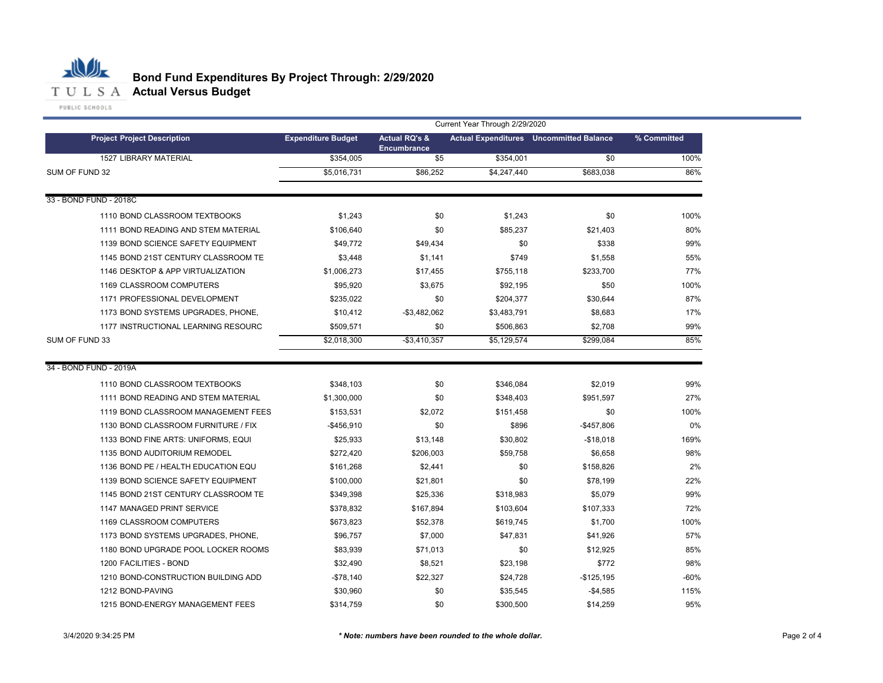

|                                     | Current Year Through 2/29/2020 |                                                |             |                                                |             |  |  |  |  |  |
|-------------------------------------|--------------------------------|------------------------------------------------|-------------|------------------------------------------------|-------------|--|--|--|--|--|
| <b>Project Project Description</b>  | <b>Expenditure Budget</b>      | <b>Actual RQ's &amp;</b><br><b>Encumbrance</b> |             | <b>Actual Expenditures</b> Uncommitted Balance | % Committed |  |  |  |  |  |
| <b>1527 LIBRARY MATERIAL</b>        | $\overline{$}354,005$          | \$5                                            | \$354,001   | \$0                                            | 100%        |  |  |  |  |  |
| SUM OF FUND 32                      | \$5,016,731                    | \$86,252                                       | \$4,247,440 | \$683,038                                      | 86%         |  |  |  |  |  |
| 33 - BOND FUND - 2018C              |                                |                                                |             |                                                |             |  |  |  |  |  |
| 1110 BOND CLASSROOM TEXTBOOKS       | \$1,243                        | \$0                                            | \$1,243     | \$0                                            | 100%        |  |  |  |  |  |
| 1111 BOND READING AND STEM MATERIAL | \$106,640                      | \$0                                            | \$85,237    | \$21,403                                       | 80%         |  |  |  |  |  |
| 1139 BOND SCIENCE SAFETY EQUIPMENT  | \$49.772                       | \$49,434                                       | \$0         | \$338                                          | 99%         |  |  |  |  |  |
| 1145 BOND 21ST CENTURY CLASSROOM TE | \$3,448                        | \$1,141                                        | \$749       | \$1,558                                        | 55%         |  |  |  |  |  |
| 1146 DESKTOP & APP VIRTUALIZATION   | \$1,006,273                    | \$17,455                                       | \$755,118   | \$233,700                                      | 77%         |  |  |  |  |  |
| 1169 CLASSROOM COMPUTERS            | \$95,920                       | \$3,675                                        | \$92,195    | \$50                                           | 100%        |  |  |  |  |  |
| 1171 PROFESSIONAL DEVELOPMENT       | \$235,022                      | \$0                                            | \$204,377   | \$30,644                                       | 87%         |  |  |  |  |  |
| 1173 BOND SYSTEMS UPGRADES, PHONE,  | \$10,412                       | $-$3,482,062$                                  | \$3,483,791 | \$8,683                                        | 17%         |  |  |  |  |  |
| 1177 INSTRUCTIONAL LEARNING RESOURC | \$509,571                      | \$0                                            | \$506,863   | \$2,708                                        | 99%         |  |  |  |  |  |
| SUM OF FUND 33                      | \$2,018,300                    | $-$3,410,357$                                  | \$5,129,574 | \$299,084                                      | 85%         |  |  |  |  |  |
| 34 - BOND FUND - 2019A              |                                |                                                |             |                                                |             |  |  |  |  |  |
| 1110 BOND CLASSROOM TEXTBOOKS       | \$348,103                      | \$0                                            | \$346,084   | \$2,019                                        | 99%         |  |  |  |  |  |
| 1111 BOND READING AND STEM MATERIAL | \$1,300,000                    | \$0                                            | \$348,403   | \$951,597                                      | 27%         |  |  |  |  |  |
| 1119 BOND CLASSROOM MANAGEMENT FEES | \$153,531                      | \$2,072                                        | \$151,458   | \$0                                            | 100%        |  |  |  |  |  |
| 1130 BOND CLASSROOM FURNITURE / FIX | -\$456,910                     | \$0                                            | \$896       | $-$457,806$                                    | 0%          |  |  |  |  |  |
| 1133 BOND FINE ARTS: UNIFORMS, EQUI | \$25,933                       | \$13,148                                       | \$30,802    | $-$18,018$                                     | 169%        |  |  |  |  |  |
| 1135 BOND AUDITORIUM REMODEL        | \$272,420                      | \$206,003                                      | \$59,758    | \$6,658                                        | 98%         |  |  |  |  |  |
| 1136 BOND PE / HEALTH EDUCATION EQU | \$161,268                      | \$2,441                                        | \$0         | \$158,826                                      | 2%          |  |  |  |  |  |
| 1139 BOND SCIENCE SAFETY EQUIPMENT  | \$100,000                      | \$21,801                                       | \$0         | \$78,199                                       | 22%         |  |  |  |  |  |
| 1145 BOND 21ST CENTURY CLASSROOM TE | \$349,398                      | \$25,336                                       | \$318,983   | \$5,079                                        | 99%         |  |  |  |  |  |
| 1147 MANAGED PRINT SERVICE          | \$378,832                      | \$167,894                                      | \$103,604   | \$107,333                                      | 72%         |  |  |  |  |  |
| 1169 CLASSROOM COMPUTERS            | \$673,823                      | \$52,378                                       | \$619,745   | \$1,700                                        | 100%        |  |  |  |  |  |
| 1173 BOND SYSTEMS UPGRADES, PHONE,  | \$96,757                       | \$7,000                                        | \$47,831    | \$41,926                                       | 57%         |  |  |  |  |  |
| 1180 BOND UPGRADE POOL LOCKER ROOMS | \$83,939                       | \$71,013                                       | \$0         | \$12,925                                       | 85%         |  |  |  |  |  |
| 1200 FACILITIES - BOND              | \$32,490                       | \$8,521                                        | \$23,198    | \$772                                          | 98%         |  |  |  |  |  |
| 1210 BOND-CONSTRUCTION BUILDING ADD | $-$78,140$                     | \$22,327                                       | \$24,728    | $-$125,195$                                    | $-60%$      |  |  |  |  |  |
| 1212 BOND-PAVING                    | \$30,960                       | \$0                                            | \$35,545    | $-$4,585$                                      | 115%        |  |  |  |  |  |
| 1215 BOND-ENERGY MANAGEMENT FEES    | \$314,759                      | \$0                                            | \$300,500   | \$14,259                                       | 95%         |  |  |  |  |  |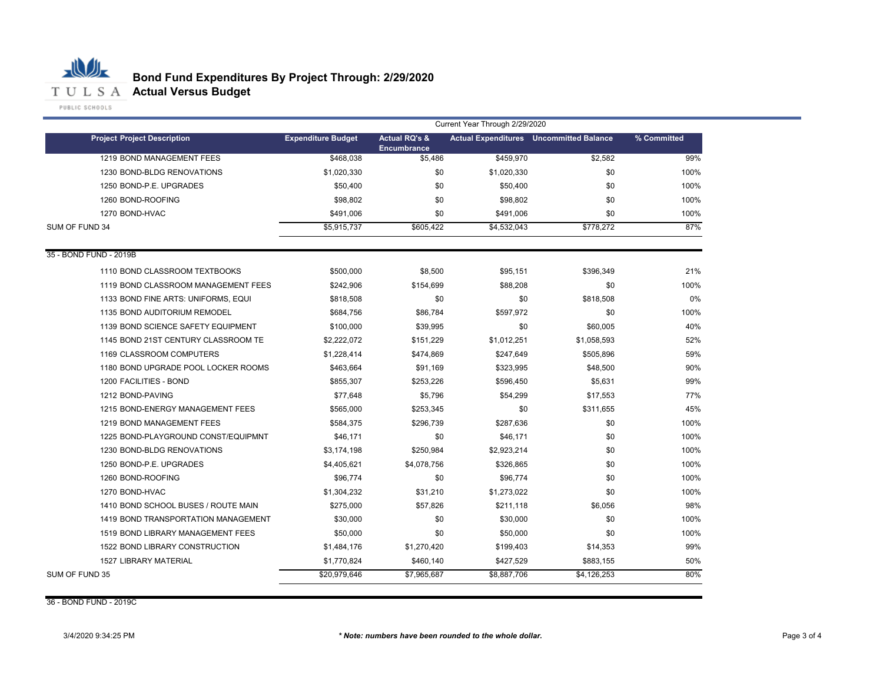

|                                     | Current Year Through 2/29/2020 |                                         |             |                                                |             |  |
|-------------------------------------|--------------------------------|-----------------------------------------|-------------|------------------------------------------------|-------------|--|
| <b>Project Project Description</b>  | <b>Expenditure Budget</b>      | <b>Actual RQ's &amp;</b><br>Encumbrance |             | <b>Actual Expenditures</b> Uncommitted Balance | % Committed |  |
| 1219 BOND MANAGEMENT FEES           | \$468.038                      | \$5.486                                 | \$459,970   | \$2.582                                        | 99%         |  |
| 1230 BOND-BLDG RENOVATIONS          | \$1,020,330                    | \$0                                     | \$1,020,330 | \$0                                            | 100%        |  |
| 1250 BOND-P.E. UPGRADES             | \$50,400                       | \$0                                     | \$50,400    | \$0                                            | 100%        |  |
| 1260 BOND-ROOFING                   | \$98,802                       | \$0                                     | \$98,802    | \$0                                            | 100%        |  |
| 1270 BOND-HVAC                      | \$491,006                      | \$0                                     | \$491,006   | \$0                                            | 100%        |  |
| SUM OF FUND 34                      | \$5,915,737                    | \$605,422                               | \$4,532,043 | \$778,272                                      | 87%         |  |
| 35 - BOND FUND - 2019B              |                                |                                         |             |                                                |             |  |
| 1110 BOND CLASSROOM TEXTBOOKS       | \$500,000                      | \$8,500                                 | \$95,151    | \$396,349                                      | 21%         |  |
| 1119 BOND CLASSROOM MANAGEMENT FEES | \$242,906                      | \$154,699                               | \$88,208    | \$0                                            | 100%        |  |
| 1133 BOND FINE ARTS: UNIFORMS, EQUI | \$818,508                      | \$0                                     | \$0         | \$818,508                                      | 0%          |  |
| 1135 BOND AUDITORIUM REMODEL        | \$684,756                      | \$86,784                                | \$597,972   | \$0                                            | 100%        |  |
| 1139 BOND SCIENCE SAFETY EQUIPMENT  | \$100,000                      | \$39,995                                | \$0         | \$60,005                                       | 40%         |  |
| 1145 BOND 21ST CENTURY CLASSROOM TE | \$2,222,072                    | \$151,229                               | \$1,012,251 | \$1,058,593                                    | 52%         |  |
| 1169 CLASSROOM COMPUTERS            | \$1,228,414                    | \$474,869                               | \$247,649   | \$505,896                                      | 59%         |  |
| 1180 BOND UPGRADE POOL LOCKER ROOMS | \$463,664                      | \$91,169                                | \$323,995   | \$48,500                                       | 90%         |  |
| 1200 FACILITIES - BOND              | \$855.307                      | \$253,226                               | \$596,450   | \$5,631                                        | 99%         |  |
| 1212 BOND-PAVING                    | \$77,648                       | \$5,796                                 | \$54,299    | \$17,553                                       | 77%         |  |
| 1215 BOND-ENERGY MANAGEMENT FEES    | \$565,000                      | \$253,345                               | \$0         | \$311,655                                      | 45%         |  |
| 1219 BOND MANAGEMENT FEES           | \$584,375                      | \$296,739                               | \$287,636   | \$0                                            | 100%        |  |
| 1225 BOND-PLAYGROUND CONST/EQUIPMNT | \$46,171                       | \$0                                     | \$46,171    | \$0                                            | 100%        |  |
| 1230 BOND-BLDG RENOVATIONS          | \$3,174,198                    | \$250.984                               | \$2.923.214 | \$0                                            | 100%        |  |
| 1250 BOND-P.E. UPGRADES             | \$4,405,621                    | \$4,078,756                             | \$326,865   | \$0                                            | 100%        |  |
| 1260 BOND-ROOFING                   | \$96,774                       | \$0                                     | \$96,774    | \$0                                            | 100%        |  |
| 1270 BOND-HVAC                      | \$1,304,232                    | \$31,210                                | \$1,273,022 | \$0                                            | 100%        |  |
| 1410 BOND SCHOOL BUSES / ROUTE MAIN | \$275,000                      | \$57,826                                | \$211,118   | \$6,056                                        | 98%         |  |
| 1419 BOND TRANSPORTATION MANAGEMENT | \$30,000                       | \$0                                     | \$30,000    | \$0                                            | 100%        |  |
| 1519 BOND LIBRARY MANAGEMENT FEES   | \$50,000                       | \$0                                     | \$50,000    | \$0                                            | 100%        |  |
| 1522 BOND LIBRARY CONSTRUCTION      | \$1,484,176                    | \$1,270,420                             | \$199,403   | \$14,353                                       | 99%         |  |
| <b>1527 LIBRARY MATERIAL</b>        | \$1,770,824                    | \$460,140                               | \$427,529   | \$883,155                                      | 50%         |  |
| SUM OF FUND 35                      | \$20,979,646                   | \$7,965,687                             | \$8,887,706 | \$4,126,253                                    | 80%         |  |

36 - BOND FUND - 2019C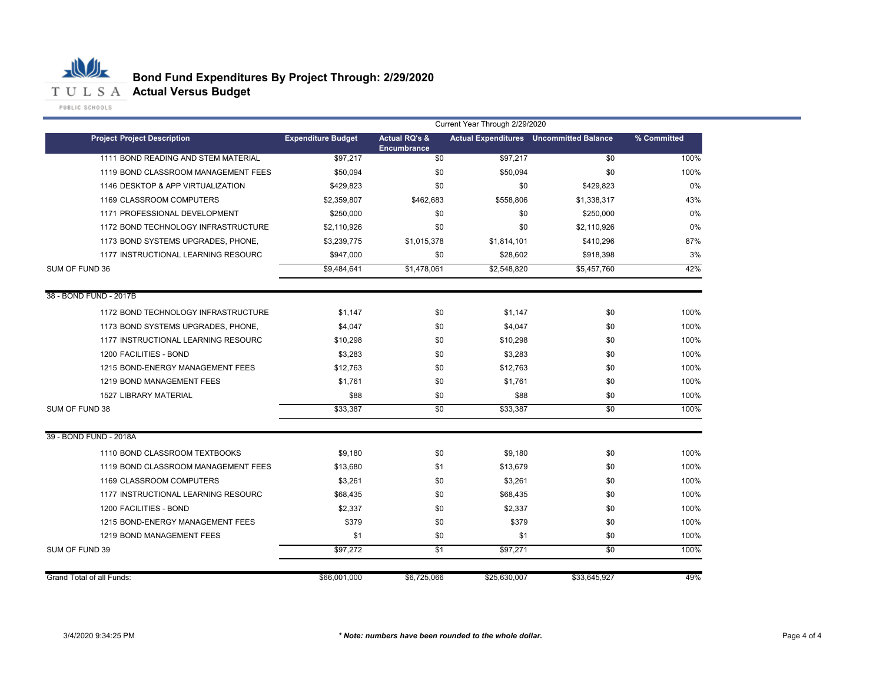

|                                     | Current Year Through 2/29/2020 |                                                |              |                                                |             |  |  |
|-------------------------------------|--------------------------------|------------------------------------------------|--------------|------------------------------------------------|-------------|--|--|
| <b>Project Project Description</b>  | <b>Expenditure Budget</b>      | <b>Actual RQ's &amp;</b><br><b>Encumbrance</b> |              | <b>Actual Expenditures</b> Uncommitted Balance | % Committed |  |  |
| 1111 BOND READING AND STEM MATERIAL | \$97,217                       | $\overline{50}$                                | \$97,217     | \$0                                            | 100%        |  |  |
| 1119 BOND CLASSROOM MANAGEMENT FEES | \$50,094                       | \$0                                            | \$50,094     | \$0                                            | 100%        |  |  |
| 1146 DESKTOP & APP VIRTUALIZATION   | \$429,823                      | \$0                                            | \$0          | \$429,823                                      | 0%          |  |  |
| 1169 CLASSROOM COMPUTERS            | \$2,359,807                    | \$462,683                                      | \$558,806    | \$1,338,317                                    | 43%         |  |  |
| 1171 PROFESSIONAL DEVELOPMENT       | \$250,000                      | \$0                                            | \$0          | \$250,000                                      | $0\%$       |  |  |
| 1172 BOND TECHNOLOGY INFRASTRUCTURE | \$2,110,926                    | \$0                                            | \$0          | \$2,110,926                                    | $0\%$       |  |  |
| 1173 BOND SYSTEMS UPGRADES, PHONE,  | \$3,239,775                    | \$1,015,378<br>\$1,814,101                     |              | \$410,296                                      | 87%         |  |  |
| 1177 INSTRUCTIONAL LEARNING RESOURC | \$947,000                      | \$0                                            | \$28,602     | \$918,398                                      | 3%          |  |  |
| SUM OF FUND 36                      | \$9,484,641                    | \$1,478,061                                    | \$2,548,820  | \$5,457,760                                    | 42%         |  |  |
| 38 - BOND FUND - 2017B              |                                |                                                |              |                                                |             |  |  |
| 1172 BOND TECHNOLOGY INFRASTRUCTURE | \$1,147                        | \$0                                            | \$1,147      | \$0                                            | 100%        |  |  |
| 1173 BOND SYSTEMS UPGRADES, PHONE,  | \$4,047                        | \$0                                            | \$4,047      | \$0                                            | 100%        |  |  |
| 1177 INSTRUCTIONAL LEARNING RESOURC | \$10,298                       | \$0                                            | \$10,298     | \$0                                            | 100%        |  |  |
| 1200 FACILITIES - BOND              | \$3,283                        | \$0                                            | \$3,283      | \$0                                            | 100%        |  |  |
| 1215 BOND-ENERGY MANAGEMENT FEES    | \$12,763                       | \$0                                            | \$12,763     | \$0                                            | 100%        |  |  |
| 1219 BOND MANAGEMENT FEES           | \$1,761                        | \$0                                            | \$1,761      | \$0                                            | 100%        |  |  |
| <b>1527 LIBRARY MATERIAL</b>        | \$88                           | \$0                                            | \$88         | \$0                                            | 100%        |  |  |
| SUM OF FUND 38                      | \$33,387                       | \$0                                            | \$33,387     | \$0                                            | 100%        |  |  |
| 39 - BOND FUND - 2018A              |                                |                                                |              |                                                |             |  |  |
| 1110 BOND CLASSROOM TEXTBOOKS       | \$9,180                        | \$0                                            | \$9,180      | \$0                                            | 100%        |  |  |
| 1119 BOND CLASSROOM MANAGEMENT FEES | \$13,680                       | \$1                                            | \$13,679     | \$0                                            | 100%        |  |  |
| 1169 CLASSROOM COMPUTERS            | \$3,261                        | \$0                                            | \$3,261      | \$0                                            | 100%        |  |  |
| 1177 INSTRUCTIONAL LEARNING RESOURC | \$68,435                       | \$0                                            | \$68,435     | \$0                                            | 100%        |  |  |
| 1200 FACILITIES - BOND              | \$2,337                        | \$0                                            | \$2,337      | \$0                                            | 100%        |  |  |
| 1215 BOND-ENERGY MANAGEMENT FEES    | \$379                          | \$0                                            | \$379        | \$0                                            | 100%        |  |  |
| 1219 BOND MANAGEMENT FEES           | \$1                            | \$0                                            | \$1          | \$0                                            | 100%        |  |  |
| SUM OF FUND 39                      | \$97,272                       | \$1                                            | \$97,271     | \$0                                            | 100%        |  |  |
| Grand Total of all Funds:           | \$66,001,000                   | \$6,725,066                                    | \$25,630,007 | \$33,645,927                                   | 49%         |  |  |